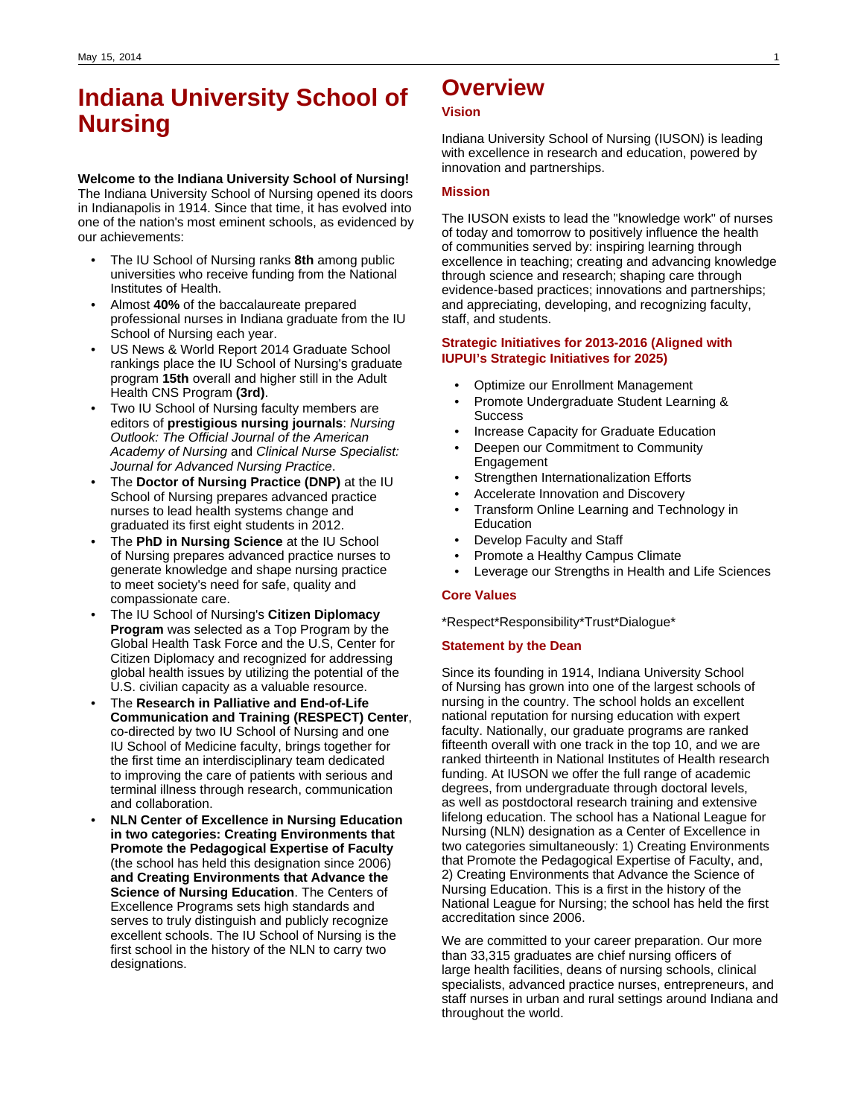# **Indiana University School of Nursing**

### **Welcome to the Indiana University School of Nursing!**

The Indiana University School of Nursing opened its doors in Indianapolis in 1914. Since that time, it has evolved into one of the nation's most eminent schools, as evidenced by our achievements:

- The IU School of Nursing ranks **8th** among public universities who receive funding from the National Institutes of Health.
- Almost **40%** of the baccalaureate prepared professional nurses in Indiana graduate from the IU School of Nursing each year.
- US News & World Report 2014 Graduate School rankings place the IU School of Nursing's graduate program **15th** overall and higher still in the Adult Health CNS Program **(3rd)**.
- Two IU School of Nursing faculty members are editors of **prestigious nursing journals**: Nursing Outlook: The Official Journal of the American Academy of Nursing and Clinical Nurse Specialist: Journal for Advanced Nursing Practice.
- The **Doctor of Nursing Practice (DNP)** at the IU School of Nursing prepares advanced practice nurses to lead health systems change and graduated its first eight students in 2012.
- The **PhD in Nursing Science** at the IU School of Nursing prepares advanced practice nurses to generate knowledge and shape nursing practice to meet society's need for safe, quality and compassionate care.
- The IU School of Nursing's **Citizen Diplomacy Program** was selected as a Top Program by the Global Health Task Force and the U.S, Center for Citizen Diplomacy and recognized for addressing global health issues by utilizing the potential of the U.S. civilian capacity as a valuable resource.
- The **Research in Palliative and End-of-Life Communication and Training (RESPECT) Center**, co-directed by two IU School of Nursing and one IU School of Medicine faculty, brings together for the first time an interdisciplinary team dedicated to improving the care of patients with serious and terminal illness through research, communication and collaboration.
- **NLN Center of Excellence in Nursing Education in two categories: Creating Environments that Promote the Pedagogical Expertise of Faculty** (the school has held this designation since 2006) **and Creating Environments that Advance the Science of Nursing Education**. The Centers of Excellence Programs sets high standards and serves to truly distinguish and publicly recognize excellent schools. The IU School of Nursing is the first school in the history of the NLN to carry two designations.

# **Overview**

### **Vision**

Indiana University School of Nursing (IUSON) is leading with excellence in research and education, powered by innovation and partnerships.

### **Mission**

The IUSON exists to lead the "knowledge work" of nurses of today and tomorrow to positively influence the health of communities served by: inspiring learning through excellence in teaching; creating and advancing knowledge through science and research; shaping care through evidence-based practices; innovations and partnerships; and appreciating, developing, and recognizing faculty, staff, and students.

### **Strategic Initiatives for 2013-2016 (Aligned with IUPUI's Strategic Initiatives for 2025)**

- Optimize our Enrollment Management
- Promote Undergraduate Student Learning & **Success**
- Increase Capacity for Graduate Education
- Deepen our Commitment to Community Engagement
- Strengthen Internationalization Efforts
- Accelerate Innovation and Discovery
- Transform Online Learning and Technology in Education
- Develop Faculty and Staff
- Promote a Healthy Campus Climate
- Leverage our Strengths in Health and Life Sciences

### **Core Values**

\*Respect\*Responsibility\*Trust\*Dialogue\*

#### **Statement by the Dean**

Since its founding in 1914, Indiana University School of Nursing has grown into one of the largest schools of nursing in the country. The school holds an excellent national reputation for nursing education with expert faculty. Nationally, our graduate programs are ranked fifteenth overall with one track in the top 10, and we are ranked thirteenth in National Institutes of Health research funding. At IUSON we offer the full range of academic degrees, from undergraduate through doctoral levels, as well as postdoctoral research training and extensive lifelong education. The school has a National League for Nursing (NLN) designation as a Center of Excellence in two categories simultaneously: 1) Creating Environments that Promote the Pedagogical Expertise of Faculty, and, 2) Creating Environments that Advance the Science of Nursing Education. This is a first in the history of the National League for Nursing; the school has held the first accreditation since 2006.

We are committed to your career preparation. Our more than 33,315 graduates are chief nursing officers of large health facilities, deans of nursing schools, clinical specialists, advanced practice nurses, entrepreneurs, and staff nurses in urban and rural settings around Indiana and throughout the world.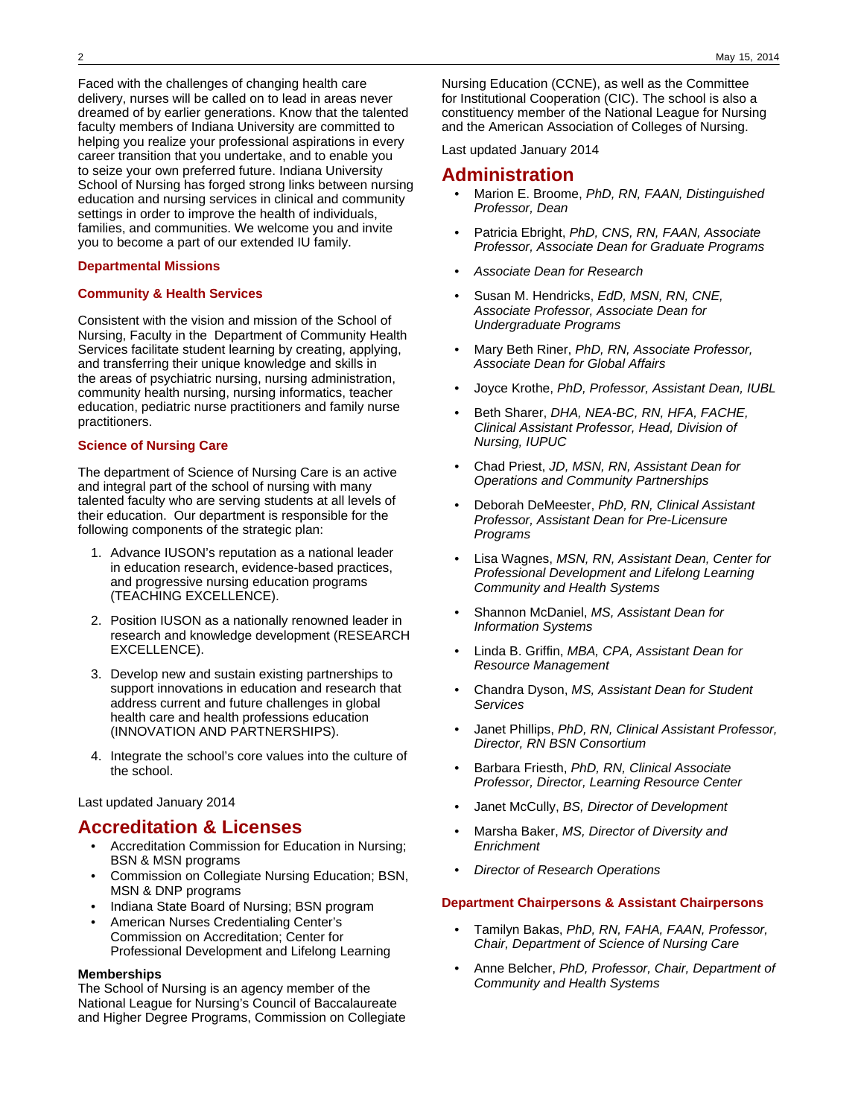Faced with the challenges of changing health care delivery, nurses will be called on to lead in areas never dreamed of by earlier generations. Know that the talented faculty members of Indiana University are committed to helping you realize your professional aspirations in every career transition that you undertake, and to enable you to seize your own preferred future. Indiana University School of Nursing has forged strong links between nursing education and nursing services in clinical and community settings in order to improve the health of individuals, families, and communities. We welcome you and invite you to become a part of our extended IU family.

#### **Departmental Missions**

### **Community & Health Services**

Consistent with the vision and mission of the School of Nursing, Faculty in the Department of Community Health Services facilitate student learning by creating, applying, and transferring their unique knowledge and skills in the areas of psychiatric nursing, nursing administration, community health nursing, nursing informatics, teacher education, pediatric nurse practitioners and family nurse practitioners.

#### **Science of Nursing Care**

The department of Science of Nursing Care is an active and integral part of the school of nursing with many talented faculty who are serving students at all levels of their education. Our department is responsible for the following components of the strategic plan:

- 1. Advance IUSON's reputation as a national leader in education research, evidence-based practices, and progressive nursing education programs (TEACHING EXCELLENCE).
- 2. Position IUSON as a nationally renowned leader in research and knowledge development (RESEARCH EXCELLENCE).
- 3. Develop new and sustain existing partnerships to support innovations in education and research that address current and future challenges in global health care and health professions education (INNOVATION AND PARTNERSHIPS).
- 4. Integrate the school's core values into the culture of the school.

Last updated January 2014

### **Accreditation & Licenses**

- Accreditation Commission for Education in Nursing; BSN & MSN programs
- Commission on Collegiate Nursing Education; BSN, MSN & DNP programs
- Indiana State Board of Nursing; BSN program
- American Nurses Credentialing Center's Commission on Accreditation; Center for Professional Development and Lifelong Learning

#### **Memberships**

The School of Nursing is an agency member of the National League for Nursing's Council of Baccalaureate and Higher Degree Programs, Commission on Collegiate

Nursing Education (CCNE), as well as the Committee for Institutional Cooperation (CIC). The school is also a constituency member of the National League for Nursing and the American Association of Colleges of Nursing.

Last updated January 2014

### **Administration**

- Marion E. Broome, PhD, RN, FAAN, Distinguished Professor, Dean
- Patricia Ebright, PhD, CNS, RN, FAAN, Associate Professor, Associate Dean for Graduate Programs
- Associate Dean for Research
- Susan M. Hendricks, EdD, MSN, RN, CNE, Associate Professor, Associate Dean for Undergraduate Programs
- Mary Beth Riner, PhD, RN, Associate Professor, Associate Dean for Global Affairs
- Joyce Krothe, PhD, Professor, Assistant Dean, IUBL
- Beth Sharer, DHA, NEA-BC, RN, HFA, FACHE, Clinical Assistant Professor, Head, Division of Nursing, IUPUC
- Chad Priest, JD, MSN, RN, Assistant Dean for Operations and Community Partnerships
- Deborah DeMeester, PhD, RN, Clinical Assistant Professor, Assistant Dean for Pre-Licensure Programs
- Lisa Wagnes, MSN, RN, Assistant Dean, Center for Professional Development and Lifelong Learning Community and Health Systems
- Shannon McDaniel, MS, Assistant Dean for Information Systems
- Linda B. Griffin, MBA, CPA, Assistant Dean for Resource Management
- Chandra Dyson, MS, Assistant Dean for Student **Services**
- Janet Phillips, PhD, RN, Clinical Assistant Professor, Director, RN BSN Consortium
- Barbara Friesth, PhD, RN, Clinical Associate Professor, Director, Learning Resource Center
- Janet McCully, BS, Director of Development
- Marsha Baker, MS, Director of Diversity and **Enrichment**
- **Director of Research Operations**

### **Department Chairpersons & Assistant Chairpersons**

- Tamilyn Bakas, PhD, RN, FAHA, FAAN, Professor, Chair, Department of Science of Nursing Care
- Anne Belcher, PhD, Professor, Chair, Department of Community and Health Systems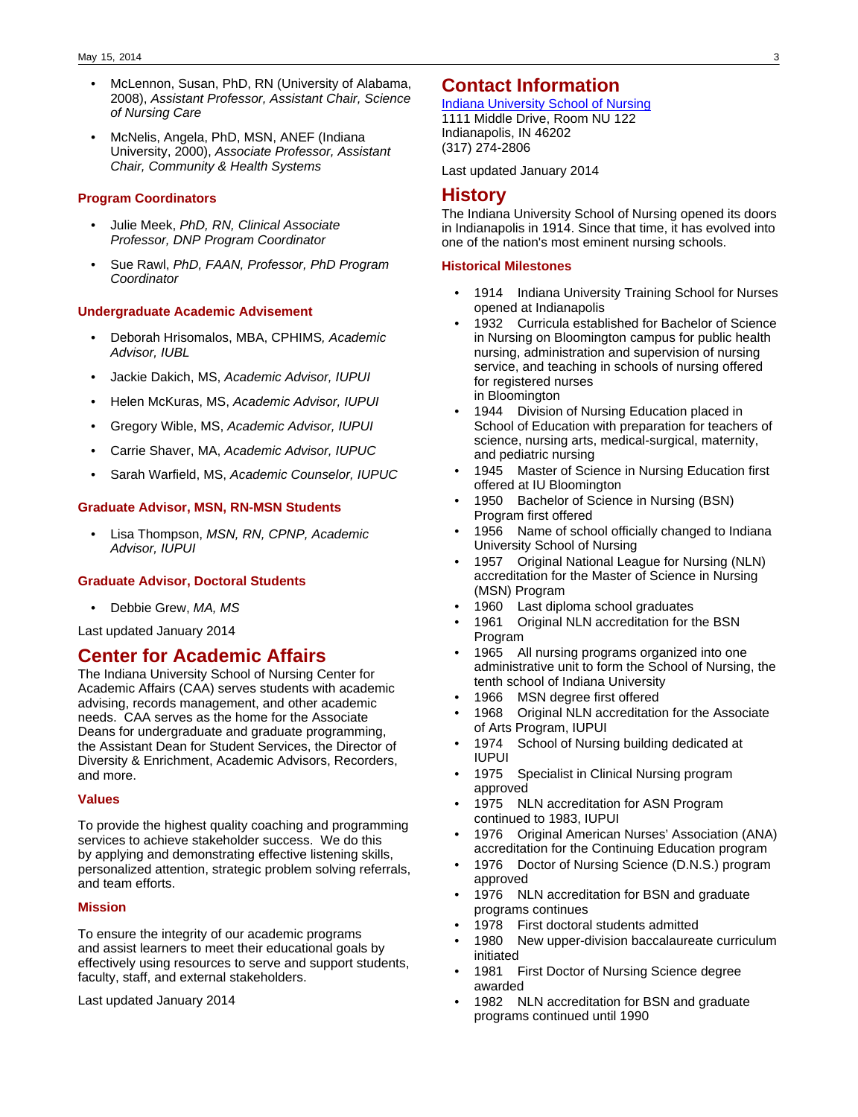- McLennon, Susan, PhD, RN (University of Alabama, 2008), Assistant Professor, Assistant Chair, Science of Nursing Care
- McNelis, Angela, PhD, MSN, ANEF (Indiana University, 2000), Associate Professor, Assistant Chair, Community & Health Systems

### **Program Coordinators**

- Julie Meek, PhD, RN, Clinical Associate Professor, DNP Program Coordinator
- Sue Rawl, PhD, FAAN, Professor, PhD Program **Coordinator**

#### **Undergraduate Academic Advisement**

- Deborah Hrisomalos, MBA, CPHIMS, Academic Advisor, IUBL
- Jackie Dakich, MS, Academic Advisor, IUPUI
- Helen McKuras, MS, Academic Advisor, IUPUI
- Gregory Wible, MS, Academic Advisor, IUPUI
- Carrie Shaver, MA, Academic Advisor, IUPUC
- Sarah Warfield, MS, Academic Counselor, IUPUC

### **Graduate Advisor, MSN, RN-MSN Students**

• Lisa Thompson, MSN, RN, CPNP, Academic Advisor, IUPUI

### **Graduate Advisor, Doctoral Students**

Debbie Grew, MA, MS

Last updated January 2014

### **Center for Academic Affairs**

The Indiana University School of Nursing Center for Academic Affairs (CAA) serves students with academic advising, records management, and other academic needs. CAA serves as the home for the Associate Deans for undergraduate and graduate programming, the Assistant Dean for Student Services, the Director of Diversity & Enrichment, Academic Advisors, Recorders, and more.

### **Values**

To provide the highest quality coaching and programming services to achieve stakeholder success. We do this by applying and demonstrating effective listening skills, personalized attention, strategic problem solving referrals, and team efforts.

### **Mission**

To ensure the integrity of our academic programs and assist learners to meet their educational goals by effectively using resources to serve and support students, faculty, staff, and external stakeholders.

Last updated January 2014

### **Contact Information**

[Indiana University School of Nursing](http://nursing.iupui.edu) 1111 Middle Drive, Room NU 122 Indianapolis, IN 46202 (317) 274-2806

Last updated January 2014

### **History**

The Indiana University School of Nursing opened its doors in Indianapolis in 1914. Since that time, it has evolved into one of the nation's most eminent nursing schools.

### **Historical Milestones**

- 1914 Indiana University Training School for Nurses opened at Indianapolis
- 1932 Curricula established for Bachelor of Science in Nursing on Bloomington campus for public health nursing, administration and supervision of nursing service, and teaching in schools of nursing offered for registered nurses in Bloomington
- 1944 Division of Nursing Education placed in School of Education with preparation for teachers of science, nursing arts, medical-surgical, maternity, and pediatric nursing
- 1945 Master of Science in Nursing Education first offered at IU Bloomington
- 1950 Bachelor of Science in Nursing (BSN) Program first offered
- 1956 Name of school officially changed to Indiana University School of Nursing
- 1957 Original National League for Nursing (NLN) accreditation for the Master of Science in Nursing (MSN) Program
- 1960 Last diploma school graduates
- 1961 Original NLN accreditation for the BSN Program
- 1965 All nursing programs organized into one administrative unit to form the School of Nursing, the tenth school of Indiana University
- 1966 MSN degree first offered
- 1968 Original NLN accreditation for the Associate of Arts Program, IUPUI
- 1974 School of Nursing building dedicated at IUPUI
- 1975 Specialist in Clinical Nursing program approved
- 1975 NLN accreditation for ASN Program continued to 1983, IUPUI
- 1976 Original American Nurses' Association (ANA) accreditation for the Continuing Education program
- 1976 Doctor of Nursing Science (D.N.S.) program approved
- 1976 NLN accreditation for BSN and graduate programs continues
- 1978 First doctoral students admitted
- 1980 New upper-division baccalaureate curriculum initiated
- 1981 First Doctor of Nursing Science degree awarded
- 1982 NLN accreditation for BSN and graduate programs continued until 1990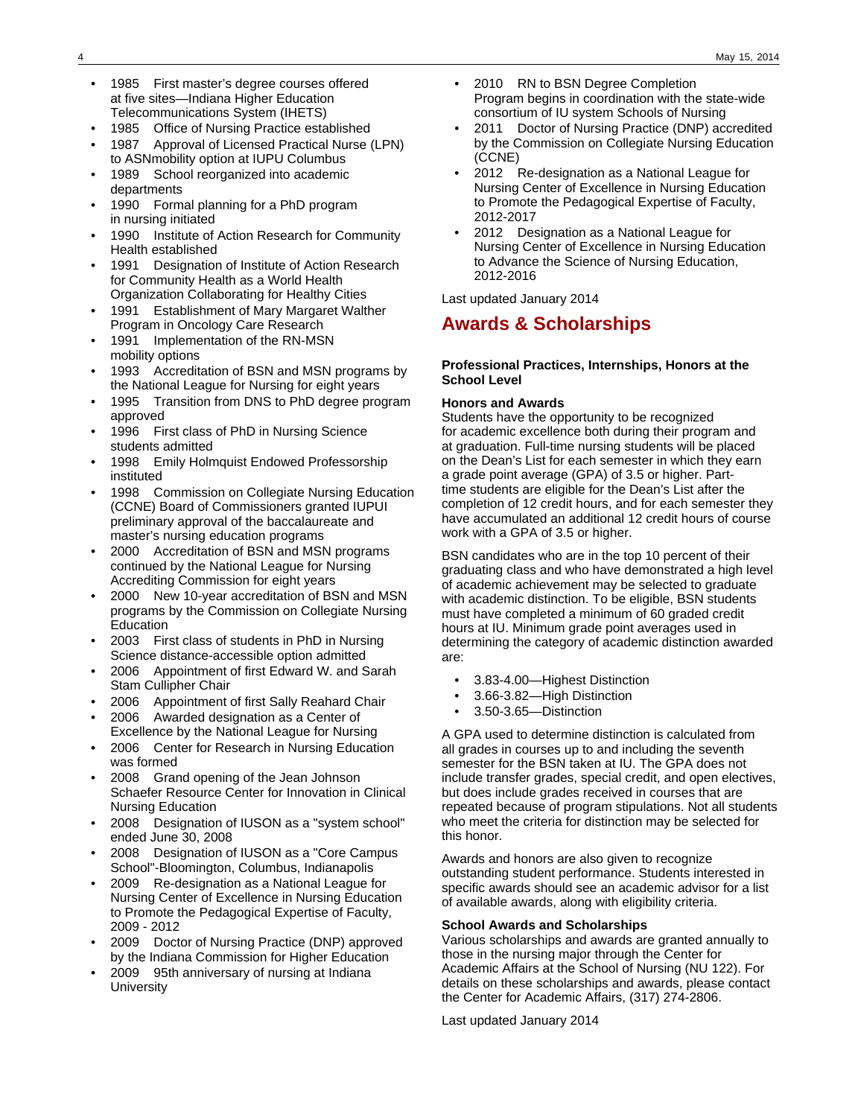- 1985 First master's degree courses offered at five sites—Indiana Higher Education Telecommunications System (IHETS)
- 1985 Office of Nursing Practice established
- 1987 Approval of Licensed Practical Nurse (LPN) to ASNmobility option at IUPU Columbus
- 1989 School reorganized into academic departments
- 1990 Formal planning for a PhD program in nursing initiated
- 1990 Institute of Action Research for Community Health established
- 1991 Designation of Institute of Action Research for Community Health as a World Health Organization Collaborating for Healthy Cities
- 1991 Establishment of Mary Margaret Walther Program in Oncology Care Research
- 1991 Implementation of the RN-MSN mobility options
- 1993 Accreditation of BSN and MSN programs by the National League for Nursing for eight years
- 1995 Transition from DNS to PhD degree program approved
- 1996 First class of PhD in Nursing Science students admitted
- 1998 Emily Holmquist Endowed Professorship instituted
- 1998 Commission on Collegiate Nursing Education (CCNE) Board of Commissioners granted IUPUI preliminary approval of the baccalaureate and master's nursing education programs
- 2000 Accreditation of BSN and MSN programs continued by the National League for Nursing Accrediting Commission for eight years
- 2000 New 10-year accreditation of BSN and MSN programs by the Commission on Collegiate Nursing Education
- 2003 First class of students in PhD in Nursing Science distance-accessible option admitted
- 2006 Appointment of first Edward W. and Sarah Stam Cullipher Chair
- 2006 Appointment of first Sally Reahard Chair
- 2006 Awarded designation as a Center of Excellence by the National League for Nursing
- 2006 Center for Research in Nursing Education was formed
- 2008 Grand opening of the Jean Johnson Schaefer Resource Center for Innovation in Clinical Nursing Education
- 2008 Designation of IUSON as a "system school" ended June 30, 2008
- 2008 Designation of IUSON as a "Core Campus School"-Bloomington, Columbus, Indianapolis
- 2009 Re-designation as a National League for Nursing Center of Excellence in Nursing Education to Promote the Pedagogical Expertise of Faculty, 2009 - 2012
- 2009 Doctor of Nursing Practice (DNP) approved by the Indiana Commission for Higher Education
- 2009 95th anniversary of nursing at Indiana **University**
- 2010 RN to BSN Degree Completion Program begins in coordination with the state-wide consortium of IU system Schools of Nursing
- 2011 Doctor of Nursing Practice (DNP) accredited by the Commission on Collegiate Nursing Education (CCNE)
- 2012 Re-designation as a National League for Nursing Center of Excellence in Nursing Education to Promote the Pedagogical Expertise of Faculty, 2012-2017
- 2012 Designation as a National League for Nursing Center of Excellence in Nursing Education to Advance the Science of Nursing Education, 2012-2016

Last updated January 2014

# **Awards & Scholarships**

### **Professional Practices, Internships, Honors at the School Level**

### **Honors and Awards**

Students have the opportunity to be recognized for academic excellence both during their program and at graduation. Full-time nursing students will be placed on the Dean's List for each semester in which they earn a grade point average (GPA) of 3.5 or higher. Parttime students are eligible for the Dean's List after the completion of 12 credit hours, and for each semester they have accumulated an additional 12 credit hours of course work with a GPA of 3.5 or higher.

BSN candidates who are in the top 10 percent of their graduating class and who have demonstrated a high level of academic achievement may be selected to graduate with academic distinction. To be eligible, BSN students must have completed a minimum of 60 graded credit hours at IU. Minimum grade point averages used in determining the category of academic distinction awarded are:

- 3.83-4.00—Highest Distinction
- 3.66-3.82—High Distinction
- 3.50-3.65—Distinction

A GPA used to determine distinction is calculated from all grades in courses up to and including the seventh semester for the BSN taken at IU. The GPA does not include transfer grades, special credit, and open electives, but does include grades received in courses that are repeated because of program stipulations. Not all students who meet the criteria for distinction may be selected for this honor.

Awards and honors are also given to recognize outstanding student performance. Students interested in specific awards should see an academic advisor for a list of available awards, along with eligibility criteria.

### **School Awards and Scholarships**

Various scholarships and awards are granted annually to those in the nursing major through the Center for Academic Affairs at the School of Nursing (NU 122). For details on these scholarships and awards, please contact the Center for Academic Affairs, (317) 274-2806.

Last updated January 2014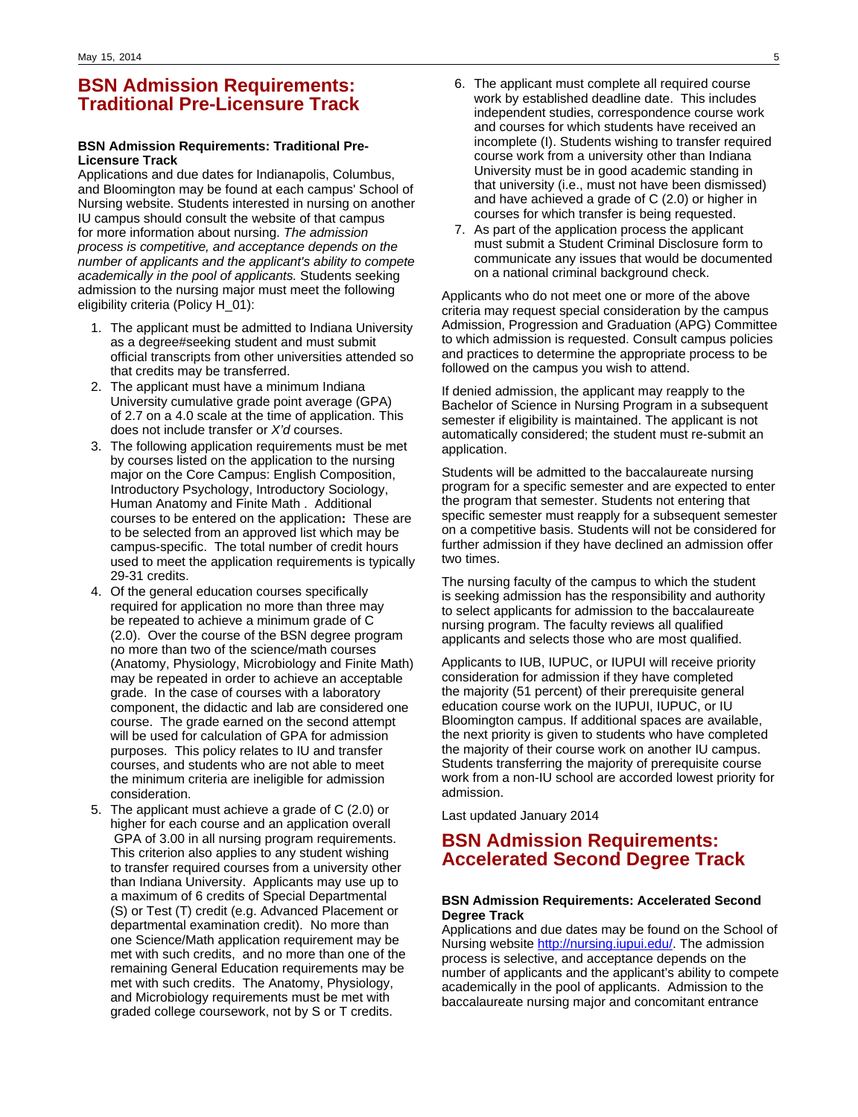# **BSN Admission Requirements: Traditional Pre-Licensure Track**

### **BSN Admission Requirements: Traditional Pre-Licensure Track**

Applications and due dates for Indianapolis, Columbus, and Bloomington may be found at each campus' School of Nursing website. Students interested in nursing on another IU campus should consult the website of that campus for more information about nursing. The admission process is competitive, and acceptance depends on the number of applicants and the applicant's ability to compete academically in the pool of applicants. Students seeking admission to the nursing major must meet the following eligibility criteria (Policy H\_01):

- 1. The applicant must be admitted to Indiana University as a degree#seeking student and must submit official transcripts from other universities attended so that credits may be transferred.
- 2. The applicant must have a minimum Indiana University cumulative grade point average (GPA) of 2.7 on a 4.0 scale at the time of application. This does not include transfer or X'd courses.
- 3. The following application requirements must be met by courses listed on the application to the nursing major on the Core Campus: English Composition, Introductory Psychology, Introductory Sociology, Human Anatomy and Finite Math . Additional courses to be entered on the application**:** These are to be selected from an approved list which may be campus-specific. The total number of credit hours used to meet the application requirements is typically 29-31 credits.
- 4. Of the general education courses specifically required for application no more than three may be repeated to achieve a minimum grade of C (2.0). Over the course of the BSN degree program no more than two of the science/math courses (Anatomy, Physiology, Microbiology and Finite Math) may be repeated in order to achieve an acceptable grade. In the case of courses with a laboratory component, the didactic and lab are considered one course. The grade earned on the second attempt will be used for calculation of GPA for admission purposes. This policy relates to IU and transfer courses, and students who are not able to meet the minimum criteria are ineligible for admission consideration.
- 5. The applicant must achieve a grade of C (2.0) or higher for each course and an application overall GPA of 3.00 in all nursing program requirements. This criterion also applies to any student wishing to transfer required courses from a university other than Indiana University. Applicants may use up to a maximum of 6 credits of Special Departmental (S) or Test (T) credit (e.g. Advanced Placement or departmental examination credit). No more than one Science/Math application requirement may be met with such credits, and no more than one of the remaining General Education requirements may be met with such credits. The Anatomy, Physiology, and Microbiology requirements must be met with graded college coursework, not by S or T credits.
- 6. The applicant must complete all required course work by established deadline date. This includes independent studies, correspondence course work and courses for which students have received an incomplete (I). Students wishing to transfer required course work from a university other than Indiana University must be in good academic standing in that university (i.e., must not have been dismissed) and have achieved a grade of C (2.0) or higher in courses for which transfer is being requested.
- 7. As part of the application process the applicant must submit a Student Criminal Disclosure form to communicate any issues that would be documented on a national criminal background check.

Applicants who do not meet one or more of the above criteria may request special consideration by the campus Admission, Progression and Graduation (APG) Committee to which admission is requested. Consult campus policies and practices to determine the appropriate process to be followed on the campus you wish to attend.

If denied admission, the applicant may reapply to the Bachelor of Science in Nursing Program in a subsequent semester if eligibility is maintained. The applicant is not automatically considered; the student must re-submit an application.

Students will be admitted to the baccalaureate nursing program for a specific semester and are expected to enter the program that semester. Students not entering that specific semester must reapply for a subsequent semester on a competitive basis. Students will not be considered for further admission if they have declined an admission offer two times.

The nursing faculty of the campus to which the student is seeking admission has the responsibility and authority to select applicants for admission to the baccalaureate nursing program. The faculty reviews all qualified applicants and selects those who are most qualified.

Applicants to IUB, IUPUC, or IUPUI will receive priority consideration for admission if they have completed the majority (51 percent) of their prerequisite general education course work on the IUPUI, IUPUC, or IU Bloomington campus. If additional spaces are available, the next priority is given to students who have completed the majority of their course work on another IU campus. Students transferring the majority of prerequisite course work from a non-IU school are accorded lowest priority for admission.

Last updated January 2014

# **BSN Admission Requirements: Accelerated Second Degree Track**

### **BSN Admission Requirements: Accelerated Second Degree Track**

Applications and due dates may be found on the School of Nursing website <http://nursing.iupui.edu/>. The admission process is selective, and acceptance depends on the number of applicants and the applicant's ability to compete academically in the pool of applicants. Admission to the baccalaureate nursing major and concomitant entrance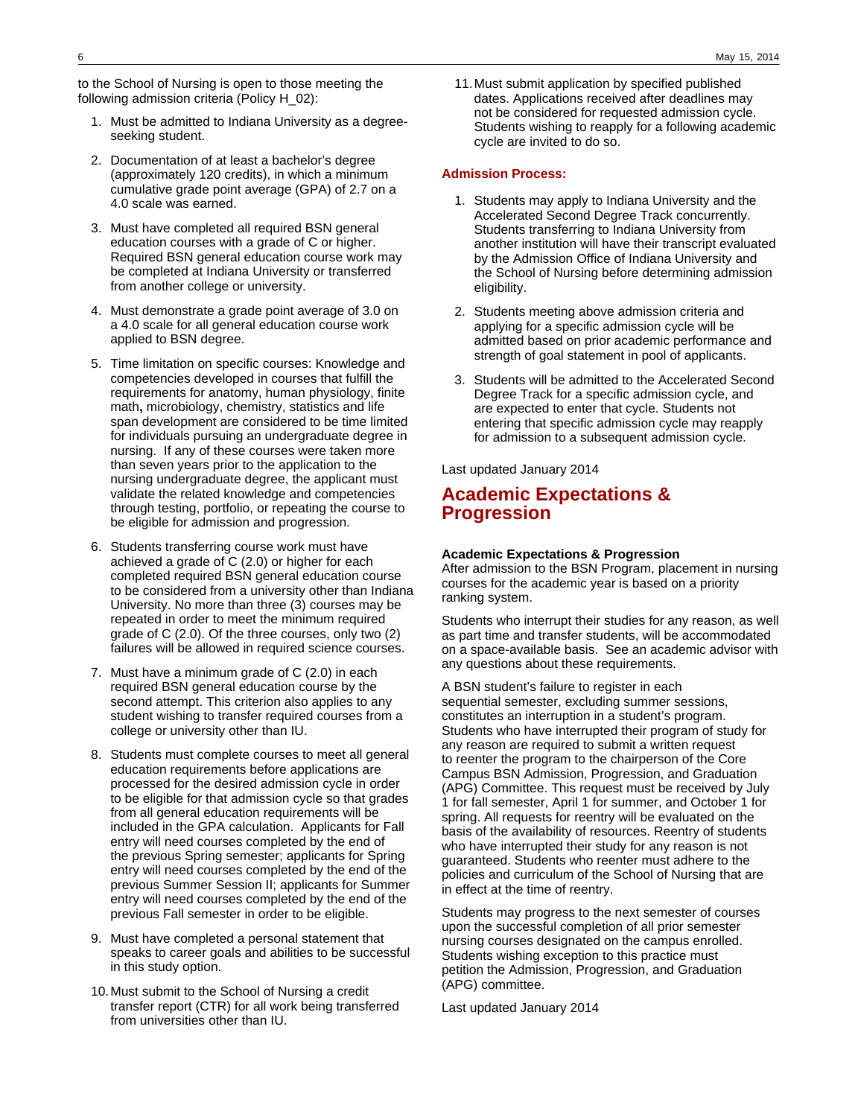to the School of Nursing is open to those meeting the following admission criteria (Policy H\_02):

- 1. Must be admitted to Indiana University as a degreeseeking student.
- 2. Documentation of at least a bachelor's degree (approximately 120 credits), in which a minimum cumulative grade point average (GPA) of 2.7 on a 4.0 scale was earned.
- 3. Must have completed all required BSN general education courses with a grade of C or higher. Required BSN general education course work may be completed at Indiana University or transferred from another college or university.
- 4. Must demonstrate a grade point average of 3.0 on a 4.0 scale for all general education course work applied to BSN degree.
- 5. Time limitation on specific courses: Knowledge and competencies developed in courses that fulfill the requirements for anatomy, human physiology, finite math**,** microbiology, chemistry, statistics and life span development are considered to be time limited for individuals pursuing an undergraduate degree in nursing. If any of these courses were taken more than seven years prior to the application to the nursing undergraduate degree, the applicant must validate the related knowledge and competencies through testing, portfolio, or repeating the course to be eligible for admission and progression.
- 6. Students transferring course work must have achieved a grade of C (2.0) or higher for each completed required BSN general education course to be considered from a university other than Indiana University. No more than three (3) courses may be repeated in order to meet the minimum required grade of C (2.0). Of the three courses, only two (2) failures will be allowed in required science courses.
- 7. Must have a minimum grade of C (2.0) in each required BSN general education course by the second attempt. This criterion also applies to any student wishing to transfer required courses from a college or university other than IU.
- 8. Students must complete courses to meet all general education requirements before applications are processed for the desired admission cycle in order to be eligible for that admission cycle so that grades from all general education requirements will be included in the GPA calculation. Applicants for Fall entry will need courses completed by the end of the previous Spring semester; applicants for Spring entry will need courses completed by the end of the previous Summer Session II; applicants for Summer entry will need courses completed by the end of the previous Fall semester in order to be eligible.
- 9. Must have completed a personal statement that speaks to career goals and abilities to be successful in this study option.
- 10.Must submit to the School of Nursing a credit transfer report (CTR) for all work being transferred from universities other than IU.

11.Must submit application by specified published dates. Applications received after deadlines may not be considered for requested admission cycle. Students wishing to reapply for a following academic cycle are invited to do so.

### **Admission Process:**

- 1. Students may apply to Indiana University and the Accelerated Second Degree Track concurrently. Students transferring to Indiana University from another institution will have their transcript evaluated by the Admission Office of Indiana University and the School of Nursing before determining admission eligibility.
- 2. Students meeting above admission criteria and applying for a specific admission cycle will be admitted based on prior academic performance and strength of goal statement in pool of applicants.
- 3. Students will be admitted to the Accelerated Second Degree Track for a specific admission cycle, and are expected to enter that cycle. Students not entering that specific admission cycle may reapply for admission to a subsequent admission cycle.

Last updated January 2014

# **Academic Expectations & Progression**

### **Academic Expectations & Progression**

After admission to the BSN Program, placement in nursing courses for the academic year is based on a priority ranking system.

Students who interrupt their studies for any reason, as well as part time and transfer students, will be accommodated on a space-available basis. See an academic advisor with any questions about these requirements.

A BSN student's failure to register in each sequential semester, excluding summer sessions, constitutes an interruption in a student's program. Students who have interrupted their program of study for any reason are required to submit a written request to reenter the program to the chairperson of the Core Campus BSN Admission, Progression, and Graduation (APG) Committee. This request must be received by July 1 for fall semester, April 1 for summer, and October 1 for spring. All requests for reentry will be evaluated on the basis of the availability of resources. Reentry of students who have interrupted their study for any reason is not guaranteed. Students who reenter must adhere to the policies and curriculum of the School of Nursing that are in effect at the time of reentry.

Students may progress to the next semester of courses upon the successful completion of all prior semester nursing courses designated on the campus enrolled. Students wishing exception to this practice must petition the Admission, Progression, and Graduation (APG) committee.

Last updated January 2014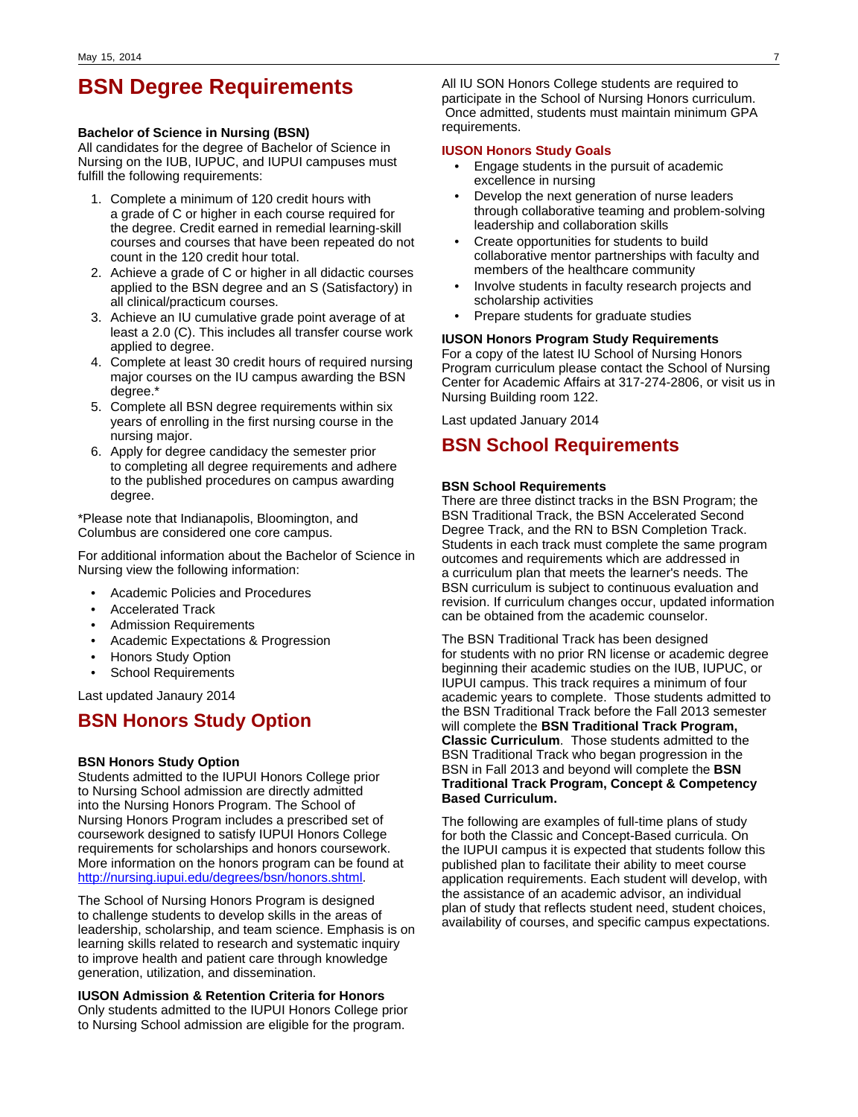# **BSN Degree Requirements**

### **Bachelor of Science in Nursing (BSN)**

All candidates for the degree of Bachelor of Science in Nursing on the IUB, IUPUC, and IUPUI campuses must fulfill the following requirements:

- 1. Complete a minimum of 120 credit hours with a grade of C or higher in each course required for the degree. Credit earned in remedial learning-skill courses and courses that have been repeated do not count in the 120 credit hour total.
- 2. Achieve a grade of C or higher in all didactic courses applied to the BSN degree and an S (Satisfactory) in all clinical/practicum courses.
- 3. Achieve an IU cumulative grade point average of at least a 2.0 (C). This includes all transfer course work applied to degree.
- 4. Complete at least 30 credit hours of required nursing major courses on the IU campus awarding the BSN degree.\*
- 5. Complete all BSN degree requirements within six years of enrolling in the first nursing course in the nursing major.
- 6. Apply for degree candidacy the semester prior to completing all degree requirements and adhere to the published procedures on campus awarding degree.

\*Please note that Indianapolis, Bloomington, and Columbus are considered one core campus.

For additional information about the Bachelor of Science in Nursing view the following information:

- Academic Policies and Procedures
- Accelerated Track
- Admission Requirements
- Academic Expectations & Progression
- Honors Study Option
- School Requirements

Last updated Janaury 2014

## **BSN Honors Study Option**

### **BSN Honors Study Option**

Students admitted to the IUPUI Honors College prior to Nursing School admission are directly admitted into the Nursing Honors Program. The School of Nursing Honors Program includes a prescribed set of coursework designed to satisfy IUPUI Honors College requirements for scholarships and honors coursework. More information on the honors program can be found at <http://nursing.iupui.edu/degrees/bsn/honors.shtml>.

The School of Nursing Honors Program is designed to challenge students to develop skills in the areas of leadership, scholarship, and team science. Emphasis is on learning skills related to research and systematic inquiry to improve health and patient care through knowledge generation, utilization, and dissemination.

### **IUSON Admission & Retention Criteria for Honors**

Only students admitted to the IUPUI Honors College prior to Nursing School admission are eligible for the program.

All IU SON Honors College students are required to participate in the School of Nursing Honors curriculum. Once admitted, students must maintain minimum GPA requirements.

#### **IUSON Honors Study Goals**

- Engage students in the pursuit of academic excellence in nursing
- Develop the next generation of nurse leaders through collaborative teaming and problem-solving leadership and collaboration skills
- Create opportunities for students to build collaborative mentor partnerships with faculty and members of the healthcare community
- Involve students in faculty research projects and scholarship activities
- Prepare students for graduate studies

### **IUSON Honors Program Study Requirements**

For a copy of the latest IU School of Nursing Honors Program curriculum please contact the School of Nursing Center for Academic Affairs at 317-274-2806, or visit us in Nursing Building room 122.

Last updated January 2014

### **BSN School Requirements**

#### **BSN School Requirements**

There are three distinct tracks in the BSN Program; the BSN Traditional Track, the BSN Accelerated Second Degree Track, and the RN to BSN Completion Track. Students in each track must complete the same program outcomes and requirements which are addressed in a curriculum plan that meets the learner's needs. The BSN curriculum is subject to continuous evaluation and revision. If curriculum changes occur, updated information can be obtained from the academic counselor.

The BSN Traditional Track has been designed for students with no prior RN license or academic degree beginning their academic studies on the IUB, IUPUC, or IUPUI campus. This track requires a minimum of four academic years to complete. Those students admitted to the BSN Traditional Track before the Fall 2013 semester will complete the **BSN Traditional Track Program, Classic Curriculum**. Those students admitted to the BSN Traditional Track who began progression in the BSN in Fall 2013 and beyond will complete the **BSN Traditional Track Program, Concept & Competency Based Curriculum.**

The following are examples of full-time plans of study for both the Classic and Concept-Based curricula. On the IUPUI campus it is expected that students follow this published plan to facilitate their ability to meet course application requirements. Each student will develop, with the assistance of an academic advisor, an individual plan of study that reflects student need, student choices, availability of courses, and specific campus expectations.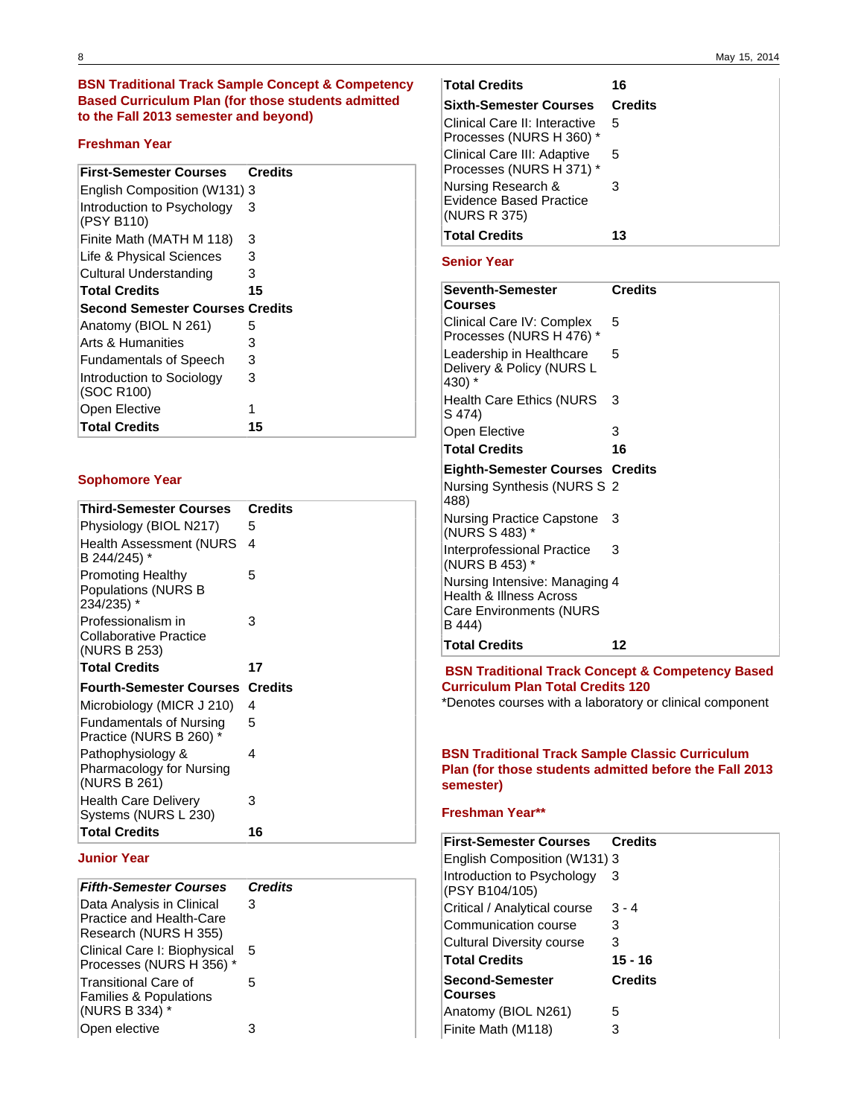### **BSN Traditional Track Sample Concept & Competency Based Curriculum Plan (for those students admitted to the Fall 2013 semester and beyond)**

### **Freshman Year**

| <b>First-Semester Courses</b>            | <b>Credits</b> |
|------------------------------------------|----------------|
| English Composition (W131) 3             |                |
| Introduction to Psychology<br>(PSY B110) | З              |
| Finite Math (MATH M 118)                 | 3              |
| Life & Physical Sciences                 | 3              |
| Cultural Understanding                   | 3              |
| <b>Total Credits</b>                     | 15             |
| <b>Second Semester Courses Credits</b>   |                |
| Anatomy (BIOL N 261)                     | 5              |
| Arts & Humanities                        | 3              |
| <b>Fundamentals of Speech</b>            | 3              |
| Introduction to Sociology<br>(SOC R100)  | 3              |
| Open Elective                            | 1              |
| <b>Total Credits</b>                     | 15             |

### **Sophomore Year**

| Third-Semester Courses                                        | <b>Credits</b> |
|---------------------------------------------------------------|----------------|
| Physiology (BIOL N217)                                        | 5              |
| <b>Health Assessment (NURS</b><br>B 244/245) *                | 4              |
| <b>Promoting Healthy</b><br>Populations (NURS B<br>234/235) * | 5              |
| Professionalism in<br>Collaborative Practice<br>(NURS B 253)  | 3              |
| <b>Total Credits</b>                                          | 17             |
| <b>Fourth-Semester Courses</b>                                | <b>Credits</b> |
| Microbiology (MICR J 210)                                     | 4              |
| <b>Fundamentals of Nursing</b><br>Practice (NURS B 260) *     | 5              |
| Pathophysiology &<br>Pharmacology for Nursing<br>(NURS B 261) | 4              |
| <b>Health Care Delivery</b><br>Systems (NURS L 230)           | 3              |
| <b>Total Credits</b>                                          | 16             |

### **Junior Year**

| <b>Fifth-Semester Courses</b>                            | <b>Credits</b> |
|----------------------------------------------------------|----------------|
| Data Analysis in Clinical                                | 3              |
| Practice and Health-Care                                 |                |
| Research (NURS H 355)                                    |                |
| Clinical Care I: Biophysical<br>Processes (NURS H 356) * | 5              |
| Transitional Care of                                     | 5              |
| <b>Families &amp; Populations</b>                        |                |
| (NURS B 334) *                                           |                |
| Open elective                                            |                |

| <b>Total Credits</b>                                                 | 16             |
|----------------------------------------------------------------------|----------------|
| <b>Sixth-Semester Courses</b>                                        | <b>Credits</b> |
| Clinical Care II: Interactive<br>Processes (NURS H 360) *            | 5              |
| Clinical Care III: Adaptive<br>Processes (NURS H 371) *              | 5              |
| Nursing Research &<br><b>Evidence Based Practice</b><br>(NURS R 375) | 3              |
| <b>Total Credits</b>                                                 | 13             |

### **Senior Year**

| <b>Seventh-Semester</b><br>Courses                                                                   | <b>Credits</b> |
|------------------------------------------------------------------------------------------------------|----------------|
| Clinical Care IV: Complex<br>Processes (NURS H 476) *                                                | 5              |
| Leadership in Healthcare<br>Delivery & Policy (NURS L<br>430) *                                      | 5              |
| <b>Health Care Ethics (NURS</b><br>S 474)                                                            | 3              |
| Open Elective                                                                                        | 3              |
| <b>Total Credits</b>                                                                                 | 16             |
| <b>Eighth-Semester Courses Credits</b>                                                               |                |
|                                                                                                      |                |
| Nursing Synthesis (NURS S 2<br>488)                                                                  |                |
| Nursing Practice Capstone<br>(NURS S 483) *                                                          | 3              |
| Interprofessional Practice<br>(NURS B 453) *                                                         | 3              |
| Nursing Intensive: Managing 4<br>Health & Illness Across<br><b>Care Environments (NURS</b><br>B 444) |                |

 **BSN Traditional Track Concept & Competency Based Curriculum Plan Total Credits 120**

\*Denotes courses with a laboratory or clinical component

### **BSN Traditional Track Sample Classic Curriculum Plan (for those students admitted before the Fall 2013 semester)**

### **Freshman Year\*\***

| <b>First-Semester Courses</b>                | <b>Credits</b> |
|----------------------------------------------|----------------|
| English Composition (W131) 3                 |                |
| Introduction to Psychology<br>(PSY B104/105) | З              |
| Critical / Analytical course                 | $3 - 4$        |
| Communication course                         | З              |
| Cultural Diversity course                    | 3              |
| <b>Total Credits</b>                         | 15 - 16        |
| <b>Second-Semester</b><br><b>Courses</b>     | <b>Credits</b> |
| Anatomy (BIOL N261)                          | 5              |
| Finite Math (M118)                           |                |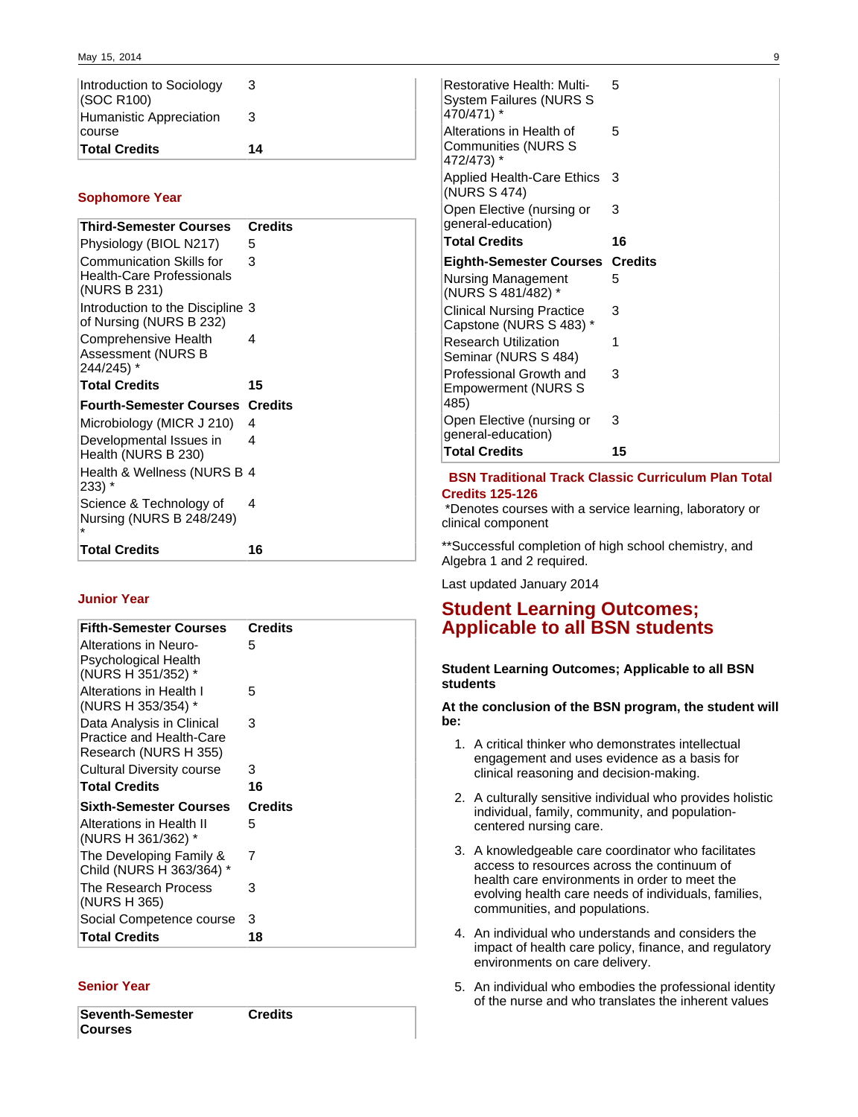| ∣Total Credits                          | 14 |
|-----------------------------------------|----|
| course                                  |    |
| Humanistic Appreciation                 | 3  |
| Introduction to Sociology<br>(SOC R100) | 3  |

### **Sophomore Year**

| <b>Third-Semester Courses</b>                                                       | <b>Credits</b> |
|-------------------------------------------------------------------------------------|----------------|
| Physiology (BIOL N217)                                                              | 5              |
| <b>Communication Skills for</b><br><b>Health-Care Professionals</b><br>(NURS B 231) | 3              |
| Introduction to the Discipline 3<br>of Nursing (NURS B 232)                         |                |
| Comprehensive Health<br>Assessment (NURS B<br>244/245) *                            | 4              |
| <b>Total Credits</b>                                                                | 15             |
| <b>Fourth-Semester Courses</b>                                                      | <b>Credits</b> |
|                                                                                     |                |
| Microbiology (MICR J 210)                                                           | 4              |
| Developmental Issues in<br>Health (NURS B 230)                                      | 4              |
| Health & Wellness (NURS B 4<br>233) *                                               |                |
| Science & Technology of<br>Nursing (NURS B 248/249)                                 | 4              |

### **Junior Year**

| <b>Fifth-Semester Courses</b> | <b>Credits</b> |
|-------------------------------|----------------|
|                               |                |
| Alterations in Neuro-         | 5              |
| Psychological Health          |                |
| (NURS H 351/352) *            |                |
| Alterations in Health I       | 5              |
| (NURS H 353/354) *            |                |
| Data Analysis in Clinical     | 3              |
| Practice and Health-Care      |                |
| Research (NURS H 355)         |                |
|                               | 3              |
| Cultural Diversity course     |                |
| <b>Total Credits</b>          | 16             |
| <b>Sixth-Semester Courses</b> | <b>Credits</b> |
| Alterations in Health II      | 5              |
| (NURS H 361/362) *            |                |
| The Developing Family &       | 7              |
| Child (NURS H 363/364) *      |                |
|                               |                |
| The Research Process          | 3              |
| (NURS H 365)                  |                |
| Social Competence course      | 3              |
| <b>Total Credits</b>          | 18             |

### **Senior Year**

**Seventh-Semester Courses Credits** 

Restorative Health: Multi-System Failures (NURS S 470/471) \* 5 Alterations in Health of Communities (NURS S 472/473) \* 5 Applied Health-Care Ethics 3 (NURS S 474) Open Elective (nursing or general-education) 3 **Total Credits 16 Eighth-Semester Courses Credits** Nursing Management (NURS S 481/482) \* 5 Clinical Nursing Practice Capstone (NURS S 483) \* 3 Research Utilization Seminar (NURS S 484) 1 Professional Growth and Empowerment (NURS S 485) 3 Open Elective (nursing or general-education) 3 **Total Credits 15**

### **BSN Traditional Track Classic Curriculum Plan Total Credits 125-126**

 \*Denotes courses with a service learning, laboratory or clinical component

\*\*Successful completion of high school chemistry, and Algebra 1 and 2 required.

Last updated January 2014

# **Student Learning Outcomes; Applicable to all BSN students**

### **Student Learning Outcomes; Applicable to all BSN students**

**At the conclusion of the BSN program, the student will be:**

- 1. A critical thinker who demonstrates intellectual engagement and uses evidence as a basis for clinical reasoning and decision-making.
- 2. A culturally sensitive individual who provides holistic individual, family, community, and populationcentered nursing care.
- 3. A knowledgeable care coordinator who facilitates access to resources across the continuum of health care environments in order to meet the evolving health care needs of individuals, families, communities, and populations.
- 4. An individual who understands and considers the impact of health care policy, finance, and regulatory environments on care delivery.
- 5. An individual who embodies the professional identity of the nurse and who translates the inherent values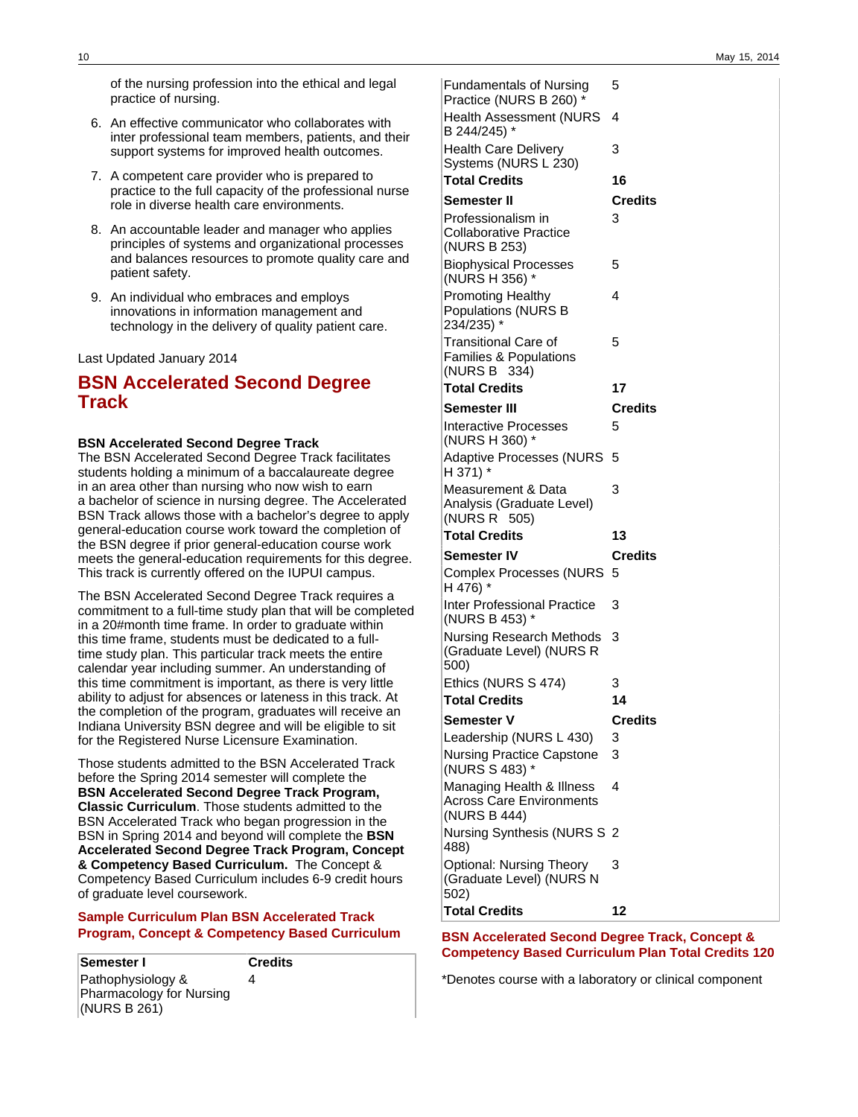of the nursing profession into the ethical and legal practice of nursing.

- 6. An effective communicator who collaborates with inter professional team members, patients, and their support systems for improved health outcomes.
- 7. A competent care provider who is prepared to practice to the full capacity of the professional nurse role in diverse health care environments.
- 8. An accountable leader and manager who applies principles of systems and organizational processes and balances resources to promote quality care and patient safety.
- 9. An individual who embraces and employs innovations in information management and technology in the delivery of quality patient care.

Last Updated January 2014

# **BSN Accelerated Second Degree Track**

### **BSN Accelerated Second Degree Track**

The BSN Accelerated Second Degree Track facilitates students holding a minimum of a baccalaureate degree in an area other than nursing who now wish to earn a bachelor of science in nursing degree. The Accelerated BSN Track allows those with a bachelor's degree to apply general-education course work toward the completion of the BSN degree if prior general-education course work meets the general-education requirements for this degree. This track is currently offered on the IUPUI campus.

The BSN Accelerated Second Degree Track requires a commitment to a full-time study plan that will be completed in a 20#month time frame. In order to graduate within this time frame, students must be dedicated to a fulltime study plan. This particular track meets the entire calendar year including summer. An understanding of this time commitment is important, as there is very little ability to adjust for absences or lateness in this track. At the completion of the program, graduates will receive an Indiana University BSN degree and will be eligible to sit for the Registered Nurse Licensure Examination.

Those students admitted to the BSN Accelerated Track before the Spring 2014 semester will complete the **BSN Accelerated Second Degree Track Program, Classic Curriculum**. Those students admitted to the BSN Accelerated Track who began progression in the BSN in Spring 2014 and beyond will complete the **BSN Accelerated Second Degree Track Program, Concept & Competency Based Curriculum.** The Concept & Competency Based Curriculum includes 6-9 credit hours of graduate level coursework.

### **Sample Curriculum Plan BSN Accelerated Track Program, Concept & Competency Based Curriculum**

**Semester I Credits** Pathophysiology & Pharmacology for Nursing (NURS B 261) 4

Fundamentals of Nursing Practice (NURS B 260) \* 5 Health Assessment (NURS 4 B 244/245) \* Health Care Delivery Systems (NURS L 230) 3 **Total Credits 16 Semester II Credits** Professionalism in Collaborative Practice (NURS B 253) 3 Biophysical Processes (NURS H 356) \* 5 Promoting Healthy Populations (NURS B 234/235) \* 4 Transitional Care of Families & Populations (NURS B 334) 5 **Total Credits 17 Semester III Credits** Interactive Processes (NURS H 360) \* 5 Adaptive Processes (NURS 5 H 371) \* Measurement & Data Analysis (Graduate Level) (NURS R 505) 3 **Total Credits 13 Semester IV Credits** Complex Processes (NURS 5 H 476) \* Inter Professional Practice (NURS B 453) \* 3 Nursing Research Methods 3 (Graduate Level) (NURS R 500) Ethics (NURS S 474) 3 **Total Credits 14 Semester V Credits** Leadership (NURS L 430) 3 Nursing Practice Capstone (NURS S 483) \* 3 Managing Health & Illness Across Care Environments (NURS B 444) 4 Nursing Synthesis (NURS S 2 488) Optional: Nursing Theory (Graduate Level) (NURS N 3

**BSN Accelerated Second Degree Track, Concept & Competency Based Curriculum Plan Total Credits 120**

**Total Credits 12**

502)

\*Denotes course with a laboratory or clinical component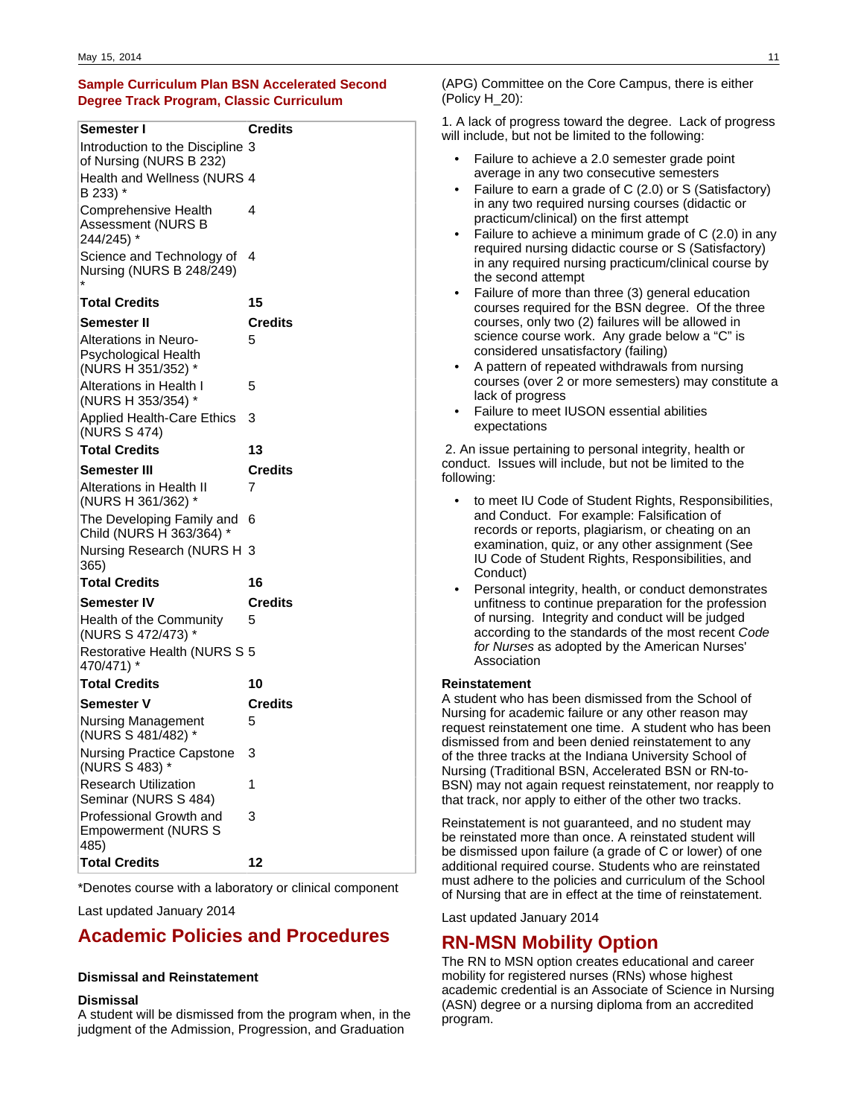### **Sample Curriculum Plan BSN Accelerated Second Degree Track Program, Classic Curriculum**

| Semester I                                                          | <b>Credits</b> |
|---------------------------------------------------------------------|----------------|
| Introduction to the Discipline 3<br>of Nursing (NURS B 232)         |                |
| Health and Wellness (NURS 4<br>B 233) *                             |                |
| Comprehensive Health<br>Assessment (NURS B<br>244/245) *            | 4              |
| Science and Technology of<br>Nursing (NURS B 248/249)               | 4              |
| Total Credits                                                       | 15             |
| Semester II                                                         | Credits        |
| Alterations in Neuro-<br>Psychological Health<br>(NURS H 351/352) * | 5              |
| Alterations in Health I<br>(NURS H 353/354) *                       | 5              |
| <b>Applied Health-Care Ethics</b><br>(NURS S 474)                   | 3              |
| <b>Total Credits</b>                                                | 13             |
| Semester III                                                        | <b>Credits</b> |
| Alterations in Health II<br>(NURS H 361/362) *                      | 7              |
| The Developing Family and<br>Child (NURS H 363/364) *               | 6              |
| Nursing Research (NURS H 3<br>365)                                  |                |
| Total Credits                                                       | 16             |
| Semester IV                                                         | Credits        |
| Health of the Community<br>(NURS S 472/473) *                       | 5              |
| Restorative Health (NURS S 5<br>470/471) *                          |                |
| Total Credits                                                       | 10             |
| Semester V                                                          | Credits        |
| <b>Nursing Management</b><br>(NURS S 481/482) *                     | 5              |
| <b>Nursing Practice Capstone</b><br>(NURS S 483)                    | 3              |
| Research Utilization<br>Seminar (NURS S 484)                        | 1              |
| Professional Growth and<br><b>Empowerment (NURS S</b><br>485)       | 3              |
|                                                                     |                |

\*Denotes course with a laboratory or clinical component

Last updated January 2014

# **Academic Policies and Procedures**

### **Dismissal and Reinstatement**

#### **Dismissal**

A student will be dismissed from the program when, in the judgment of the Admission, Progression, and Graduation

(APG) Committee on the Core Campus, there is either (Policy H\_20):

1. A lack of progress toward the degree. Lack of progress will include, but not be limited to the following:

- Failure to achieve a 2.0 semester grade point average in any two consecutive semesters
- Failure to earn a grade of C (2.0) or S (Satisfactory) in any two required nursing courses (didactic or practicum/clinical) on the first attempt
- Failure to achieve a minimum grade of C (2.0) in any required nursing didactic course or S (Satisfactory) in any required nursing practicum/clinical course by the second attempt
- Failure of more than three (3) general education courses required for the BSN degree. Of the three courses, only two (2) failures will be allowed in science course work. Any grade below a "C" is considered unsatisfactory (failing)
- A pattern of repeated withdrawals from nursing courses (over 2 or more semesters) may constitute a lack of progress
- Failure to meet IUSON essential abilities expectations

 2. An issue pertaining to personal integrity, health or conduct. Issues will include, but not be limited to the following:

- to meet IU Code of Student Rights, Responsibilities, and Conduct. For example: Falsification of records or reports, plagiarism, or cheating on an examination, quiz, or any other assignment (See IU Code of Student Rights, Responsibilities, and Conduct)
- Personal integrity, health, or conduct demonstrates unfitness to continue preparation for the profession of nursing. Integrity and conduct will be judged according to the standards of the most recent Code for Nurses as adopted by the American Nurses' Association

### **Reinstatement**

A student who has been dismissed from the School of Nursing for academic failure or any other reason may request reinstatement one time. A student who has been dismissed from and been denied reinstatement to any of the three tracks at the Indiana University School of Nursing (Traditional BSN, Accelerated BSN or RN-to-BSN) may not again request reinstatement, nor reapply to that track, nor apply to either of the other two tracks.

Reinstatement is not guaranteed, and no student may be reinstated more than once. A reinstated student will be dismissed upon failure (a grade of C or lower) of one additional required course. Students who are reinstated must adhere to the policies and curriculum of the School of Nursing that are in effect at the time of reinstatement.

Last updated January 2014

## **RN-MSN Mobility Option**

The RN to MSN option creates educational and career mobility for registered nurses (RNs) whose highest academic credential is an Associate of Science in Nursing (ASN) degree or a nursing diploma from an accredited program.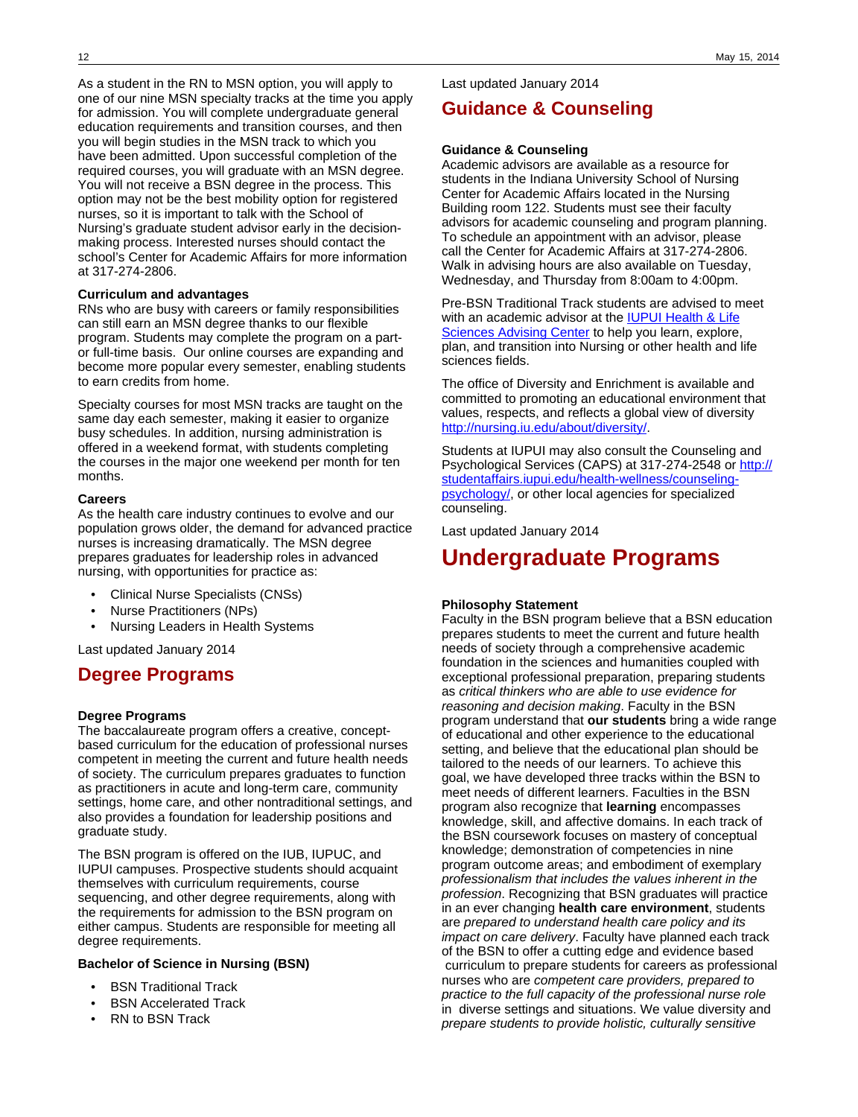As a student in the RN to MSN option, you will apply to one of our nine MSN specialty tracks at the time you apply for admission. You will complete undergraduate general education requirements and transition courses, and then you will begin studies in the MSN track to which you have been admitted. Upon successful completion of the required courses, you will graduate with an MSN degree. You will not receive a BSN degree in the process. This option may not be the best mobility option for registered nurses, so it is important to talk with the School of Nursing's graduate student advisor early in the decisionmaking process. Interested nurses should contact the school's Center for Academic Affairs for more information at 317-274-2806.

### **Curriculum and advantages**

RNs who are busy with careers or family responsibilities can still earn an MSN degree thanks to our flexible program. Students may complete the program on a partor full-time basis. Our online courses are expanding and become more popular every semester, enabling students to earn credits from home.

Specialty courses for most MSN tracks are taught on the same day each semester, making it easier to organize busy schedules. In addition, nursing administration is offered in a weekend format, with students completing the courses in the major one weekend per month for ten months.

### **Careers**

As the health care industry continues to evolve and our population grows older, the demand for advanced practice nurses is increasing dramatically. The MSN degree prepares graduates for leadership roles in advanced nursing, with opportunities for practice as:

- Clinical Nurse Specialists (CNSs)
- Nurse Practitioners (NPs)
- Nursing Leaders in Health Systems

Last updated January 2014

## **Degree Programs**

### **Degree Programs**

The baccalaureate program offers a creative, conceptbased curriculum for the education of professional nurses competent in meeting the current and future health needs of society. The curriculum prepares graduates to function as practitioners in acute and long-term care, community settings, home care, and other nontraditional settings, and also provides a foundation for leadership positions and graduate study.

The BSN program is offered on the IUB, IUPUC, and IUPUI campuses. Prospective students should acquaint themselves with curriculum requirements, course sequencing, and other degree requirements, along with the requirements for admission to the BSN program on either campus. Students are responsible for meeting all degree requirements.

### **Bachelor of Science in Nursing (BSN)**

- **BSN Traditional Track**
- **BSN Accelerated Track**
- RN to BSN Track

Last updated January 2014

# **Guidance & Counseling**

### **Guidance & Counseling**

Academic advisors are available as a resource for students in the Indiana University School of Nursing Center for Academic Affairs located in the Nursing Building room 122. Students must see their faculty advisors for academic counseling and program planning. To schedule an appointment with an advisor, please call the Center for Academic Affairs at 317-274-2806. Walk in advising hours are also available on Tuesday, Wednesday, and Thursday from 8:00am to 4:00pm.

Pre-BSN Traditional Track students are advised to meet with an academic advisor at the **[IUPUI Health & Life](http://hls.iupui.edu/Home.aspx)** [Sciences Advising Center](http://hls.iupui.edu/Home.aspx) to help you learn, explore, plan, and transition into Nursing or other health and life sciences fields.

The office of Diversity and Enrichment is available and committed to promoting an educational environment that values, respects, and reflects a global view of diversity <http://nursing.iu.edu/about/diversity/>.

Students at IUPUI may also consult the Counseling and Psychological Services (CAPS) at 317-274-2548 or [http://](http://studentaffairs.iupui.edu/health-wellness/counseling-psychology/) [studentaffairs.iupui.edu/health-wellness/counseling](http://studentaffairs.iupui.edu/health-wellness/counseling-psychology/)[psychology/,](http://studentaffairs.iupui.edu/health-wellness/counseling-psychology/) or other local agencies for specialized counseling.

Last updated January 2014

# **Undergraduate Programs**

### **Philosophy Statement**

Faculty in the BSN program believe that a BSN education prepares students to meet the current and future health needs of society through a comprehensive academic foundation in the sciences and humanities coupled with exceptional professional preparation, preparing students as critical thinkers who are able to use evidence for reasoning and decision making. Faculty in the BSN program understand that **our students** bring a wide range of educational and other experience to the educational setting, and believe that the educational plan should be tailored to the needs of our learners. To achieve this goal, we have developed three tracks within the BSN to meet needs of different learners. Faculties in the BSN program also recognize that **learning** encompasses knowledge, skill, and affective domains. In each track of the BSN coursework focuses on mastery of conceptual knowledge; demonstration of competencies in nine program outcome areas; and embodiment of exemplary professionalism that includes the values inherent in the profession. Recognizing that BSN graduates will practice in an ever changing **health care environment**, students are prepared to understand health care policy and its impact on care delivery. Faculty have planned each track of the BSN to offer a cutting edge and evidence based curriculum to prepare students for careers as professional nurses who are competent care providers, prepared to practice to the full capacity of the professional nurse role in diverse settings and situations. We value diversity and prepare students to provide holistic, culturally sensitive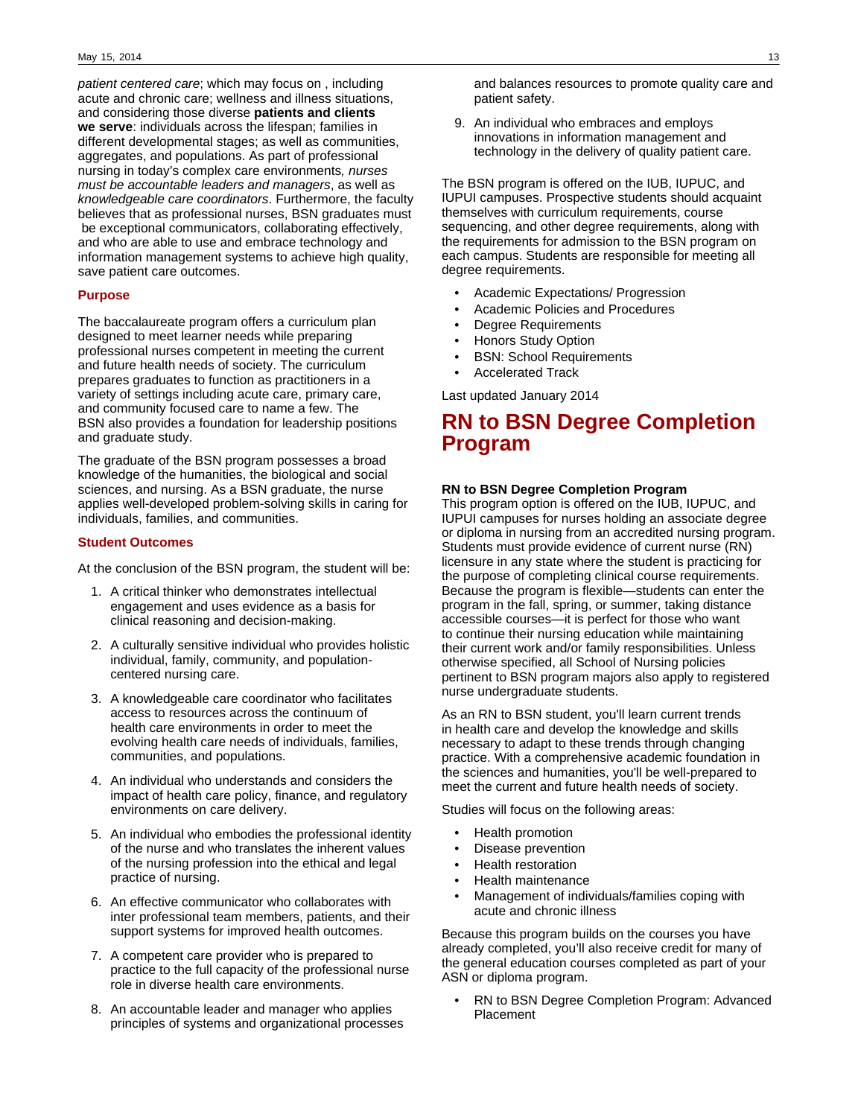patient centered care; which may focus on , including acute and chronic care; wellness and illness situations, and considering those diverse **patients and clients we serve**: individuals across the lifespan; families in different developmental stages; as well as communities, aggregates, and populations. As part of professional nursing in today's complex care environments, nurses must be accountable leaders and managers, as well as knowledgeable care coordinators. Furthermore, the faculty believes that as professional nurses, BSN graduates must be exceptional communicators, collaborating effectively, and who are able to use and embrace technology and information management systems to achieve high quality, save patient care outcomes.

### **Purpose**

The baccalaureate program offers a curriculum plan designed to meet learner needs while preparing professional nurses competent in meeting the current and future health needs of society. The curriculum prepares graduates to function as practitioners in a variety of settings including acute care, primary care, and community focused care to name a few. The BSN also provides a foundation for leadership positions and graduate study.

The graduate of the BSN program possesses a broad knowledge of the humanities, the biological and social sciences, and nursing. As a BSN graduate, the nurse applies well-developed problem-solving skills in caring for individuals, families, and communities.

### **Student Outcomes**

At the conclusion of the BSN program, the student will be:

- 1. A critical thinker who demonstrates intellectual engagement and uses evidence as a basis for clinical reasoning and decision-making.
- 2. A culturally sensitive individual who provides holistic individual, family, community, and populationcentered nursing care.
- 3. A knowledgeable care coordinator who facilitates access to resources across the continuum of health care environments in order to meet the evolving health care needs of individuals, families, communities, and populations.
- 4. An individual who understands and considers the impact of health care policy, finance, and regulatory environments on care delivery.
- 5. An individual who embodies the professional identity of the nurse and who translates the inherent values of the nursing profession into the ethical and legal practice of nursing.
- 6. An effective communicator who collaborates with inter professional team members, patients, and their support systems for improved health outcomes.
- 7. A competent care provider who is prepared to practice to the full capacity of the professional nurse role in diverse health care environments.
- 8. An accountable leader and manager who applies principles of systems and organizational processes

and balances resources to promote quality care and patient safety.

9. An individual who embraces and employs innovations in information management and technology in the delivery of quality patient care.

The BSN program is offered on the IUB, IUPUC, and IUPUI campuses. Prospective students should acquaint themselves with curriculum requirements, course sequencing, and other degree requirements, along with the requirements for admission to the BSN program on each campus. Students are responsible for meeting all degree requirements.

- Academic Expectations/ Progression
- Academic Policies and Procedures
- Degree Requirements
- Honors Study Option
- BSN: School Requirements
- Accelerated Track

Last updated January 2014

# **RN to BSN Degree Completion Program**

### **RN to BSN Degree Completion Program**

This program option is offered on the IUB, IUPUC, and IUPUI campuses for nurses holding an associate degree or diploma in nursing from an accredited nursing program. Students must provide evidence of current nurse (RN) licensure in any state where the student is practicing for the purpose of completing clinical course requirements. Because the program is flexible—students can enter the program in the fall, spring, or summer, taking distance accessible courses—it is perfect for those who want to continue their nursing education while maintaining their current work and/or family responsibilities. Unless otherwise specified, all School of Nursing policies pertinent to BSN program majors also apply to registered nurse undergraduate students.

As an RN to BSN student, you'll learn current trends in health care and develop the knowledge and skills necessary to adapt to these trends through changing practice. With a comprehensive academic foundation in the sciences and humanities, you'll be well-prepared to meet the current and future health needs of society.

Studies will focus on the following areas:

- Health promotion
- Disease prevention
- Health restoration
- Health maintenance
- Management of individuals/families coping with acute and chronic illness

Because this program builds on the courses you have already completed, you'll also receive credit for many of the general education courses completed as part of your ASN or diploma program.

• RN to BSN Degree Completion Program: Advanced Placement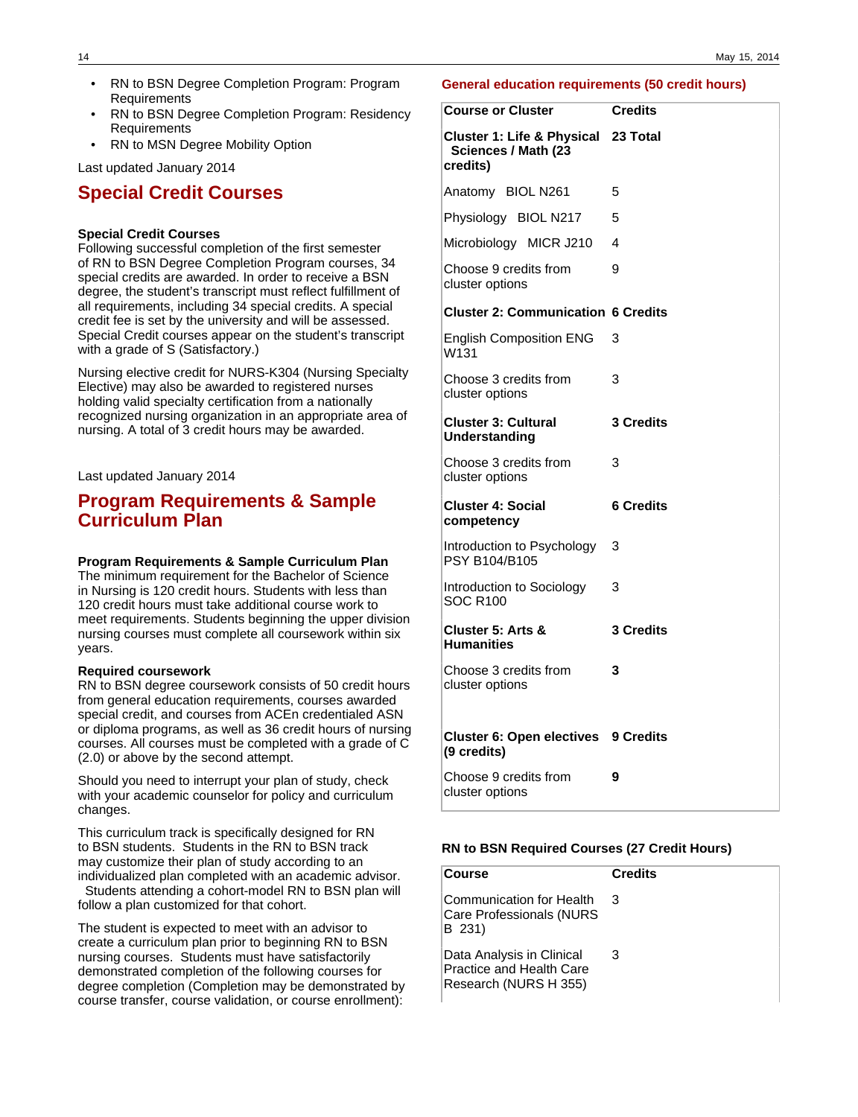- RN to BSN Degree Completion Program: Program Requirements
- RN to BSN Degree Completion Program: Residency Requirements
- RN to MSN Degree Mobility Option

Last updated January 2014

# **Special Credit Courses**

### **Special Credit Courses**

Following successful completion of the first semester of RN to BSN Degree Completion Program courses, 34 special credits are awarded. In order to receive a BSN degree, the student's transcript must reflect fulfillment of all requirements, including 34 special credits. A special credit fee is set by the university and will be assessed. Special Credit courses appear on the student's transcript with a grade of S (Satisfactory.)

Nursing elective credit for NURS-K304 (Nursing Specialty Elective) may also be awarded to registered nurses holding valid specialty certification from a nationally recognized nursing organization in an appropriate area of nursing. A total of 3 credit hours may be awarded.

Last updated January 2014

## **Program Requirements & Sample Curriculum Plan**

### **Program Requirements & Sample Curriculum Plan**

The minimum requirement for the Bachelor of Science in Nursing is 120 credit hours. Students with less than 120 credit hours must take additional course work to meet requirements. Students beginning the upper division nursing courses must complete all coursework within six years.

### **Required coursework**

RN to BSN degree coursework consists of 50 credit hours from general education requirements, courses awarded special credit, and courses from ACEn credentialed ASN or diploma programs, as well as 36 credit hours of nursing courses. All courses must be completed with a grade of C (2.0) or above by the second attempt.

Should you need to interrupt your plan of study, check with your academic counselor for policy and curriculum changes.

This curriculum track is specifically designed for RN to BSN students. Students in the RN to BSN track may customize their plan of study according to an individualized plan completed with an academic advisor. Students attending a cohort-model RN to BSN plan will

follow a plan customized for that cohort.

The student is expected to meet with an advisor to create a curriculum plan prior to beginning RN to BSN nursing courses. Students must have satisfactorily demonstrated completion of the following courses for degree completion (Completion may be demonstrated by course transfer, course validation, or course enrollment):

### **General education requirements (50 credit hours)**

| <b>Course or Cluster</b>                                               | <b>Credits</b>   |
|------------------------------------------------------------------------|------------------|
| Cluster 1: Life & Physical 23 Total<br>Sciences / Math (23<br>credits) |                  |
| Anatomy BIOL N261                                                      | 5                |
| Physiology BIOL N217                                                   | 5                |
| Microbiology MICR J210                                                 | 4                |
| Choose 9 credits from<br>cluster options                               | 9                |
| <b>Cluster 2: Communication 6 Credits</b>                              |                  |
| <b>English Composition ENG</b><br>W131                                 | 3                |
| Choose 3 credits from<br>cluster options                               | 3                |
| <b>Cluster 3: Cultural</b><br>Understanding                            | 3 Credits        |
| Choose 3 credits from<br>cluster options                               | 3                |
| <b>Cluster 4: Social</b><br>competency                                 | <b>6 Credits</b> |
| Introduction to Psychology<br>PSY B104/B105                            | 3                |
| Introduction to Sociology<br><b>SOC R100</b>                           | 3                |
| Cluster 5: Arts &<br><b>Humanities</b>                                 | 3 Credits        |
| Choose 3 credits from<br>cluster options                               | 3                |
| <b>Cluster 6: Open electives 9 Credits</b><br>(9 credits)              |                  |
| Choose 9 credits from<br>cluster options                               | 9                |

#### **RN to BSN Required Courses (27 Credit Hours)**

| Course                                                                         | <b>Credits</b> |
|--------------------------------------------------------------------------------|----------------|
| Communication for Health<br>Care Professionals (NURS<br>B 231)                 | З              |
| Data Analysis in Clinical<br>Practice and Health Care<br>Research (NURS H 355) | З              |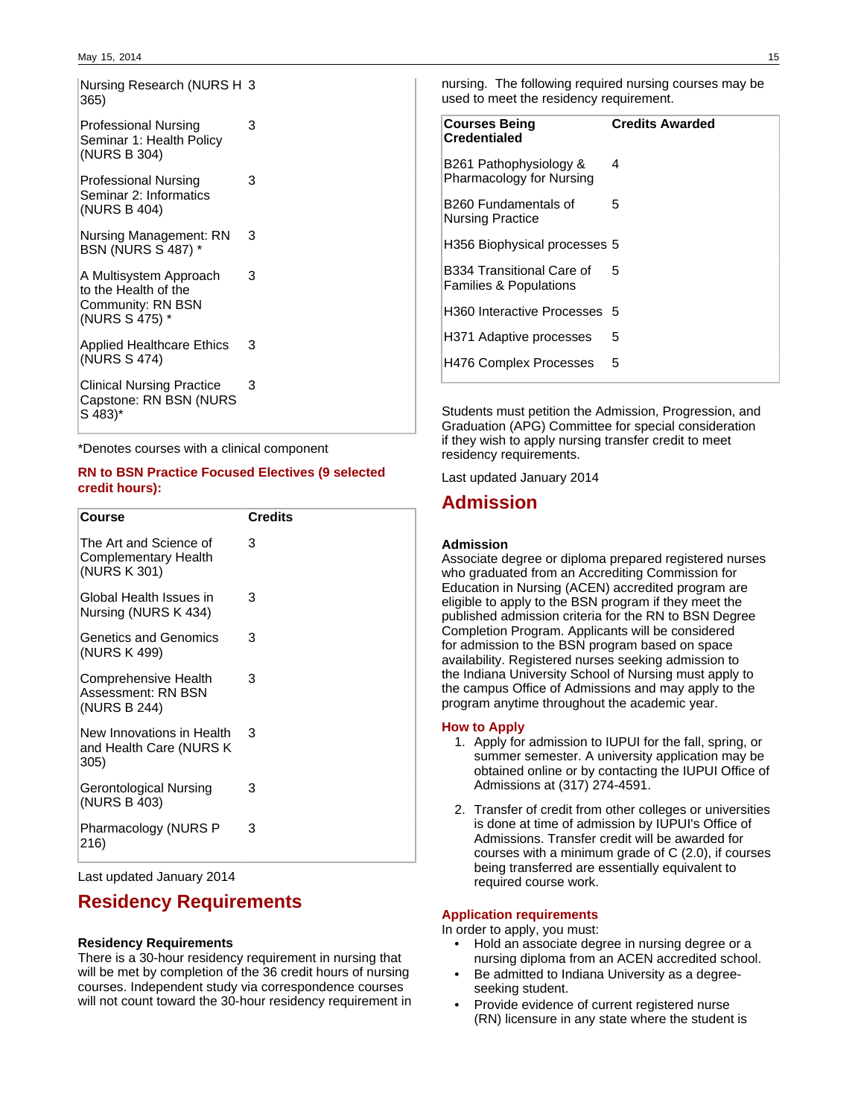Nursing Research (NURS H 3 365)

3

3

3

3

| <b>Professional Nursing</b> |  |
|-----------------------------|--|
| Seminar 1: Health Policy    |  |
| (NURS B 304)                |  |

Professional Nursing Seminar 2: Informatics (NURS B 404)

Nursing Management: RN BSN (NURS S 487) \* 3

A Multisystem Approach to the Health of the Community: RN BSN (NURS S 475) \*

Applied Healthcare Ethics (NURS S 474) 3

Clinical Nursing Practice Capstone: RN BSN (NURS S 483)\*

\*Denotes courses with a clinical component

### **RN to BSN Practice Focused Electives (9 selected credit hours):**

| <b>Course</b>                                                         | <b>Credits</b> |
|-----------------------------------------------------------------------|----------------|
| The Art and Science of<br><b>Complementary Health</b><br>(NURS K 301) | 3              |
| Global Health Issues in<br>Nursing (NURS K 434)                       | 3              |
| Genetics and Genomics<br>(NURS K 499)                                 | 3              |
| Comprehensive Health<br>Assessment: RN BSN<br>(NURS B 244)            | з              |
| New Innovations in Health<br>and Health Care (NURS K<br>305)          | 3              |
| Gerontological Nursing<br>(NURS B 403)                                | 3              |
| Pharmacology (NURS P<br>216)                                          | 3              |

Last updated January 2014

# **Residency Requirements**

### **Residency Requirements**

There is a 30-hour residency requirement in nursing that will be met by completion of the 36 credit hours of nursing courses. Independent study via correspondence courses will not count toward the 30-hour residency requirement in

nursing. The following required nursing courses may be used to meet the residency requirement.

| <b>Courses Being</b><br><b>Credentialed</b>                    | <b>Credits Awarded</b> |
|----------------------------------------------------------------|------------------------|
| B261 Pathophysiology &<br>Pharmacology for Nursing             | 4                      |
| B260 Fundamentals of<br><b>Nursing Practice</b>                | 5                      |
| H356 Biophysical processes 5                                   |                        |
| B334 Transitional Care of<br><b>Families &amp; Populations</b> | 5                      |
| H360 Interactive Processes 5                                   |                        |
| H371 Adaptive processes                                        | 5                      |
| <b>H476 Complex Processes</b>                                  | 5                      |
|                                                                |                        |

Students must petition the Admission, Progression, and Graduation (APG) Committee for special consideration if they wish to apply nursing transfer credit to meet residency requirements.

Last updated January 2014

# **Admission**

### **Admission**

Associate degree or diploma prepared registered nurses who graduated from an Accrediting Commission for Education in Nursing (ACEN) accredited program are eligible to apply to the BSN program if they meet the published admission criteria for the RN to BSN Degree Completion Program. Applicants will be considered for admission to the BSN program based on space availability. Registered nurses seeking admission to the Indiana University School of Nursing must apply to the campus Office of Admissions and may apply to the program anytime throughout the academic year.

### **How to Apply**

- 1. Apply for admission to IUPUI for the fall, spring, or summer semester. A university application may be obtained online or by contacting the IUPUI Office of Admissions at (317) 274-4591.
- 2. Transfer of credit from other colleges or universities is done at time of admission by IUPUI's Office of Admissions. Transfer credit will be awarded for courses with a minimum grade of C (2.0), if courses being transferred are essentially equivalent to required course work.

### **Application requirements**

In order to apply, you must:

- Hold an associate degree in nursing degree or a nursing diploma from an ACEN accredited school.
- Be admitted to Indiana University as a degreeseeking student.
- Provide evidence of current registered nurse (RN) licensure in any state where the student is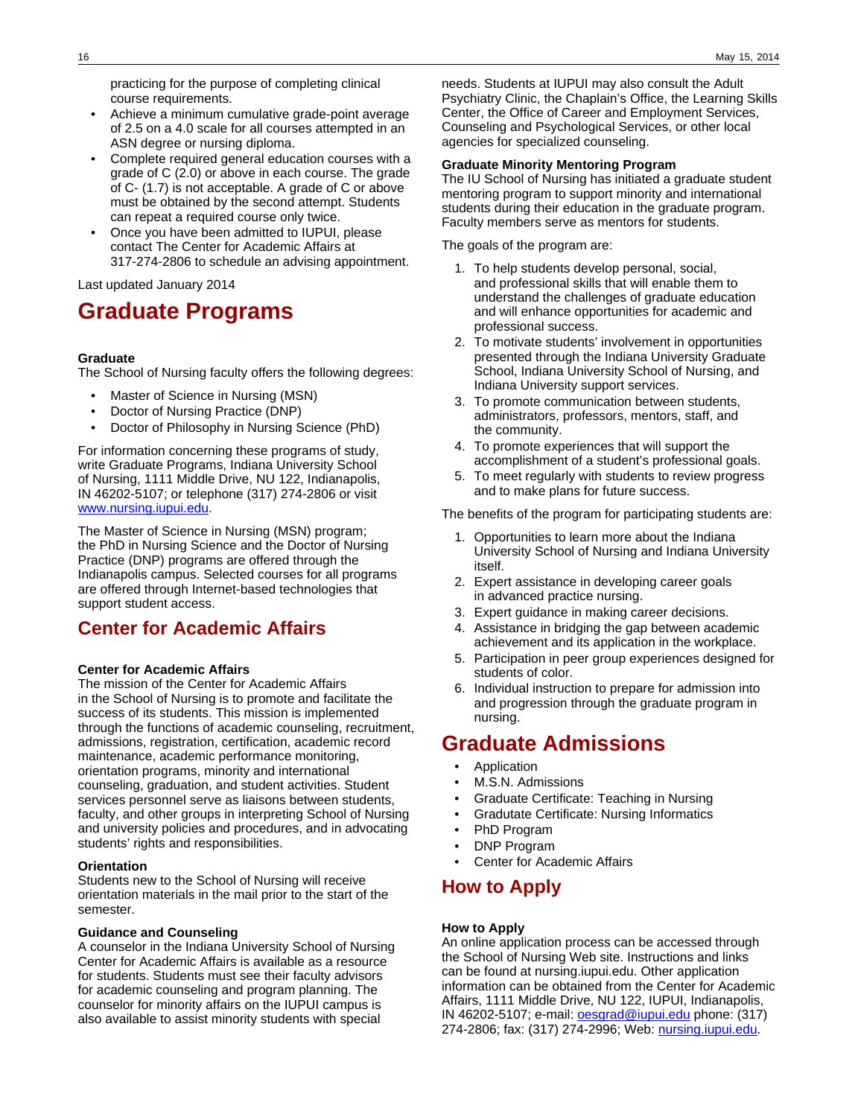practicing for the purpose of completing clinical course requirements.

- Achieve a minimum cumulative grade-point average of 2.5 on a 4.0 scale for all courses attempted in an ASN degree or nursing diploma.
- Complete required general education courses with a grade of C (2.0) or above in each course. The grade of C- (1.7) is not acceptable. A grade of C or above must be obtained by the second attempt. Students can repeat a required course only twice.
- Once you have been admitted to IUPUI, please contact The Center for Academic Affairs at 317-274-2806 to schedule an advising appointment.

Last updated January 2014

# **Graduate Programs**

### **Graduate**

The School of Nursing faculty offers the following degrees:

- Master of Science in Nursing (MSN)
- Doctor of Nursing Practice (DNP)
- Doctor of Philosophy in Nursing Science (PhD)

For information concerning these programs of study, write Graduate Programs, Indiana University School of Nursing, 1111 Middle Drive, NU 122, Indianapolis, IN 46202-5107; or telephone (317) 274-2806 or visit [www.nursing.iupui.edu.](http://www.nursing.iupui.edu)

The Master of Science in Nursing (MSN) program; the PhD in Nursing Science and the Doctor of Nursing Practice (DNP) programs are offered through the Indianapolis campus. Selected courses for all programs are offered through Internet-based technologies that support student access.

# **Center for Academic Affairs**

### **Center for Academic Affairs**

The mission of the Center for Academic Affairs in the School of Nursing is to promote and facilitate the success of its students. This mission is implemented through the functions of academic counseling, recruitment, admissions, registration, certification, academic record maintenance, academic performance monitoring, orientation programs, minority and international counseling, graduation, and student activities. Student services personnel serve as liaisons between students, faculty, and other groups in interpreting School of Nursing and university policies and procedures, and in advocating students' rights and responsibilities.

### **Orientation**

Students new to the School of Nursing will receive orientation materials in the mail prior to the start of the semester.

### **Guidance and Counseling**

A counselor in the Indiana University School of Nursing Center for Academic Affairs is available as a resource for students. Students must see their faculty advisors for academic counseling and program planning. The counselor for minority affairs on the IUPUI campus is also available to assist minority students with special

needs. Students at IUPUI may also consult the Adult Psychiatry Clinic, the Chaplain's Office, the Learning Skills Center, the Office of Career and Employment Services, Counseling and Psychological Services, or other local agencies for specialized counseling.

### **Graduate Minority Mentoring Program**

The IU School of Nursing has initiated a graduate student mentoring program to support minority and international students during their education in the graduate program. Faculty members serve as mentors for students.

The goals of the program are:

- 1. To help students develop personal, social, and professional skills that will enable them to understand the challenges of graduate education and will enhance opportunities for academic and professional success.
- 2. To motivate students' involvement in opportunities presented through the Indiana University Graduate School, Indiana University School of Nursing, and Indiana University support services.
- 3. To promote communication between students, administrators, professors, mentors, staff, and the community.
- 4. To promote experiences that will support the accomplishment of a student's professional goals.
- 5. To meet regularly with students to review progress and to make plans for future success.

The benefits of the program for participating students are:

- 1. Opportunities to learn more about the Indiana University School of Nursing and Indiana University itself.
- 2. Expert assistance in developing career goals in advanced practice nursing.
- 3. Expert guidance in making career decisions.
- 4. Assistance in bridging the gap between academic achievement and its application in the workplace.
- 5. Participation in peer group experiences designed for students of color.
- 6. Individual instruction to prepare for admission into and progression through the graduate program in nursing.

# **Graduate Admissions**

- Application
- M.S.N. Admissions
- Graduate Certificate: Teaching in Nursing
- Gradutate Certificate: Nursing Informatics
- PhD Program
- DNP Program
- Center for Academic Affairs

### **How to Apply**

### **How to Apply**

An online application process can be accessed through the School of Nursing Web site. Instructions and links can be found at nursing.iupui.edu. Other application information can be obtained from the Center for Academic Affairs, 1111 Middle Drive, NU 122, IUPUI, Indianapolis, IN 46202-5107; e-mail: **oesgrad@iupui.edu** phone: (317) 274-2806; fax: (317) 274-2996; Web: [nursing.iupui.edu.](http://nursing.iupui.edu)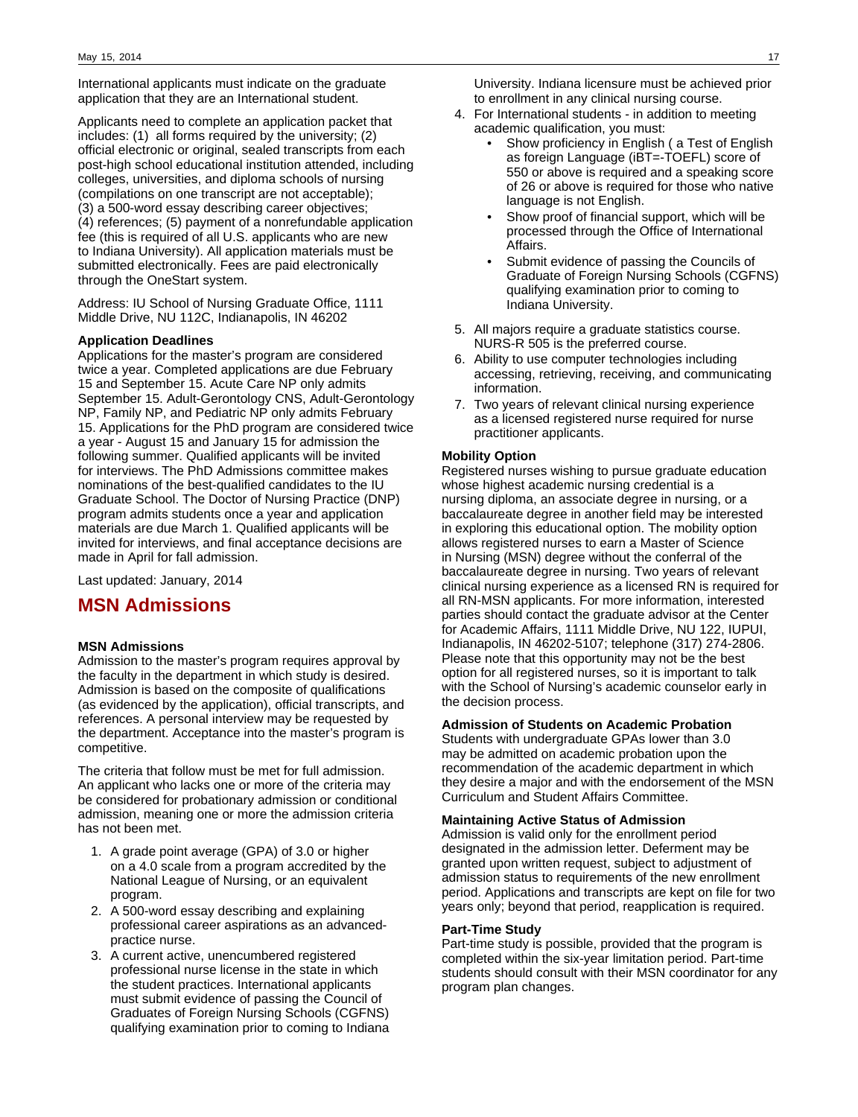International applicants must indicate on the graduate application that they are an International student.

Applicants need to complete an application packet that includes: (1) all forms required by the university; (2) official electronic or original, sealed transcripts from each post-high school educational institution attended, including colleges, universities, and diploma schools of nursing (compilations on one transcript are not acceptable); (3) a 500-word essay describing career objectives; (4) references; (5) payment of a nonrefundable application fee (this is required of all U.S. applicants who are new to Indiana University). All application materials must be submitted electronically. Fees are paid electronically through the OneStart system.

Address: IU School of Nursing Graduate Office, 1111 Middle Drive, NU 112C, Indianapolis, IN 46202

### **Application Deadlines**

Applications for the master's program are considered twice a year. Completed applications are due February 15 and September 15. Acute Care NP only admits September 15. Adult-Gerontology CNS, Adult-Gerontology NP, Family NP, and Pediatric NP only admits February 15. Applications for the PhD program are considered twice a year - August 15 and January 15 for admission the following summer. Qualified applicants will be invited for interviews. The PhD Admissions committee makes nominations of the best-qualified candidates to the IU Graduate School. The Doctor of Nursing Practice (DNP) program admits students once a year and application materials are due March 1. Qualified applicants will be invited for interviews, and final acceptance decisions are made in April for fall admission.

Last updated: January, 2014

## **MSN Admissions**

### **MSN Admissions**

Admission to the master's program requires approval by the faculty in the department in which study is desired. Admission is based on the composite of qualifications (as evidenced by the application), official transcripts, and references. A personal interview may be requested by the department. Acceptance into the master's program is competitive.

The criteria that follow must be met for full admission. An applicant who lacks one or more of the criteria may be considered for probationary admission or conditional admission, meaning one or more the admission criteria has not been met.

- 1. A grade point average (GPA) of 3.0 or higher on a 4.0 scale from a program accredited by the National League of Nursing, or an equivalent program.
- 2. A 500-word essay describing and explaining professional career aspirations as an advancedpractice nurse.
- 3. A current active, unencumbered registered professional nurse license in the state in which the student practices. International applicants must submit evidence of passing the Council of Graduates of Foreign Nursing Schools (CGFNS) qualifying examination prior to coming to Indiana

University. Indiana licensure must be achieved prior to enrollment in any clinical nursing course.

- 4. For International students in addition to meeting academic qualification, you must:
	- Show proficiency in English ( a Test of English as foreign Language (iBT=-TOEFL) score of 550 or above is required and a speaking score of 26 or above is required for those who native language is not English.
	- Show proof of financial support, which will be processed through the Office of International Affairs.
	- Submit evidence of passing the Councils of Graduate of Foreign Nursing Schools (CGFNS) qualifying examination prior to coming to Indiana University.
- 5. All majors require a graduate statistics course. NURS-R 505 is the preferred course.
- 6. Ability to use computer technologies including accessing, retrieving, receiving, and communicating information.
- 7. Two years of relevant clinical nursing experience as a licensed registered nurse required for nurse practitioner applicants.

### **Mobility Option**

Registered nurses wishing to pursue graduate education whose highest academic nursing credential is a nursing diploma, an associate degree in nursing, or a baccalaureate degree in another field may be interested in exploring this educational option. The mobility option allows registered nurses to earn a Master of Science in Nursing (MSN) degree without the conferral of the baccalaureate degree in nursing. Two years of relevant clinical nursing experience as a licensed RN is required for all RN-MSN applicants. For more information, interested parties should contact the graduate advisor at the Center for Academic Affairs, 1111 Middle Drive, NU 122, IUPUI, Indianapolis, IN 46202-5107; telephone (317) 274-2806. Please note that this opportunity may not be the best option for all registered nurses, so it is important to talk with the School of Nursing's academic counselor early in the decision process.

### **Admission of Students on Academic Probation**

Students with undergraduate GPAs lower than 3.0 may be admitted on academic probation upon the recommendation of the academic department in which they desire a major and with the endorsement of the MSN Curriculum and Student Affairs Committee.

### **Maintaining Active Status of Admission**

Admission is valid only for the enrollment period designated in the admission letter. Deferment may be granted upon written request, subject to adjustment of admission status to requirements of the new enrollment period. Applications and transcripts are kept on file for two years only; beyond that period, reapplication is required.

### **Part-Time Study**

Part-time study is possible, provided that the program is completed within the six-year limitation period. Part-time students should consult with their MSN coordinator for any program plan changes.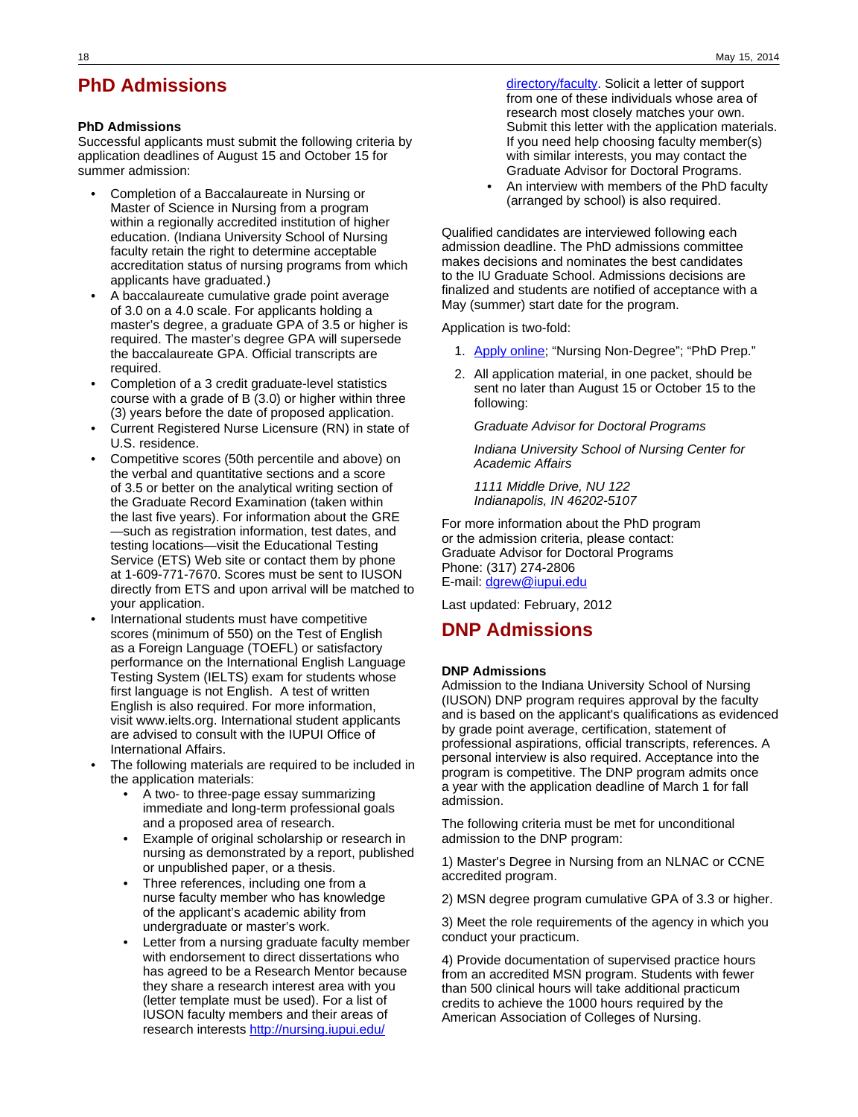# **PhD Admissions**

### **PhD Admissions**

Successful applicants must submit the following criteria by application deadlines of August 15 and October 15 for summer admission:

- Completion of a Baccalaureate in Nursing or Master of Science in Nursing from a program within a regionally accredited institution of higher education. (Indiana University School of Nursing faculty retain the right to determine acceptable accreditation status of nursing programs from which applicants have graduated.)
- A baccalaureate cumulative grade point average of 3.0 on a 4.0 scale. For applicants holding a master's degree, a graduate GPA of 3.5 or higher is required. The master's degree GPA will supersede the baccalaureate GPA. Official transcripts are required.
- Completion of a 3 credit graduate-level statistics course with a grade of B (3.0) or higher within three (3) years before the date of proposed application.
- Current Registered Nurse Licensure (RN) in state of U.S. residence.
- Competitive scores (50th percentile and above) on the verbal and quantitative sections and a score of 3.5 or better on the analytical writing section of the Graduate Record Examination (taken within the last five years). For information about the GRE —such as registration information, test dates, and testing locations—visit the Educational Testing Service (ETS) Web site or contact them by phone at 1-609-771-7670. Scores must be sent to IUSON directly from ETS and upon arrival will be matched to your application.
- International students must have competitive scores (minimum of 550) on the Test of English as a Foreign Language (TOEFL) or satisfactory performance on the International English Language Testing System (IELTS) exam for students whose first language is not English. A test of written English is also required. For more information, visit www.ielts.org. International student applicants are advised to consult with the IUPUI Office of International Affairs.
- The following materials are required to be included in the application materials:
	- A two- to three-page essay summarizing immediate and long-term professional goals and a proposed area of research.
	- Example of original scholarship or research in nursing as demonstrated by a report, published or unpublished paper, or a thesis.
	- Three references, including one from a nurse faculty member who has knowledge of the applicant's academic ability from undergraduate or master's work.
	- Letter from a nursing graduate faculty member with endorsement to direct dissertations who has agreed to be a Research Mentor because they share a research interest area with you (letter template must be used). For a list of IUSON faculty members and their areas of research interests [http://nursing.iupui.edu/](http://nursing.iupui.edu/directory/faculty)

[directory/faculty](http://nursing.iupui.edu/directory/faculty). Solicit a letter of support from one of these individuals whose area of research most closely matches your own. Submit this letter with the application materials. If you need help choosing faculty member(s) with similar interests, you may contact the Graduate Advisor for Doctoral Programs.

• An interview with members of the PhD faculty (arranged by school) is also required.

Qualified candidates are interviewed following each admission deadline. The PhD admissions committee makes decisions and nominates the best candidates to the IU Graduate School. Admissions decisions are finalized and students are notified of acceptance with a May (summer) start date for the program.

Application is two-fold:

- 1. [Apply online;](https://uisapp2.iu.edu/sisad-prd/p/Guest.do?methodToCall=start&inst=IUINA&career=GRAD) "Nursing Non-Degree"; "PhD Prep."
- 2. All application material, in one packet, should be sent no later than August 15 or October 15 to the following:

Graduate Advisor for Doctoral Programs

Indiana University School of Nursing Center for Academic Affairs

1111 Middle Drive, NU 122 Indianapolis, IN 46202-5107

For more information about the PhD program or the admission criteria, please contact: Graduate Advisor for Doctoral Programs Phone: (317) 274-2806 E-mail: [dgrew@iupui.edu](mailto:dgrew@iupui.edu)

Last updated: February, 2012

# **DNP Admissions**

### **DNP Admissions**

Admission to the Indiana University School of Nursing (IUSON) DNP program requires approval by the faculty and is based on the applicant's qualifications as evidenced by grade point average, certification, statement of professional aspirations, official transcripts, references. A personal interview is also required. Acceptance into the program is competitive. The DNP program admits once a year with the application deadline of March 1 for fall admission.

The following criteria must be met for unconditional admission to the DNP program:

1) Master's Degree in Nursing from an NLNAC or CCNE accredited program.

2) MSN degree program cumulative GPA of 3.3 or higher.

3) Meet the role requirements of the agency in which you conduct your practicum.

4) Provide documentation of supervised practice hours from an accredited MSN program. Students with fewer than 500 clinical hours will take additional practicum credits to achieve the 1000 hours required by the American Association of Colleges of Nursing.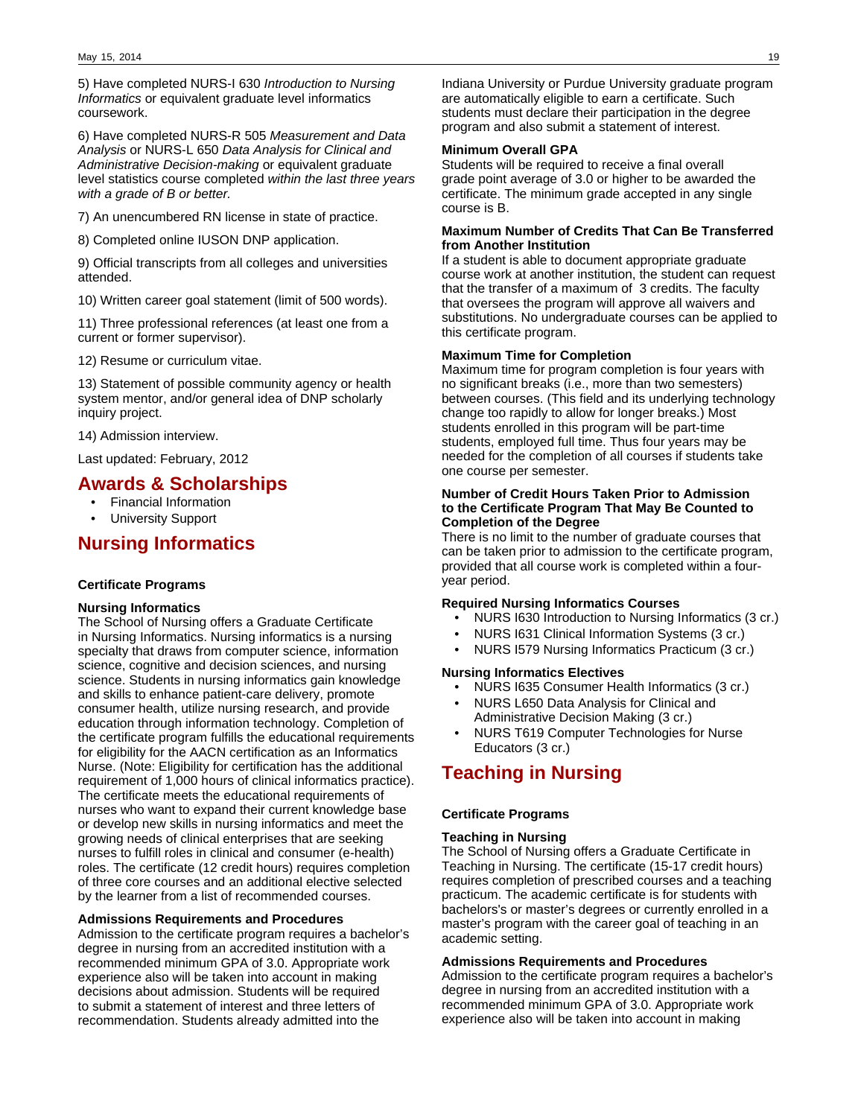5) Have completed NURS-I 630 Introduction to Nursing Informatics or equivalent graduate level informatics coursework.

6) Have completed NURS-R 505 Measurement and Data Analysis or NURS-L 650 Data Analysis for Clinical and Administrative Decision-making or equivalent graduate level statistics course completed within the last three years with a grade of B or better.

7) An unencumbered RN license in state of practice.

8) Completed online IUSON DNP application.

9) Official transcripts from all colleges and universities attended.

10) Written career goal statement (limit of 500 words).

11) Three professional references (at least one from a current or former supervisor).

12) Resume or curriculum vitae.

13) Statement of possible community agency or health system mentor, and/or general idea of DNP scholarly inquiry project.

14) Admission interview.

Last updated: February, 2012

### **Awards & Scholarships**

- Financial Information
- University Support

# **Nursing Informatics**

### **Certificate Programs**

### **Nursing Informatics**

The School of Nursing offers a Graduate Certificate in Nursing Informatics. Nursing informatics is a nursing specialty that draws from computer science, information science, cognitive and decision sciences, and nursing science. Students in nursing informatics gain knowledge and skills to enhance patient-care delivery, promote consumer health, utilize nursing research, and provide education through information technology. Completion of the certificate program fulfills the educational requirements for eligibility for the AACN certification as an Informatics Nurse. (Note: Eligibility for certification has the additional requirement of 1,000 hours of clinical informatics practice). The certificate meets the educational requirements of nurses who want to expand their current knowledge base or develop new skills in nursing informatics and meet the growing needs of clinical enterprises that are seeking nurses to fulfill roles in clinical and consumer (e-health) roles. The certificate (12 credit hours) requires completion of three core courses and an additional elective selected by the learner from a list of recommended courses.

### **Admissions Requirements and Procedures**

Admission to the certificate program requires a bachelor's degree in nursing from an accredited institution with a recommended minimum GPA of 3.0. Appropriate work experience also will be taken into account in making decisions about admission. Students will be required to submit a statement of interest and three letters of recommendation. Students already admitted into the

Indiana University or Purdue University graduate program are automatically eligible to earn a certificate. Such students must declare their participation in the degree program and also submit a statement of interest.

#### **Minimum Overall GPA**

Students will be required to receive a final overall grade point average of 3.0 or higher to be awarded the certificate. The minimum grade accepted in any single course is B.

### **Maximum Number of Credits That Can Be Transferred from Another Institution**

If a student is able to document appropriate graduate course work at another institution, the student can request that the transfer of a maximum of 3 credits. The faculty that oversees the program will approve all waivers and substitutions. No undergraduate courses can be applied to this certificate program.

### **Maximum Time for Completion**

Maximum time for program completion is four years with no significant breaks (i.e., more than two semesters) between courses. (This field and its underlying technology change too rapidly to allow for longer breaks.) Most students enrolled in this program will be part-time students, employed full time. Thus four years may be needed for the completion of all courses if students take one course per semester.

### **Number of Credit Hours Taken Prior to Admission to the Certificate Program That May Be Counted to Completion of the Degree**

There is no limit to the number of graduate courses that can be taken prior to admission to the certificate program, provided that all course work is completed within a fouryear period.

### **Required Nursing Informatics Courses**

- NURS I630 Introduction to Nursing Informatics (3 cr.)
- NURS I631 Clinical Information Systems (3 cr.)
- NURS I579 Nursing Informatics Practicum (3 cr.)

#### **Nursing Informatics Electives**

- NURS I635 Consumer Health Informatics (3 cr.)
- NURS L650 Data Analysis for Clinical and Administrative Decision Making (3 cr.)
- NURS T619 Computer Technologies for Nurse Educators (3 cr.)

# **Teaching in Nursing**

### **Certificate Programs**

### **Teaching in Nursing**

The School of Nursing offers a Graduate Certificate in Teaching in Nursing. The certificate (15-17 credit hours) requires completion of prescribed courses and a teaching practicum. The academic certificate is for students with bachelors's or master's degrees or currently enrolled in a master's program with the career goal of teaching in an academic setting.

### **Admissions Requirements and Procedures**

Admission to the certificate program requires a bachelor's degree in nursing from an accredited institution with a recommended minimum GPA of 3.0. Appropriate work experience also will be taken into account in making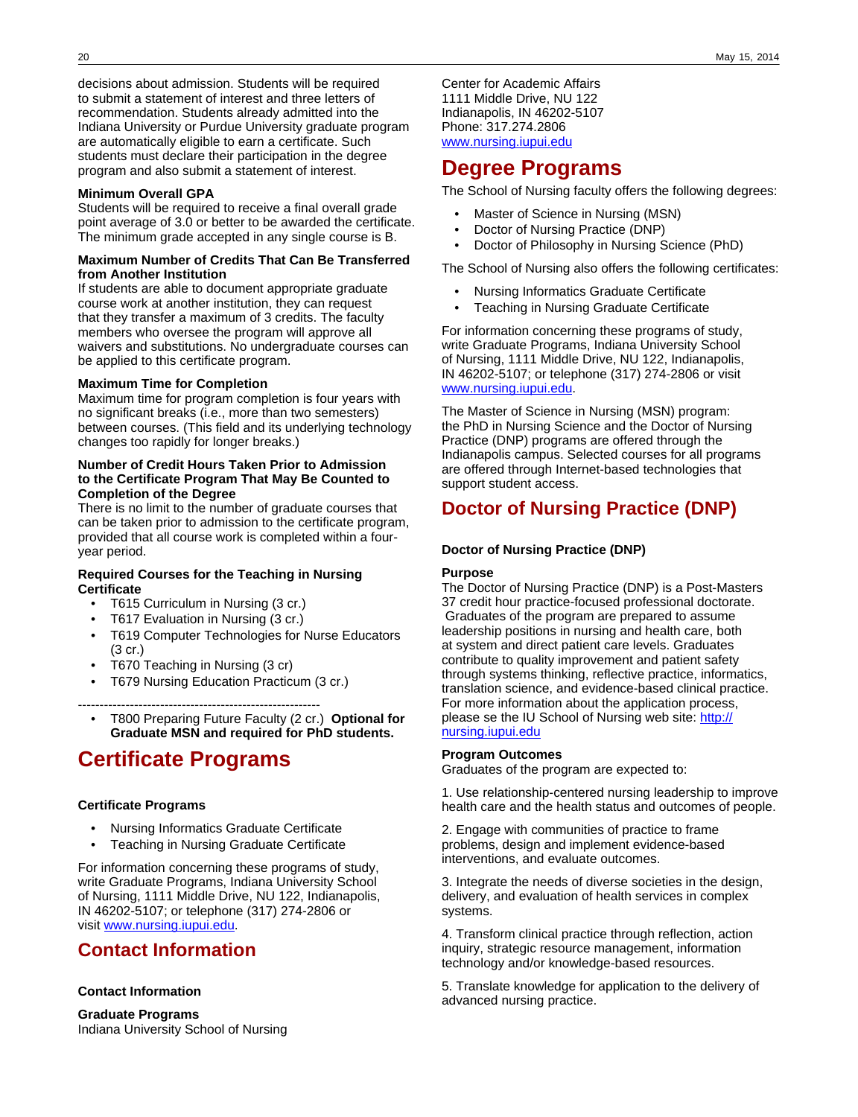decisions about admission. Students will be required to submit a statement of interest and three letters of recommendation. Students already admitted into the Indiana University or Purdue University graduate program are automatically eligible to earn a certificate. Such students must declare their participation in the degree program and also submit a statement of interest.

### **Minimum Overall GPA**

Students will be required to receive a final overall grade point average of 3.0 or better to be awarded the certificate. The minimum grade accepted in any single course is B.

### **Maximum Number of Credits That Can Be Transferred from Another Institution**

If students are able to document appropriate graduate course work at another institution, they can request that they transfer a maximum of 3 credits. The faculty members who oversee the program will approve all waivers and substitutions. No undergraduate courses can be applied to this certificate program.

### **Maximum Time for Completion**

Maximum time for program completion is four years with no significant breaks (i.e., more than two semesters) between courses. (This field and its underlying technology changes too rapidly for longer breaks.)

### **Number of Credit Hours Taken Prior to Admission to the Certificate Program That May Be Counted to Completion of the Degree**

There is no limit to the number of graduate courses that can be taken prior to admission to the certificate program, provided that all course work is completed within a fouryear period.

### **Required Courses for the Teaching in Nursing Certificate**

- T615 Curriculum in Nursing (3 cr.)
- T617 Evaluation in Nursing (3 cr.)
- T619 Computer Technologies for Nurse Educators (3 cr.)
- T670 Teaching in Nursing (3 cr)
- T679 Nursing Education Practicum (3 cr.)

--------------------------------------------------------

• T800 Preparing Future Faculty (2 cr.) **Optional for Graduate MSN and required for PhD students.**

# **Certificate Programs**

### **Certificate Programs**

- Nursing Informatics Graduate Certificate
- Teaching in Nursing Graduate Certificate

For information concerning these programs of study, write Graduate Programs, Indiana University School of Nursing, 1111 Middle Drive, NU 122, Indianapolis, IN 46202-5107; or telephone (317) 274-2806 or visit [www.nursing.iupui.edu.](http://www.nursing.iupui.edu/)

# **Contact Information**

### **Contact Information**

**Graduate Programs** Indiana University School of Nursing Center for Academic Affairs 1111 Middle Drive, NU 122 Indianapolis, IN 46202-5107 Phone: 317.274.2806 [www.nursing.iupui.edu](http://www.nursing.iupui.edu/)

# **Degree Programs**

The School of Nursing faculty offers the following degrees:

- Master of Science in Nursing (MSN)
- Doctor of Nursing Practice (DNP)
- Doctor of Philosophy in Nursing Science (PhD)

The School of Nursing also offers the following certificates:

- Nursing Informatics Graduate Certificate
- Teaching in Nursing Graduate Certificate

For information concerning these programs of study, write Graduate Programs, Indiana University School of Nursing, 1111 Middle Drive, NU 122, Indianapolis, IN 46202-5107; or telephone (317) 274-2806 or visit [www.nursing.iupui.edu.](http://www.nursing.iupui.edu)

The Master of Science in Nursing (MSN) program: the PhD in Nursing Science and the Doctor of Nursing Practice (DNP) programs are offered through the Indianapolis campus. Selected courses for all programs are offered through Internet-based technologies that support student access.

# **Doctor of Nursing Practice (DNP)**

### **Doctor of Nursing Practice (DNP)**

### **Purpose**

The Doctor of Nursing Practice (DNP) is a Post-Masters 37 credit hour practice-focused professional doctorate. Graduates of the program are prepared to assume leadership positions in nursing and health care, both at system and direct patient care levels. Graduates contribute to quality improvement and patient safety through systems thinking, reflective practice, informatics, translation science, and evidence-based clinical practice. For more information about the application process, please se the IU School of Nursing web site: [http://](http://nursing.iupui.edu) [nursing.iupui.edu](http://nursing.iupui.edu)

### **Program Outcomes**

Graduates of the program are expected to:

1. Use relationship-centered nursing leadership to improve health care and the health status and outcomes of people.

2. Engage with communities of practice to frame problems, design and implement evidence-based interventions, and evaluate outcomes.

3. Integrate the needs of diverse societies in the design, delivery, and evaluation of health services in complex systems.

4. Transform clinical practice through reflection, action inquiry, strategic resource management, information technology and/or knowledge-based resources.

5. Translate knowledge for application to the delivery of advanced nursing practice.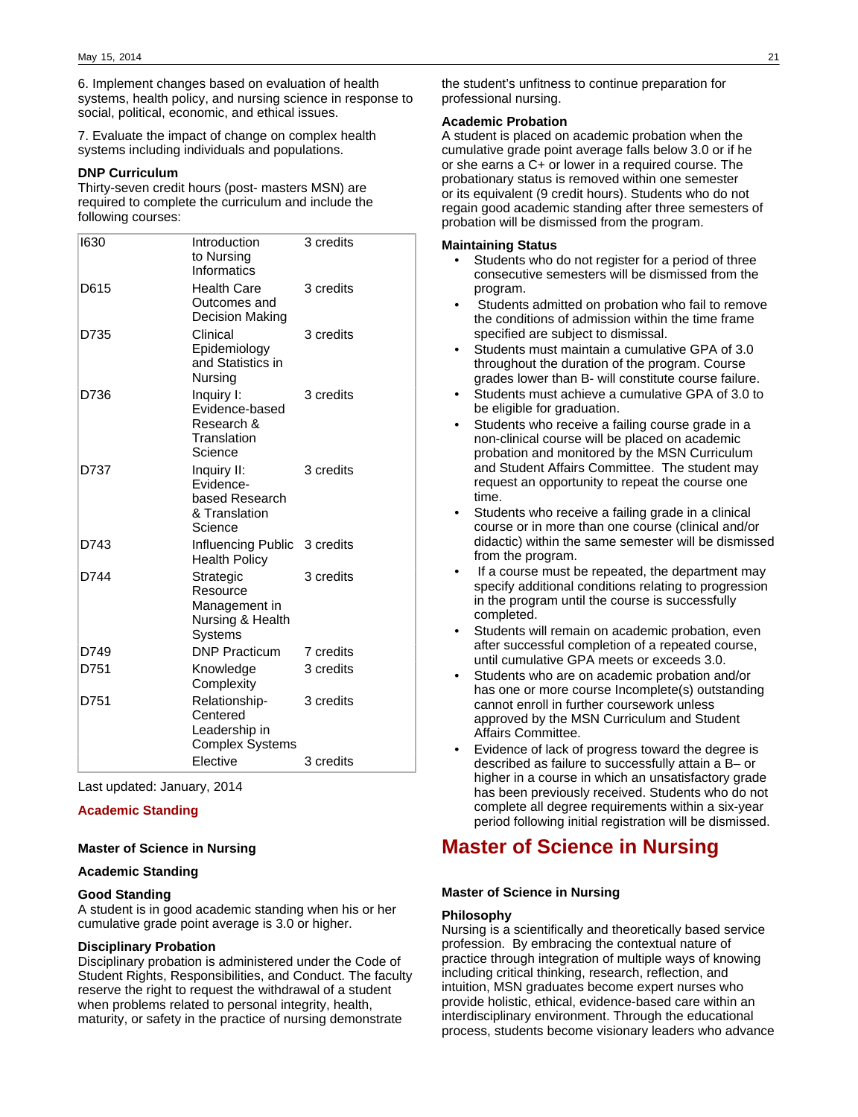6. Implement changes based on evaluation of health systems, health policy, and nursing science in response to social, political, economic, and ethical issues.

7. Evaluate the impact of change on complex health systems including individuals and populations.

### **DNP Curriculum**

Thirty-seven credit hours (post- masters MSN) are required to complete the curriculum and include the following courses:

| 1630 | Introduction<br>to Nursing<br>Informatics                              | 3 credits |
|------|------------------------------------------------------------------------|-----------|
| D615 | Health Care<br>Outcomes and<br>Decision Making                         | 3 credits |
| D735 | Clinical<br>Epidemiology<br>and Statistics in<br>Nursing               | 3 credits |
| D736 | Inquiry I:<br>Evidence-based<br>Research &<br>Translation<br>Science   | 3 credits |
| D737 | Inguiry II:<br>Evidence-<br>based Research<br>& Translation<br>Science | 3 credits |
| D743 | Influencing Public 3 credits<br><b>Health Policy</b>                   |           |
| D744 | Strategic<br>Resource<br>Management in<br>Nursing & Health<br>Systems  | 3 credits |
| D749 | <b>DNP Practicum</b>                                                   | 7 credits |
| D751 | Knowledge<br>Complexity                                                | 3 credits |
| D751 | Relationship-<br>Centered<br>Leadership in<br><b>Complex Systems</b>   | 3 credits |
|      | <b>Elective</b>                                                        | 3 credits |

Last updated: January, 2014

### **Academic Standing**

#### **Master of Science in Nursing**

### **Academic Standing**

### **Good Standing**

A student is in good academic standing when his or her cumulative grade point average is 3.0 or higher.

### **Disciplinary Probation**

Disciplinary probation is administered under the Code of Student Rights, Responsibilities, and Conduct. The faculty reserve the right to request the withdrawal of a student when problems related to personal integrity, health, maturity, or safety in the practice of nursing demonstrate

the student's unfitness to continue preparation for professional nursing.

### **Academic Probation**

A student is placed on academic probation when the cumulative grade point average falls below 3.0 or if he or she earns a C+ or lower in a required course. The probationary status is removed within one semester or its equivalent (9 credit hours). Students who do not regain good academic standing after three semesters of probation will be dismissed from the program.

### **Maintaining Status**

- Students who do not register for a period of three consecutive semesters will be dismissed from the program.
- Students admitted on probation who fail to remove the conditions of admission within the time frame specified are subject to dismissal.
- Students must maintain a cumulative GPA of 3.0 throughout the duration of the program. Course grades lower than B- will constitute course failure.
- Students must achieve a cumulative GPA of 3.0 to be eligible for graduation.
- Students who receive a failing course grade in a non-clinical course will be placed on academic probation and monitored by the MSN Curriculum and Student Affairs Committee. The student may request an opportunity to repeat the course one time.
- Students who receive a failing grade in a clinical course or in more than one course (clinical and/or didactic) within the same semester will be dismissed from the program.
- If a course must be repeated, the department may specify additional conditions relating to progression in the program until the course is successfully completed.
- Students will remain on academic probation, even after successful completion of a repeated course, until cumulative GPA meets or exceeds 3.0.
- Students who are on academic probation and/or has one or more course Incomplete(s) outstanding cannot enroll in further coursework unless approved by the MSN Curriculum and Student Affairs Committee.
- Evidence of lack of progress toward the degree is described as failure to successfully attain a B– or higher in a course in which an unsatisfactory grade has been previously received. Students who do not complete all degree requirements within a six-year period following initial registration will be dismissed.

# **Master of Science in Nursing**

#### **Master of Science in Nursing**

#### **Philosophy**

Nursing is a scientifically and theoretically based service profession. By embracing the contextual nature of practice through integration of multiple ways of knowing including critical thinking, research, reflection, and intuition, MSN graduates become expert nurses who provide holistic, ethical, evidence-based care within an interdisciplinary environment. Through the educational process, students become visionary leaders who advance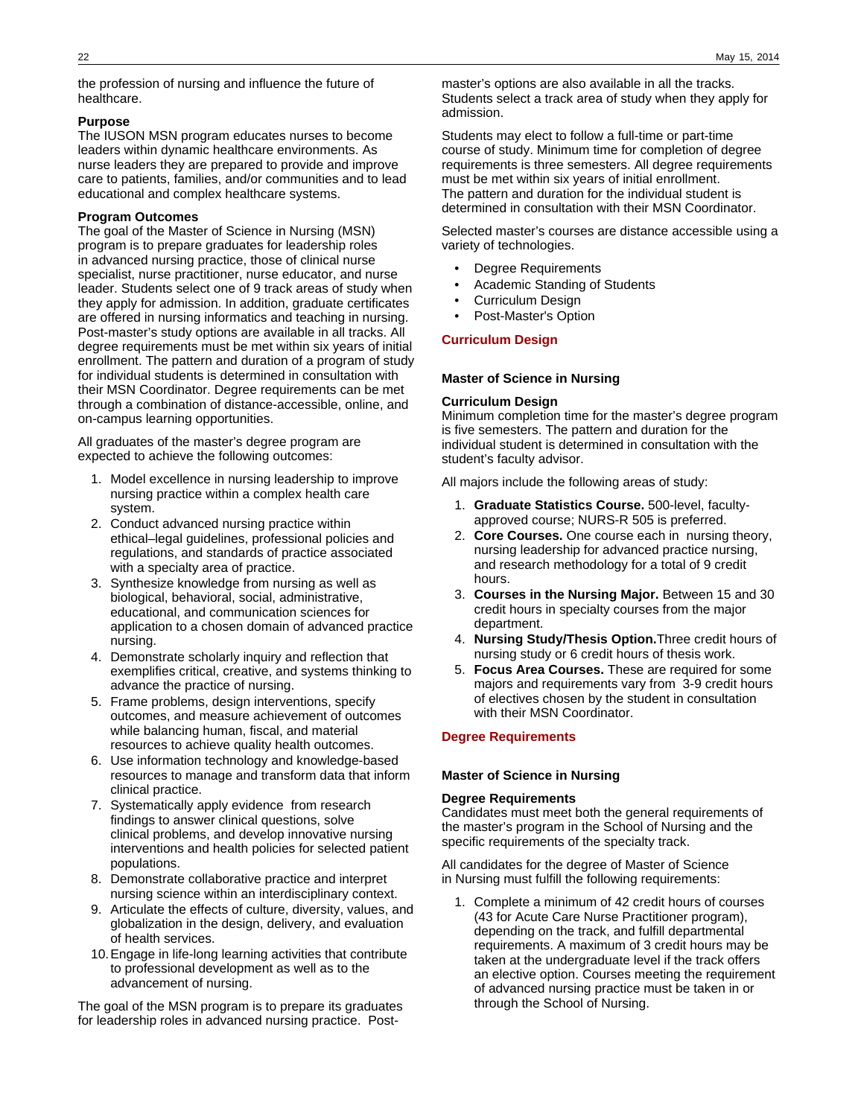the profession of nursing and influence the future of healthcare.

### **Purpose**

The IUSON MSN program educates nurses to become leaders within dynamic healthcare environments. As nurse leaders they are prepared to provide and improve care to patients, families, and/or communities and to lead educational and complex healthcare systems.

### **Program Outcomes**

The goal of the Master of Science in Nursing (MSN) program is to prepare graduates for leadership roles in advanced nursing practice, those of clinical nurse specialist, nurse practitioner, nurse educator, and nurse leader. Students select one of 9 track areas of study when they apply for admission. In addition, graduate certificates are offered in nursing informatics and teaching in nursing. Post-master's study options are available in all tracks. All degree requirements must be met within six years of initial enrollment. The pattern and duration of a program of study for individual students is determined in consultation with their MSN Coordinator. Degree requirements can be met through a combination of distance-accessible, online, and on-campus learning opportunities.

All graduates of the master's degree program are expected to achieve the following outcomes:

- 1. Model excellence in nursing leadership to improve nursing practice within a complex health care system.
- 2. Conduct advanced nursing practice within ethical–legal guidelines, professional policies and regulations, and standards of practice associated with a specialty area of practice.
- 3. Synthesize knowledge from nursing as well as biological, behavioral, social, administrative, educational, and communication sciences for application to a chosen domain of advanced practice nursing.
- 4. Demonstrate scholarly inquiry and reflection that exemplifies critical, creative, and systems thinking to advance the practice of nursing.
- 5. Frame problems, design interventions, specify outcomes, and measure achievement of outcomes while balancing human, fiscal, and material resources to achieve quality health outcomes.
- 6. Use information technology and knowledge-based resources to manage and transform data that inform clinical practice.
- 7. Systematically apply evidence from research findings to answer clinical questions, solve clinical problems, and develop innovative nursing interventions and health policies for selected patient populations.
- 8. Demonstrate collaborative practice and interpret nursing science within an interdisciplinary context.
- 9. Articulate the effects of culture, diversity, values, and globalization in the design, delivery, and evaluation of health services.
- 10.Engage in life-long learning activities that contribute to professional development as well as to the advancement of nursing.

The goal of the MSN program is to prepare its graduates for leadership roles in advanced nursing practice. Post-

master's options are also available in all the tracks. Students select a track area of study when they apply for admission.

Students may elect to follow a full-time or part-time course of study. Minimum time for completion of degree requirements is three semesters. All degree requirements must be met within six years of initial enrollment. The pattern and duration for the individual student is determined in consultation with their MSN Coordinator.

Selected master's courses are distance accessible using a variety of technologies.

- Degree Requirements
- Academic Standing of Students
- Curriculum Design
- Post-Master's Option

### **Curriculum Design**

### **Master of Science in Nursing**

### **Curriculum Design**

Minimum completion time for the master's degree program is five semesters. The pattern and duration for the individual student is determined in consultation with the student's faculty advisor.

All majors include the following areas of study:

- 1. **Graduate Statistics Course.** 500-level, facultyapproved course; NURS-R 505 is preferred.
- 2. **Core Courses.** One course each in nursing theory, nursing leadership for advanced practice nursing, and research methodology for a total of 9 credit hours.
- 3. **Courses in the Nursing Major.** Between 15 and 30 credit hours in specialty courses from the major department.
- 4. **Nursing Study/Thesis Option.**Three credit hours of nursing study or 6 credit hours of thesis work.
- 5. **Focus Area Courses.** These are required for some majors and requirements vary from 3-9 credit hours of electives chosen by the student in consultation with their MSN Coordinator.

### **Degree Requirements**

### **Master of Science in Nursing**

### **Degree Requirements**

Candidates must meet both the general requirements of the master's program in the School of Nursing and the specific requirements of the specialty track.

All candidates for the degree of Master of Science in Nursing must fulfill the following requirements:

1. Complete a minimum of 42 credit hours of courses (43 for Acute Care Nurse Practitioner program), depending on the track, and fulfill departmental requirements. A maximum of 3 credit hours may be taken at the undergraduate level if the track offers an elective option. Courses meeting the requirement of advanced nursing practice must be taken in or through the School of Nursing.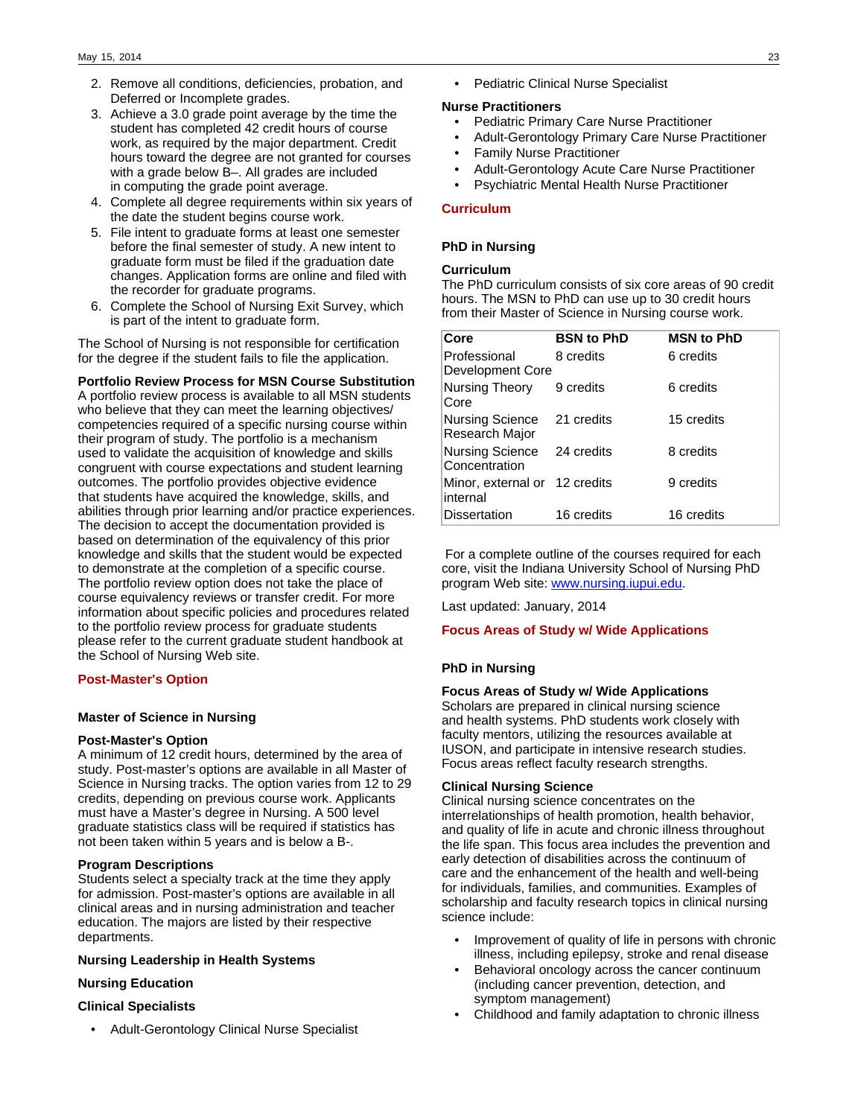- 2. Remove all conditions, deficiencies, probation, and Deferred or Incomplete grades.
- 3. Achieve a 3.0 grade point average by the time the student has completed 42 credit hours of course work, as required by the major department. Credit hours toward the degree are not granted for courses with a grade below B–. All grades are included in computing the grade point average.
- 4. Complete all degree requirements within six years of the date the student begins course work.
- 5. File intent to graduate forms at least one semester before the final semester of study. A new intent to graduate form must be filed if the graduation date changes. Application forms are online and filed with the recorder for graduate programs.
- 6. Complete the School of Nursing Exit Survey, which is part of the intent to graduate form.

The School of Nursing is not responsible for certification for the degree if the student fails to file the application.

### **Portfolio Review Process for MSN Course Substitution**

A portfolio review process is available to all MSN students who believe that they can meet the learning objectives/ competencies required of a specific nursing course within their program of study. The portfolio is a mechanism used to validate the acquisition of knowledge and skills congruent with course expectations and student learning outcomes. The portfolio provides objective evidence that students have acquired the knowledge, skills, and abilities through prior learning and/or practice experiences. The decision to accept the documentation provided is based on determination of the equivalency of this prior knowledge and skills that the student would be expected to demonstrate at the completion of a specific course. The portfolio review option does not take the place of course equivalency reviews or transfer credit. For more information about specific policies and procedures related to the portfolio review process for graduate students please refer to the current graduate student handbook at the School of Nursing Web site.

### **Post-Master's Option**

### **Master of Science in Nursing**

### **Post-Master's Option**

A minimum of 12 credit hours, determined by the area of study. Post-master's options are available in all Master of Science in Nursing tracks. The option varies from 12 to 29 credits, depending on previous course work. Applicants must have a Master's degree in Nursing. A 500 level graduate statistics class will be required if statistics has not been taken within 5 years and is below a B-.

### **Program Descriptions**

Students select a specialty track at the time they apply for admission. Post-master's options are available in all clinical areas and in nursing administration and teacher education. The majors are listed by their respective departments.

### **Nursing Leadership in Health Systems**

### **Nursing Education**

### **Clinical Specialists**

• Adult-Gerontology Clinical Nurse Specialist

• Pediatric Clinical Nurse Specialist

#### **Nurse Practitioners**

- Pediatric Primary Care Nurse Practitioner
- Adult-Gerontology Primary Care Nurse Practitioner
- Family Nurse Practitioner
- Adult-Gerontology Acute Care Nurse Practitioner
- Psychiatric Mental Health Nurse Practitioner

### **Curriculum**

### **PhD in Nursing**

### **Curriculum**

The PhD curriculum consists of six core areas of 90 credit hours. The MSN to PhD can use up to 30 credit hours from their Master of Science in Nursing course work.

| Core                                      | <b>BSN to PhD</b> | <b>MSN to PhD</b> |
|-------------------------------------------|-------------------|-------------------|
| Professional<br>Development Core          | 8 credits         | 6 credits         |
| Nursing Theory<br>Core                    | 9 credits         | 6 credits         |
| <b>Nursing Science</b><br>Research Major  | 21 credits        | 15 credits        |
| Nursing Science<br>Concentration          | 24 credits        | 8 credits         |
| Minor, external or 12 credits<br>internal |                   | 9 credits         |
| <b>Dissertation</b>                       | 16 credits        | 16 credits        |

 For a complete outline of the courses required for each core, visit the Indiana University School of Nursing PhD program Web site: [www.nursing.iupui.edu.](http://www.nursing.iupui.edu)

Last updated: January, 2014

#### **Focus Areas of Study w/ Wide Applications**

### **PhD in Nursing**

### **Focus Areas of Study w/ Wide Applications**

Scholars are prepared in clinical nursing science and health systems. PhD students work closely with faculty mentors, utilizing the resources available at IUSON, and participate in intensive research studies. Focus areas reflect faculty research strengths.

### **Clinical Nursing Science**

Clinical nursing science concentrates on the interrelationships of health promotion, health behavior, and quality of life in acute and chronic illness throughout the life span. This focus area includes the prevention and early detection of disabilities across the continuum of care and the enhancement of the health and well-being for individuals, families, and communities. Examples of scholarship and faculty research topics in clinical nursing science include:

- Improvement of quality of life in persons with chronic illness, including epilepsy, stroke and renal disease
- Behavioral oncology across the cancer continuum (including cancer prevention, detection, and symptom management)
- Childhood and family adaptation to chronic illness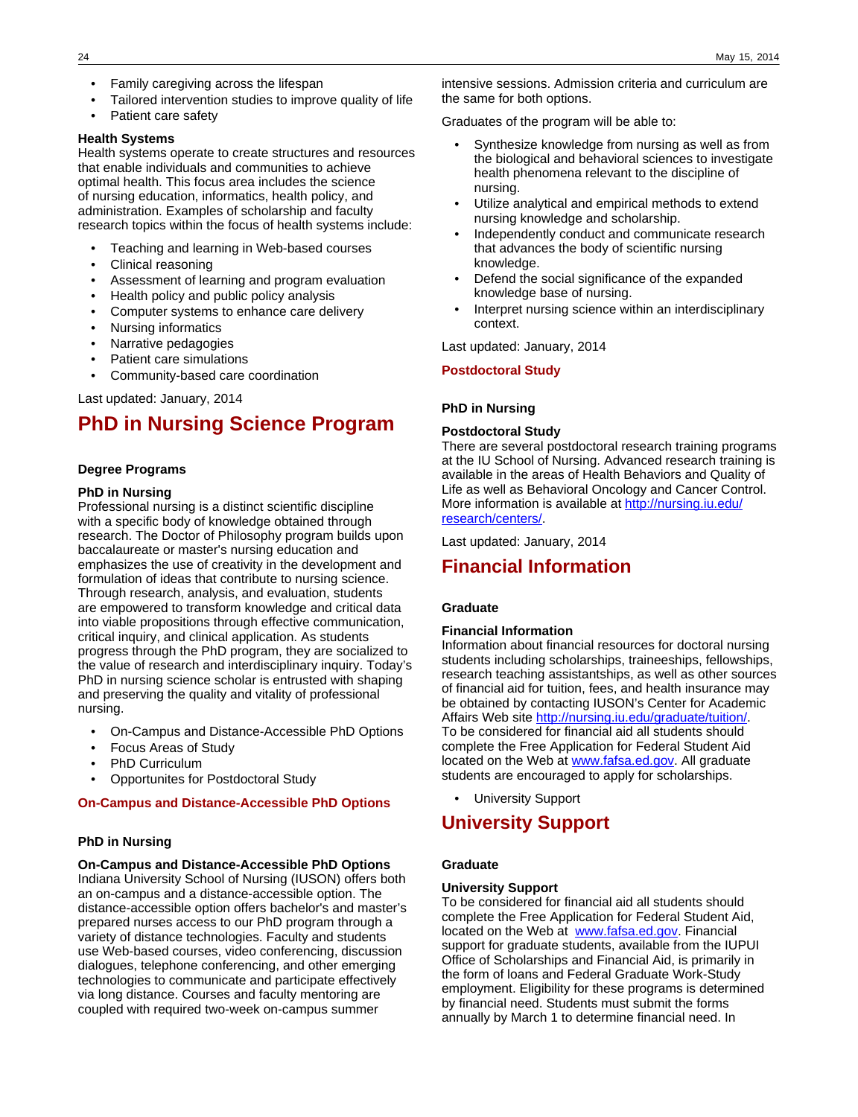- Family caregiving across the lifespan
- Tailored intervention studies to improve quality of life
- Patient care safety

### **Health Systems**

Health systems operate to create structures and resources that enable individuals and communities to achieve optimal health. This focus area includes the science of nursing education, informatics, health policy, and administration. Examples of scholarship and faculty research topics within the focus of health systems include:

- Teaching and learning in Web-based courses
- Clinical reasoning
- Assessment of learning and program evaluation
- Health policy and public policy analysis
- Computer systems to enhance care delivery
- Nursing informatics
- Narrative pedagogies
- Patient care simulations
- Community-based care coordination

Last updated: January, 2014

# **PhD in Nursing Science Program**

### **Degree Programs**

### **PhD in Nursing**

Professional nursing is a distinct scientific discipline with a specific body of knowledge obtained through research. The Doctor of Philosophy program builds upon baccalaureate or master's nursing education and emphasizes the use of creativity in the development and formulation of ideas that contribute to nursing science. Through research, analysis, and evaluation, students are empowered to transform knowledge and critical data into viable propositions through effective communication, critical inquiry, and clinical application. As students progress through the PhD program, they are socialized to the value of research and interdisciplinary inquiry. Today's PhD in nursing science scholar is entrusted with shaping and preserving the quality and vitality of professional nursing.

- On-Campus and Distance-Accessible PhD Options
- Focus Areas of Study
- PhD Curriculum
- Opportunites for Postdoctoral Study

#### **On-Campus and Distance-Accessible PhD Options**

#### **PhD in Nursing**

#### **On-Campus and Distance-Accessible PhD Options**

Indiana University School of Nursing (IUSON) offers both an on-campus and a distance-accessible option. The distance-accessible option offers bachelor's and master's prepared nurses access to our PhD program through a variety of distance technologies. Faculty and students use Web-based courses, video conferencing, discussion dialogues, telephone conferencing, and other emerging technologies to communicate and participate effectively via long distance. Courses and faculty mentoring are coupled with required two-week on-campus summer

intensive sessions. Admission criteria and curriculum are the same for both options.

Graduates of the program will be able to:

- Synthesize knowledge from nursing as well as from the biological and behavioral sciences to investigate health phenomena relevant to the discipline of nursing.
- Utilize analytical and empirical methods to extend nursing knowledge and scholarship.
- Independently conduct and communicate research that advances the body of scientific nursing knowledge.
- Defend the social significance of the expanded knowledge base of nursing.
- Interpret nursing science within an interdisciplinary context.

Last updated: January, 2014

#### **Postdoctoral Study**

#### **PhD in Nursing**

#### **Postdoctoral Study**

There are several postdoctoral research training programs at the IU School of Nursing. Advanced research training is available in the areas of Health Behaviors and Quality of Life as well as Behavioral Oncology and Cancer Control. More information is available at [http://nursing.iu.edu/](http://nursing.iu.edu/research/centers/) [research/centers/.](http://nursing.iu.edu/research/centers/)

Last updated: January, 2014

### **Financial Information**

### **Graduate**

### **Financial Information**

Information about financial resources for doctoral nursing students including scholarships, traineeships, fellowships, research teaching assistantships, as well as other sources of financial aid for tuition, fees, and health insurance may be obtained by contacting IUSON's Center for Academic Affairs Web site [http://nursing.iu.edu/graduate/tuition/.](http://nursing.iu.edu/graduate/tuition/) To be considered for financial aid all students should complete the Free Application for Federal Student Aid located on the Web at [www.fafsa.ed.gov](http://www.fafsa.ed.gov). All graduate students are encouraged to apply for scholarships.

• University Support

### **University Support**

### **Graduate**

### **University Support**

To be considered for financial aid all students should complete the Free Application for Federal Student Aid, located on the Web at [www.fafsa.ed.gov.](http://www.fafsa.ed.gov) Financial support for graduate students, available from the IUPUI Office of Scholarships and Financial Aid, is primarily in the form of loans and Federal Graduate Work-Study employment. Eligibility for these programs is determined by financial need. Students must submit the forms annually by March 1 to determine financial need. In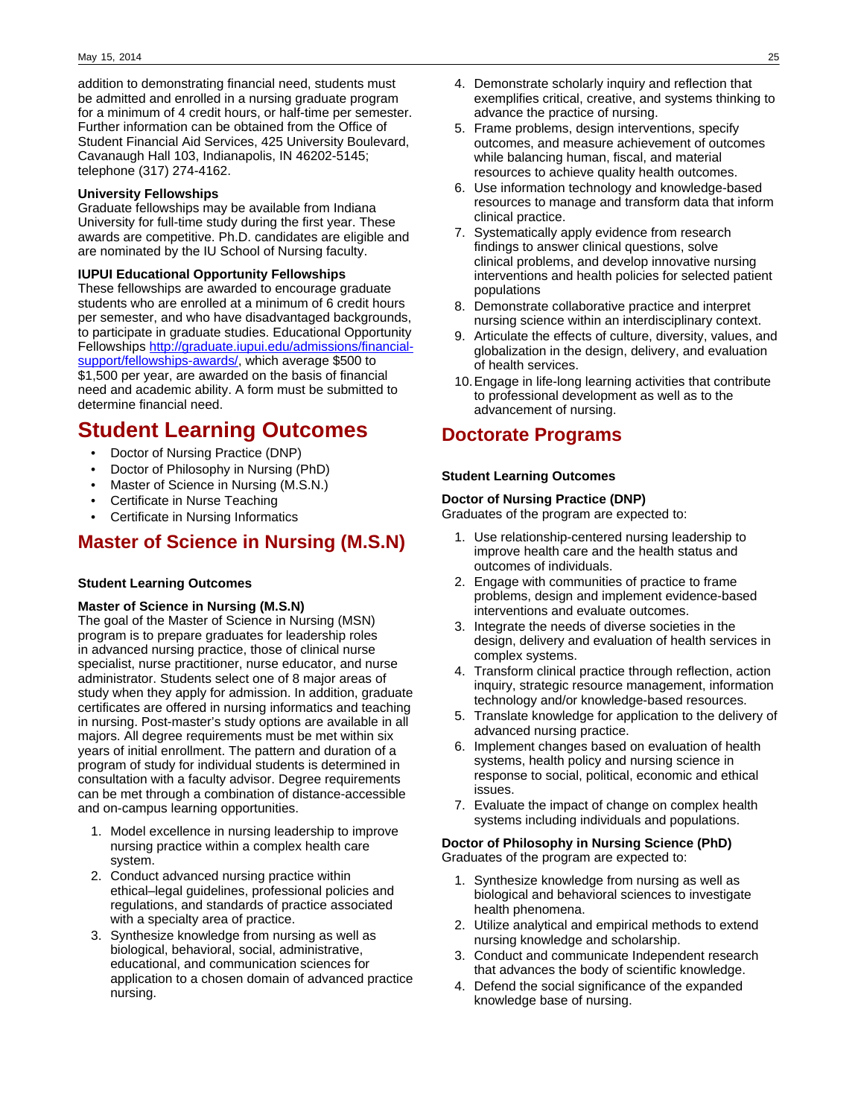addition to demonstrating financial need, students must be admitted and enrolled in a nursing graduate program for a minimum of 4 credit hours, or half-time per semester. Further information can be obtained from the Office of Student Financial Aid Services, 425 University Boulevard, Cavanaugh Hall 103, Indianapolis, IN 46202-5145; telephone (317) 274-4162.

### **University Fellowships**

Graduate fellowships may be available from Indiana University for full-time study during the first year. These awards are competitive. Ph.D. candidates are eligible and are nominated by the IU School of Nursing faculty.

### **IUPUI Educational Opportunity Fellowships**

These fellowships are awarded to encourage graduate students who are enrolled at a minimum of 6 credit hours per semester, and who have disadvantaged backgrounds, to participate in graduate studies. Educational Opportunity Fellowships [http://graduate.iupui.edu/admissions/financial](http://graduate.iupui.edu/admissions/financial-support/fellowships-awards/)[support/fellowships-awards/](http://graduate.iupui.edu/admissions/financial-support/fellowships-awards/), which average \$500 to \$1,500 per year, are awarded on the basis of financial need and academic ability. A form must be submitted to determine financial need.

# **Student Learning Outcomes**

- Doctor of Nursing Practice (DNP)
- Doctor of Philosophy in Nursing (PhD)
- Master of Science in Nursing (M.S.N.)
- Certificate in Nurse Teaching
- Certificate in Nursing Informatics

# **Master of Science in Nursing (M.S.N)**

### **Student Learning Outcomes**

### **Master of Science in Nursing (M.S.N)**

The goal of the Master of Science in Nursing (MSN) program is to prepare graduates for leadership roles in advanced nursing practice, those of clinical nurse specialist, nurse practitioner, nurse educator, and nurse administrator. Students select one of 8 major areas of study when they apply for admission. In addition, graduate certificates are offered in nursing informatics and teaching in nursing. Post-master's study options are available in all majors. All degree requirements must be met within six years of initial enrollment. The pattern and duration of a program of study for individual students is determined in consultation with a faculty advisor. Degree requirements can be met through a combination of distance-accessible and on-campus learning opportunities.

- 1. Model excellence in nursing leadership to improve nursing practice within a complex health care system.
- 2. Conduct advanced nursing practice within ethical–legal guidelines, professional policies and regulations, and standards of practice associated with a specialty area of practice.
- 3. Synthesize knowledge from nursing as well as biological, behavioral, social, administrative, educational, and communication sciences for application to a chosen domain of advanced practice nursing.
- 4. Demonstrate scholarly inquiry and reflection that exemplifies critical, creative, and systems thinking to advance the practice of nursing.
- 5. Frame problems, design interventions, specify outcomes, and measure achievement of outcomes while balancing human, fiscal, and material resources to achieve quality health outcomes.
- 6. Use information technology and knowledge-based resources to manage and transform data that inform clinical practice.
- 7. Systematically apply evidence from research findings to answer clinical questions, solve clinical problems, and develop innovative nursing interventions and health policies for selected patient populations
- 8. Demonstrate collaborative practice and interpret nursing science within an interdisciplinary context.
- 9. Articulate the effects of culture, diversity, values, and globalization in the design, delivery, and evaluation of health services.
- 10.Engage in life-long learning activities that contribute to professional development as well as to the advancement of nursing.

# **Doctorate Programs**

### **Student Learning Outcomes**

### **Doctor of Nursing Practice (DNP)**

Graduates of the program are expected to:

- 1. Use relationship-centered nursing leadership to improve health care and the health status and outcomes of individuals.
- 2. Engage with communities of practice to frame problems, design and implement evidence-based interventions and evaluate outcomes.
- 3. Integrate the needs of diverse societies in the design, delivery and evaluation of health services in complex systems.
- 4. Transform clinical practice through reflection, action inquiry, strategic resource management, information technology and/or knowledge-based resources.
- 5. Translate knowledge for application to the delivery of advanced nursing practice.
- 6. Implement changes based on evaluation of health systems, health policy and nursing science in response to social, political, economic and ethical issues.
- 7. Evaluate the impact of change on complex health systems including individuals and populations.

### **Doctor of Philosophy in Nursing Science (PhD)** Graduates of the program are expected to:

- 1. Synthesize knowledge from nursing as well as biological and behavioral sciences to investigate health phenomena.
- 2. Utilize analytical and empirical methods to extend nursing knowledge and scholarship.
- 3. Conduct and communicate Independent research that advances the body of scientific knowledge.
- 4. Defend the social significance of the expanded knowledge base of nursing.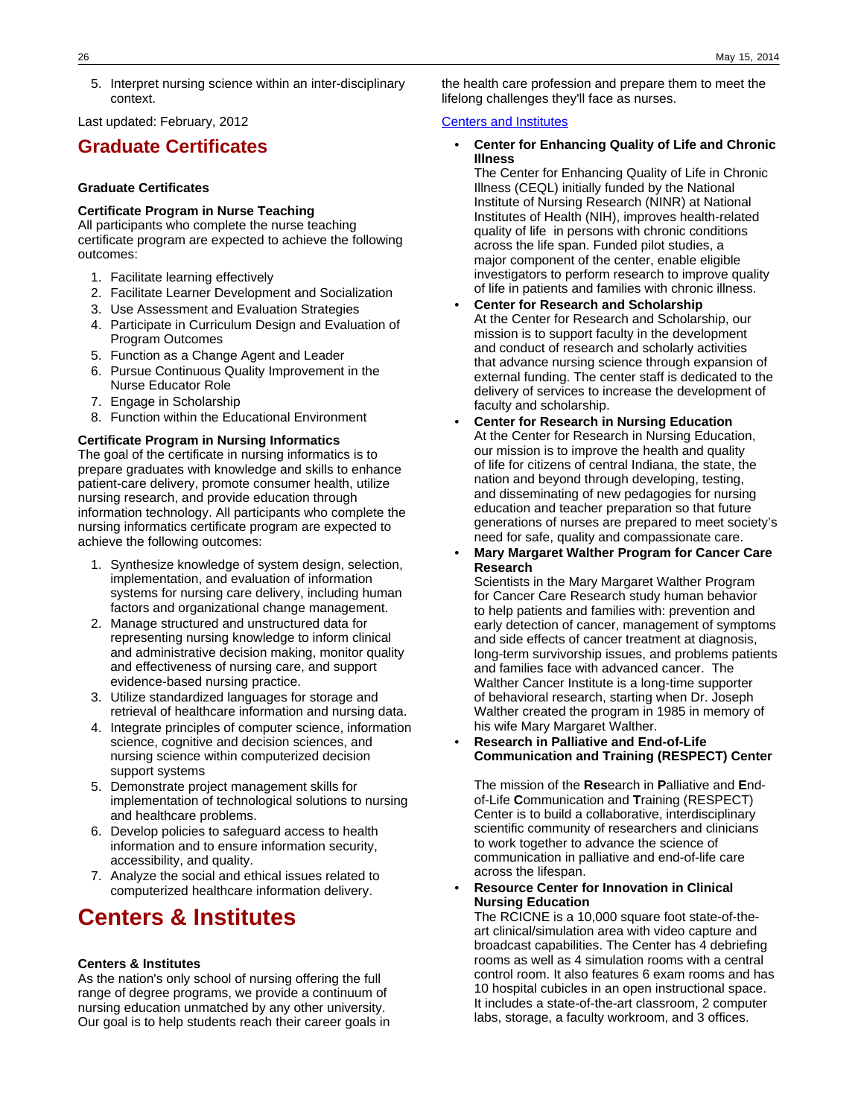5. Interpret nursing science within an inter-disciplinary context.

Last updated: February, 2012

# **Graduate Certificates**

### **Graduate Certificates**

### **Certificate Program in Nurse Teaching**

All participants who complete the nurse teaching certificate program are expected to achieve the following outcomes:

- 1. Facilitate learning effectively
- 2. Facilitate Learner Development and Socialization
- 3. Use Assessment and Evaluation Strategies
- 4. Participate in Curriculum Design and Evaluation of Program Outcomes
- 5. Function as a Change Agent and Leader
- 6. Pursue Continuous Quality Improvement in the Nurse Educator Role
- 7. Engage in Scholarship
- 8. Function within the Educational Environment

### **Certificate Program in Nursing Informatics**

The goal of the certificate in nursing informatics is to prepare graduates with knowledge and skills to enhance patient-care delivery, promote consumer health, utilize nursing research, and provide education through information technology. All participants who complete the nursing informatics certificate program are expected to achieve the following outcomes:

- 1. Synthesize knowledge of system design, selection, implementation, and evaluation of information systems for nursing care delivery, including human factors and organizational change management.
- 2. Manage structured and unstructured data for representing nursing knowledge to inform clinical and administrative decision making, monitor quality and effectiveness of nursing care, and support evidence-based nursing practice.
- 3. Utilize standardized languages for storage and retrieval of healthcare information and nursing data.
- 4. Integrate principles of computer science, information science, cognitive and decision sciences, and nursing science within computerized decision support systems
- 5. Demonstrate project management skills for implementation of technological solutions to nursing and healthcare problems.
- 6. Develop policies to safeguard access to health information and to ensure information security, accessibility, and quality.
- 7. Analyze the social and ethical issues related to computerized healthcare information delivery.

# **Centers & Institutes**

### **Centers & Institutes**

As the nation's only school of nursing offering the full range of degree programs, we provide a continuum of nursing education unmatched by any other university. Our goal is to help students reach their career goals in the health care profession and prepare them to meet the lifelong challenges they'll face as nurses.

#### [Centers and Institutes](http://nursing.iupui.edu/research/centers_institutes.shtml)

### • **Center for Enhancing Quality of Life and Chronic Illness**

The Center for Enhancing Quality of Life in Chronic Illness (CEQL) initially funded by the National Institute of Nursing Research (NINR) at National Institutes of Health (NIH), improves health-related quality of life in persons with chronic conditions across the life span. Funded pilot studies, a major component of the center, enable eligible investigators to perform research to improve quality of life in patients and families with chronic illness.

- **Center for Research and Scholarship** At the Center for Research and Scholarship, our mission is to support faculty in the development and conduct of research and scholarly activities that advance nursing science through expansion of external funding. The center staff is dedicated to the delivery of services to increase the development of faculty and scholarship.
- **Center for Research in Nursing Education**  At the Center for Research in Nursing Education, our mission is to improve the health and quality of life for citizens of central Indiana, the state, the nation and beyond through developing, testing, and disseminating of new pedagogies for nursing education and teacher preparation so that future generations of nurses are prepared to meet society's need for safe, quality and compassionate care.
- **Mary Margaret Walther Program for Cancer Care Research**

Scientists in the Mary Margaret Walther Program for Cancer Care Research study human behavior to help patients and families with: prevention and early detection of cancer, management of symptoms and side effects of cancer treatment at diagnosis, long-term survivorship issues, and problems patients and families face with advanced cancer. The Walther Cancer Institute is a long-time supporter of behavioral research, starting when Dr. Joseph Walther created the program in 1985 in memory of his wife Mary Margaret Walther.

• **Research in Palliative and End-of-Life Communication and Training (RESPECT) Center**

The mission of the **Res**earch in **P**alliative and **E**ndof-Life **C**ommunication and **T**raining (RESPECT) Center is to build a collaborative, interdisciplinary scientific community of researchers and clinicians to work together to advance the science of communication in palliative and end-of-life care across the lifespan.

• **Resource Center for Innovation in Clinical Nursing Education**

The RCICNE is a 10,000 square foot state-of-theart clinical/simulation area with video capture and broadcast capabilities. The Center has 4 debriefing rooms as well as 4 simulation rooms with a central control room. It also features 6 exam rooms and has 10 hospital cubicles in an open instructional space. It includes a state-of-the-art classroom, 2 computer labs, storage, a faculty workroom, and 3 offices.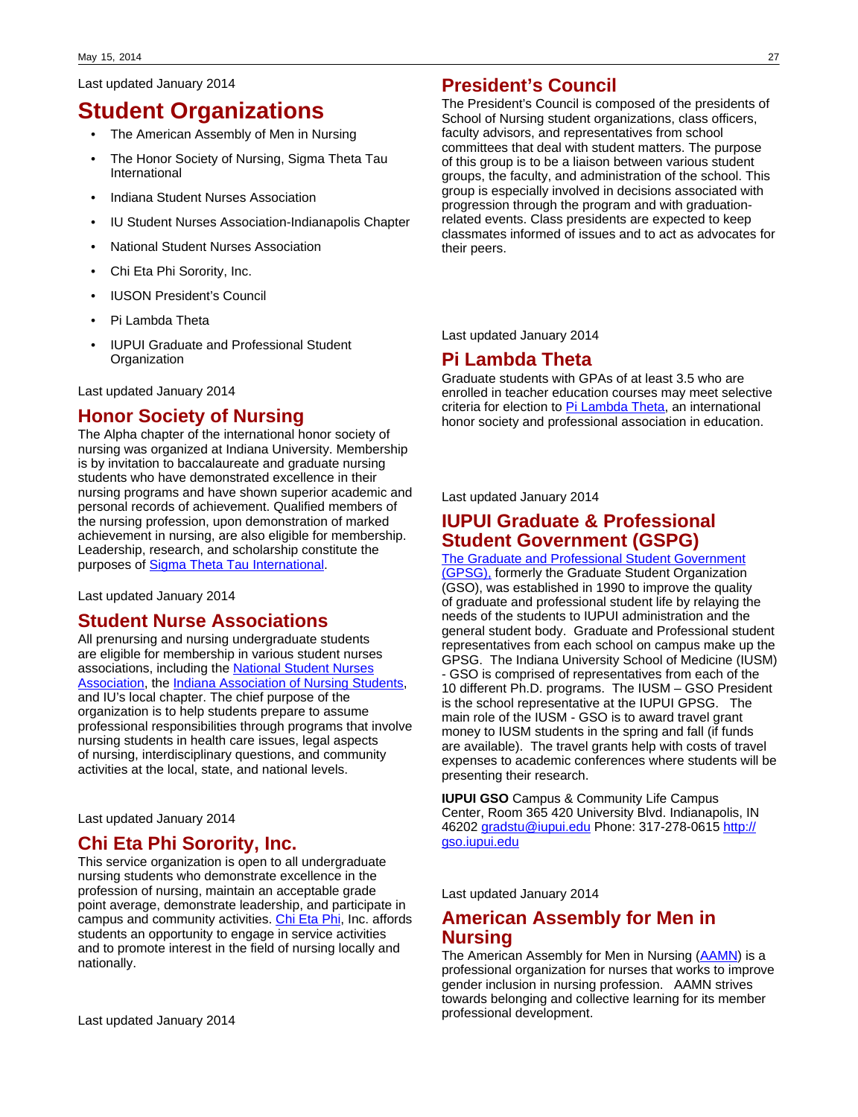Last updated January 2014

# **Student Organizations**

- The American Assembly of Men in Nursing
- The Honor Society of Nursing, Sigma Theta Tau International
- Indiana Student Nurses Association
- IU Student Nurses Association-Indianapolis Chapter
- National Student Nurses Association
- Chi Eta Phi Sorority, Inc.
- IUSON President's Council
- Pi Lambda Theta
- IUPUI Graduate and Professional Student **Organization**

Last updated January 2014

## **Honor Society of Nursing**

The Alpha chapter of the international honor society of nursing was organized at Indiana University. Membership is by invitation to baccalaureate and graduate nursing students who have demonstrated excellence in their nursing programs and have shown superior academic and personal records of achievement. Qualified members of the nursing profession, upon demonstration of marked achievement in nursing, are also eligible for membership. Leadership, research, and scholarship constitute the purposes of [Sigma Theta Tau International.](#http://www.nursingsociety.org/Pages/default.aspx)

Last updated January 2014

### **Student Nurse Associations**

All prenursing and nursing undergraduate students are eligible for membership in various student nurses associations, including the [National Student Nurses](#http://www.nsna.org/) [Association](#http://www.nsna.org/), the [Indiana Association of Nursing Students,](#http://www.indianastudentnurses.org/) and IU's local chapter. The chief purpose of the organization is to help students prepare to assume professional responsibilities through programs that involve nursing students in health care issues, legal aspects of nursing, interdisciplinary questions, and community activities at the local, state, and national levels.

Last updated January 2014

## **Chi Eta Phi Sorority, Inc.**

This service organization is open to all undergraduate nursing students who demonstrate excellence in the profession of nursing, maintain an acceptable grade point average, demonstrate leadership, and participate in campus and community activities. [Chi Eta Phi](#http://www.chietaphi.com/), Inc. affords students an opportunity to engage in service activities and to promote interest in the field of nursing locally and nationally.

### **President's Council**

The President's Council is composed of the presidents of School of Nursing student organizations, class officers, faculty advisors, and representatives from school committees that deal with student matters. The purpose of this group is to be a liaison between various student groups, the faculty, and administration of the school. This group is especially involved in decisions associated with progression through the program and with graduationrelated events. Class presidents are expected to keep classmates informed of issues and to act as advocates for their peers.

Last updated January 2014

### **Pi Lambda Theta**

Graduate students with GPAs of at least 3.5 who are enrolled in teacher education courses may meet selective criteria for election to [Pi Lambda Theta,](#http://pilambda.org/) an international honor society and professional association in education.

Last updated January 2014

### **IUPUI Graduate & Professional Student Government (GSPG)**

## [The Graduate and Professional Student Government](#http://gso.iupui.edu)

[\(GPSG\),](#http://gso.iupui.edu) formerly the Graduate Student Organization (GSO), was established in 1990 to improve the quality of graduate and professional student life by relaying the needs of the students to IUPUI administration and the general student body. Graduate and Professional student representatives from each school on campus make up the GPSG. The Indiana University School of Medicine (IUSM) - GSO is comprised of representatives from each of the 10 different Ph.D. programs. The IUSM – GSO President is the school representative at the IUPUI GPSG. The main role of the IUSM - GSO is to award travel grant money to IUSM students in the spring and fall (if funds are available). The travel grants help with costs of travel expenses to academic conferences where students will be presenting their research.

**IUPUI GSO** Campus & Community Life Campus Center, Room 365 420 University Blvd. Indianapolis, IN 46202 [gradstu@iupui.edu](mailto:gradstu@iupui.edu) Phone: 317-278-0615 [http://](http://gso.iupui.edu/) [gso.iupui.edu](http://gso.iupui.edu/)

Last updated January 2014

### **American Assembly for Men in Nursing**

The American Assembly for Men in Nursing [\(AAMN](#http://aamn.org/)) is a professional organization for nurses that works to improve gender inclusion in nursing profession. AAMN strives towards belonging and collective learning for its member professional development.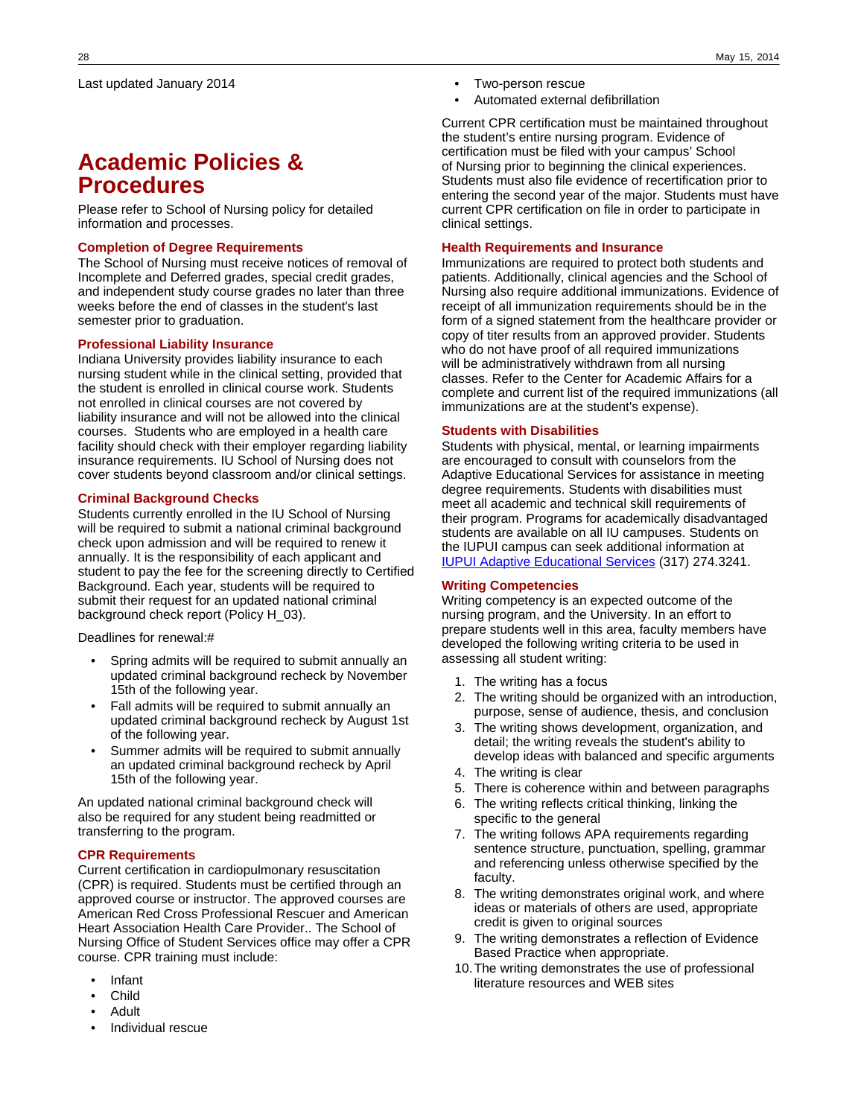# **Academic Policies & Procedures**

Please refer to School of Nursing policy for detailed information and processes.

### **Completion of Degree Requirements**

The School of Nursing must receive notices of removal of Incomplete and Deferred grades, special credit grades, and independent study course grades no later than three weeks before the end of classes in the student's last semester prior to graduation.

### **Professional Liability Insurance**

Indiana University provides liability insurance to each nursing student while in the clinical setting, provided that the student is enrolled in clinical course work. Students not enrolled in clinical courses are not covered by liability insurance and will not be allowed into the clinical courses. Students who are employed in a health care facility should check with their employer regarding liability insurance requirements. IU School of Nursing does not cover students beyond classroom and/or clinical settings.

### **Criminal Background Checks**

Students currently enrolled in the IU School of Nursing will be required to submit a national criminal background check upon admission and will be required to renew it annually. It is the responsibility of each applicant and student to pay the fee for the screening directly to Certified Background. Each year, students will be required to submit their request for an updated national criminal background check report (Policy H\_03).

Deadlines for renewal:#

- Spring admits will be required to submit annually an updated criminal background recheck by November 15th of the following year.
- Fall admits will be required to submit annually an updated criminal background recheck by August 1st of the following year.
- Summer admits will be required to submit annually an updated criminal background recheck by April 15th of the following year.

An updated national criminal background check will also be required for any student being readmitted or transferring to the program.

### **CPR Requirements**

Current certification in cardiopulmonary resuscitation (CPR) is required. Students must be certified through an approved course or instructor. The approved courses are American Red Cross Professional Rescuer and American Heart Association Health Care Provider.. The School of Nursing Office of Student Services office may offer a CPR course. CPR training must include:

- Infant
- Child
- Adult
- Individual rescue
- Two-person rescue
- Automated external defibrillation

Current CPR certification must be maintained throughout the student's entire nursing program. Evidence of certification must be filed with your campus' School of Nursing prior to beginning the clinical experiences. Students must also file evidence of recertification prior to entering the second year of the major. Students must have current CPR certification on file in order to participate in clinical settings.

### **Health Requirements and Insurance**

Immunizations are required to protect both students and patients. Additionally, clinical agencies and the School of Nursing also require additional immunizations. Evidence of receipt of all immunization requirements should be in the form of a signed statement from the healthcare provider or copy of titer results from an approved provider. Students who do not have proof of all required immunizations will be administratively withdrawn from all nursing classes. Refer to the Center for Academic Affairs for a complete and current list of the required immunizations (all immunizations are at the student's expense).

### **Students with Disabilities**

Students with physical, mental, or learning impairments are encouraged to consult with counselors from the Adaptive Educational Services for assistance in meeting degree requirements. Students with disabilities must meet all academic and technical skill requirements of their program. Programs for academically disadvantaged students are available on all IU campuses. Students on the IUPUI campus can seek additional information at [IUPUI Adaptive Educational Services](#http://aes.iupui.edu/) (317) 274.3241.

### **Writing Competencies**

Writing competency is an expected outcome of the nursing program, and the University. In an effort to prepare students well in this area, faculty members have developed the following writing criteria to be used in assessing all student writing:

- 1. The writing has a focus
- 2. The writing should be organized with an introduction, purpose, sense of audience, thesis, and conclusion
- 3. The writing shows development, organization, and detail; the writing reveals the student's ability to develop ideas with balanced and specific arguments
- 4. The writing is clear
- 5. There is coherence within and between paragraphs
- 6. The writing reflects critical thinking, linking the specific to the general
- 7. The writing follows APA requirements regarding sentence structure, punctuation, spelling, grammar and referencing unless otherwise specified by the faculty.
- 8. The writing demonstrates original work, and where ideas or materials of others are used, appropriate credit is given to original sources
- 9. The writing demonstrates a reflection of Evidence Based Practice when appropriate.
- 10.The writing demonstrates the use of professional literature resources and WEB sites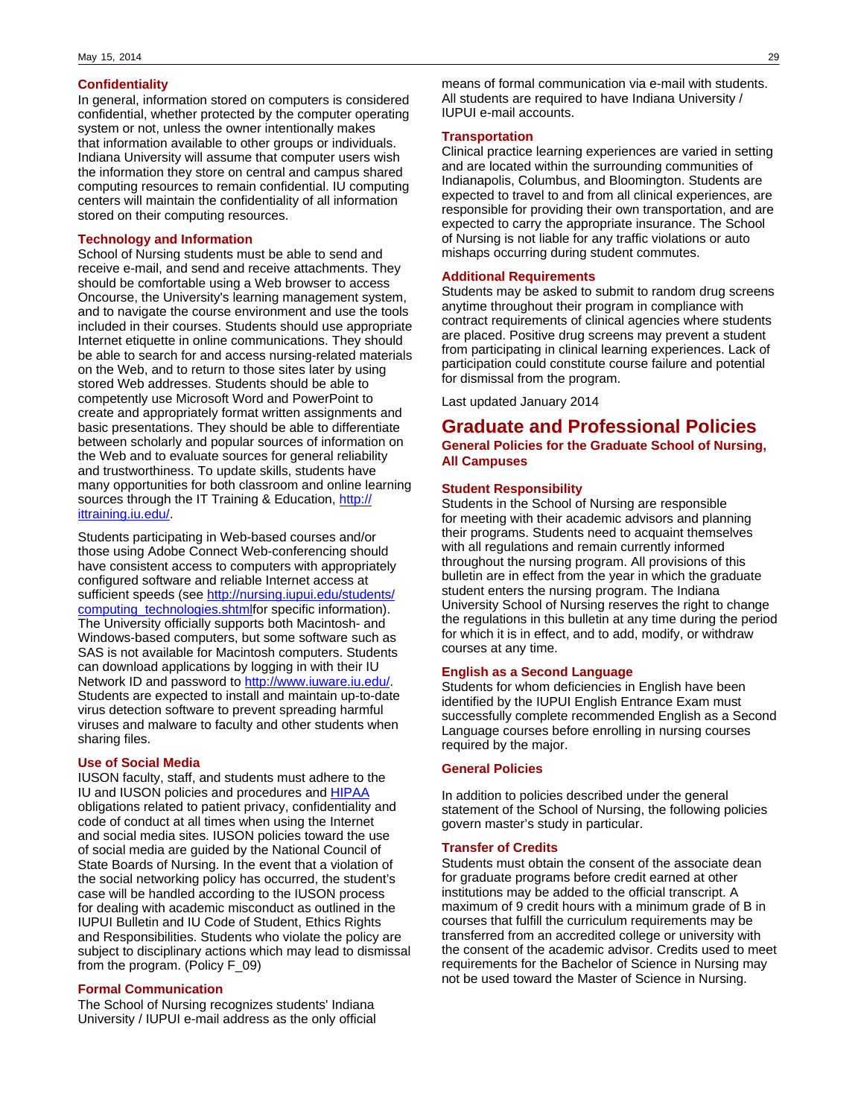### **Confidentiality**

In general, information stored on computers is considered confidential, whether protected by the computer operating system or not, unless the owner intentionally makes that information available to other groups or individuals. Indiana University will assume that computer users wish the information they store on central and campus shared computing resources to remain confidential. IU computing centers will maintain the confidentiality of all information stored on their computing resources.

### **Technology and Information**

School of Nursing students must be able to send and receive e-mail, and send and receive attachments. They should be comfortable using a Web browser to access Oncourse, the University's learning management system, and to navigate the course environment and use the tools included in their courses. Students should use appropriate Internet etiquette in online communications. They should be able to search for and access nursing-related materials on the Web, and to return to those sites later by using stored Web addresses. Students should be able to competently use Microsoft Word and PowerPoint to create and appropriately format written assignments and basic presentations. They should be able to differentiate between scholarly and popular sources of information on the Web and to evaluate sources for general reliability and trustworthiness. To update skills, students have many opportunities for both classroom and online learning sources through the IT Training & Education, [http://](http://ittraining.iu.edu/) [ittraining.iu.edu/.](http://ittraining.iu.edu/)

Students participating in Web-based courses and/or those using Adobe Connect Web-conferencing should have consistent access to computers with appropriately configured software and reliable Internet access at sufficient speeds (see [http://nursing.iupui.edu/students/](http://nursing.iupui.edu/students/computing_technologies.shtml) [computing\\_technologies.shtml](http://nursing.iupui.edu/students/computing_technologies.shtml)for specific information). The University officially supports both Macintosh- and Windows-based computers, but some software such as SAS is not available for Macintosh computers. Students can download applications by logging in with their IU Network ID and password to <http://www.iuware.iu.edu/>. Students are expected to install and maintain up-to-date virus detection software to prevent spreading harmful viruses and malware to faculty and other students when sharing files.

### **Use of Social Media**

IUSON faculty, staff, and students must adhere to the IU and IUSON policies and procedures and [HIPAA](#http://www.hhs.gov/ocr/privacy/) obligations related to patient privacy, confidentiality and code of conduct at all times when using the Internet and social media sites. IUSON policies toward the use of social media are guided by the National Council of State Boards of Nursing. In the event that a violation of the social networking policy has occurred, the student's case will be handled according to the IUSON process for dealing with academic misconduct as outlined in the IUPUI Bulletin and IU Code of Student, Ethics Rights and Responsibilities. Students who violate the policy are subject to disciplinary actions which may lead to dismissal from the program. (Policy F\_09)

### **Formal Communication**

The School of Nursing recognizes students' Indiana University / IUPUI e-mail address as the only official

means of formal communication via e-mail with students. All students are required to have Indiana University / IUPUI e-mail accounts.

### **Transportation**

Clinical practice learning experiences are varied in setting and are located within the surrounding communities of Indianapolis, Columbus, and Bloomington. Students are expected to travel to and from all clinical experiences, are responsible for providing their own transportation, and are expected to carry the appropriate insurance. The School of Nursing is not liable for any traffic violations or auto mishaps occurring during student commutes.

### **Additional Requirements**

Students may be asked to submit to random drug screens anytime throughout their program in compliance with contract requirements of clinical agencies where students are placed. Positive drug screens may prevent a student from participating in clinical learning experiences. Lack of participation could constitute course failure and potential for dismissal from the program.

Last updated January 2014

### **Graduate and Professional Policies General Policies for the Graduate School of Nursing, All Campuses**

### **Student Responsibility**

Students in the School of Nursing are responsible for meeting with their academic advisors and planning their programs. Students need to acquaint themselves with all regulations and remain currently informed throughout the nursing program. All provisions of this bulletin are in effect from the year in which the graduate student enters the nursing program. The Indiana University School of Nursing reserves the right to change the regulations in this bulletin at any time during the period for which it is in effect, and to add, modify, or withdraw courses at any time.

### **English as a Second Language**

Students for whom deficiencies in English have been identified by the IUPUI English Entrance Exam must successfully complete recommended English as a Second Language courses before enrolling in nursing courses required by the major.

### **General Policies**

In addition to policies described under the general statement of the School of Nursing, the following policies govern master's study in particular.

### **Transfer of Credits**

Students must obtain the consent of the associate dean for graduate programs before credit earned at other institutions may be added to the official transcript. A maximum of 9 credit hours with a minimum grade of B in courses that fulfill the curriculum requirements may be transferred from an accredited college or university with the consent of the academic advisor. Credits used to meet requirements for the Bachelor of Science in Nursing may not be used toward the Master of Science in Nursing.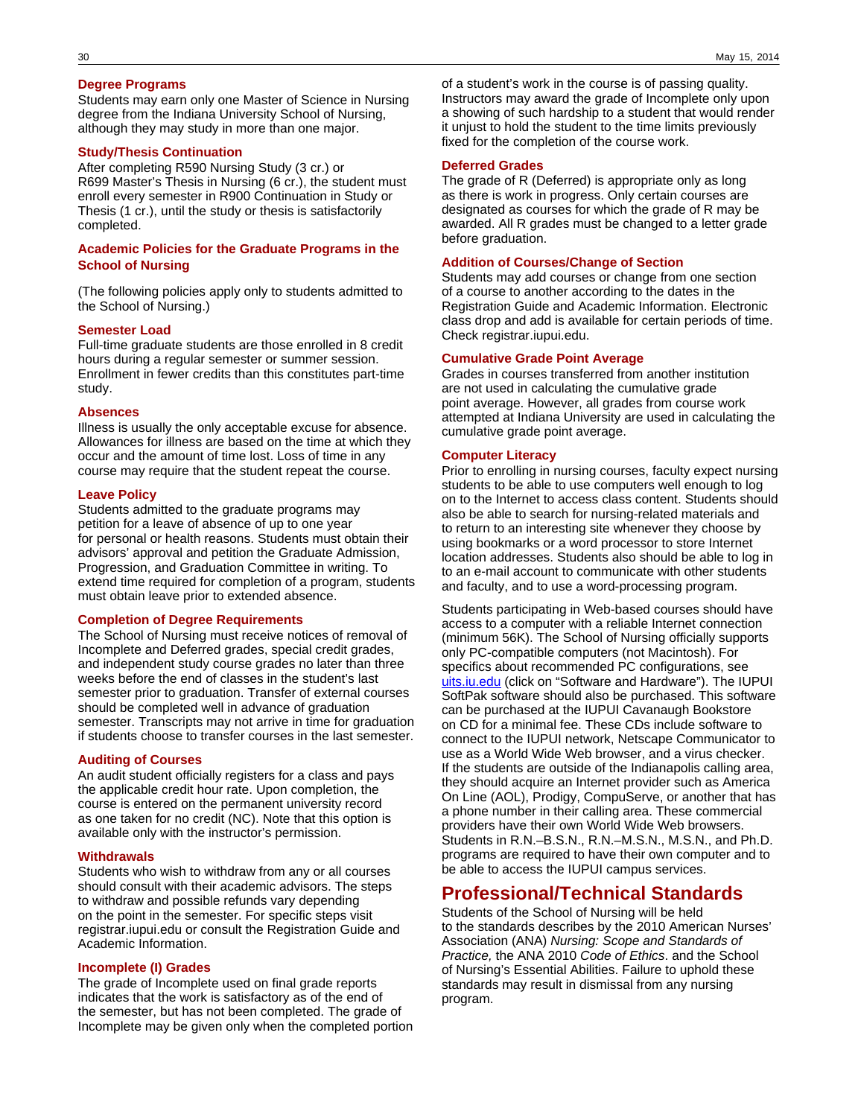### **Degree Programs**

Students may earn only one Master of Science in Nursing degree from the Indiana University School of Nursing, although they may study in more than one major.

### **Study/Thesis Continuation**

After completing R590 Nursing Study (3 cr.) or R699 Master's Thesis in Nursing (6 cr.), the student must enroll every semester in R900 Continuation in Study or Thesis (1 cr.), until the study or thesis is satisfactorily completed.

### **Academic Policies for the Graduate Programs in the School of Nursing**

(The following policies apply only to students admitted to the School of Nursing.)

#### **Semester Load**

Full-time graduate students are those enrolled in 8 credit hours during a regular semester or summer session. Enrollment in fewer credits than this constitutes part-time study.

#### **Absences**

Illness is usually the only acceptable excuse for absence. Allowances for illness are based on the time at which they occur and the amount of time lost. Loss of time in any course may require that the student repeat the course.

### **Leave Policy**

Students admitted to the graduate programs may petition for a leave of absence of up to one year for personal or health reasons. Students must obtain their advisors' approval and petition the Graduate Admission, Progression, and Graduation Committee in writing. To extend time required for completion of a program, students must obtain leave prior to extended absence.

#### **Completion of Degree Requirements**

The School of Nursing must receive notices of removal of Incomplete and Deferred grades, special credit grades, and independent study course grades no later than three weeks before the end of classes in the student's last semester prior to graduation. Transfer of external courses should be completed well in advance of graduation semester. Transcripts may not arrive in time for graduation if students choose to transfer courses in the last semester.

#### **Auditing of Courses**

An audit student officially registers for a class and pays the applicable credit hour rate. Upon completion, the course is entered on the permanent university record as one taken for no credit (NC). Note that this option is available only with the instructor's permission.

### **Withdrawals**

Students who wish to withdraw from any or all courses should consult with their academic advisors. The steps to withdraw and possible refunds vary depending on the point in the semester. For specific steps visit registrar.iupui.edu or consult the Registration Guide and Academic Information.

### **Incomplete (I) Grades**

The grade of Incomplete used on final grade reports indicates that the work is satisfactory as of the end of the semester, but has not been completed. The grade of Incomplete may be given only when the completed portion

of a student's work in the course is of passing quality. Instructors may award the grade of Incomplete only upon a showing of such hardship to a student that would render it unjust to hold the student to the time limits previously fixed for the completion of the course work.

### **Deferred Grades**

The grade of R (Deferred) is appropriate only as long as there is work in progress. Only certain courses are designated as courses for which the grade of R may be awarded. All R grades must be changed to a letter grade before graduation.

### **Addition of Courses/Change of Section**

Students may add courses or change from one section of a course to another according to the dates in the Registration Guide and Academic Information. Electronic class drop and add is available for certain periods of time. Check registrar.iupui.edu.

### **Cumulative Grade Point Average**

Grades in courses transferred from another institution are not used in calculating the cumulative grade point average. However, all grades from course work attempted at Indiana University are used in calculating the cumulative grade point average.

#### **Computer Literacy**

Prior to enrolling in nursing courses, faculty expect nursing students to be able to use computers well enough to log on to the Internet to access class content. Students should also be able to search for nursing-related materials and to return to an interesting site whenever they choose by using bookmarks or a word processor to store Internet location addresses. Students also should be able to log in to an e-mail account to communicate with other students and faculty, and to use a word-processing program.

Students participating in Web-based courses should have access to a computer with a reliable Internet connection (minimum 56K). The School of Nursing officially supports only PC-compatible computers (not Macintosh). For specifics about recommended PC configurations, see [uits.iu.edu](http://uits.iu.edu) (click on "Software and Hardware"). The IUPUI SoftPak software should also be purchased. This software can be purchased at the IUPUI Cavanaugh Bookstore on CD for a minimal fee. These CDs include software to connect to the IUPUI network, Netscape Communicator to use as a World Wide Web browser, and a virus checker. If the students are outside of the Indianapolis calling area, they should acquire an Internet provider such as America On Line (AOL), Prodigy, CompuServe, or another that has a phone number in their calling area. These commercial providers have their own World Wide Web browsers. Students in R.N.–B.S.N., R.N.–M.S.N., M.S.N., and Ph.D. programs are required to have their own computer and to be able to access the IUPUI campus services.

### **Professional/Technical Standards**

Students of the School of Nursing will be held to the standards describes by the 2010 American Nurses' Association (ANA) Nursing: Scope and Standards of Practice, the ANA 2010 Code of Ethics. and the School of Nursing's Essential Abilities. Failure to uphold these standards may result in dismissal from any nursing program.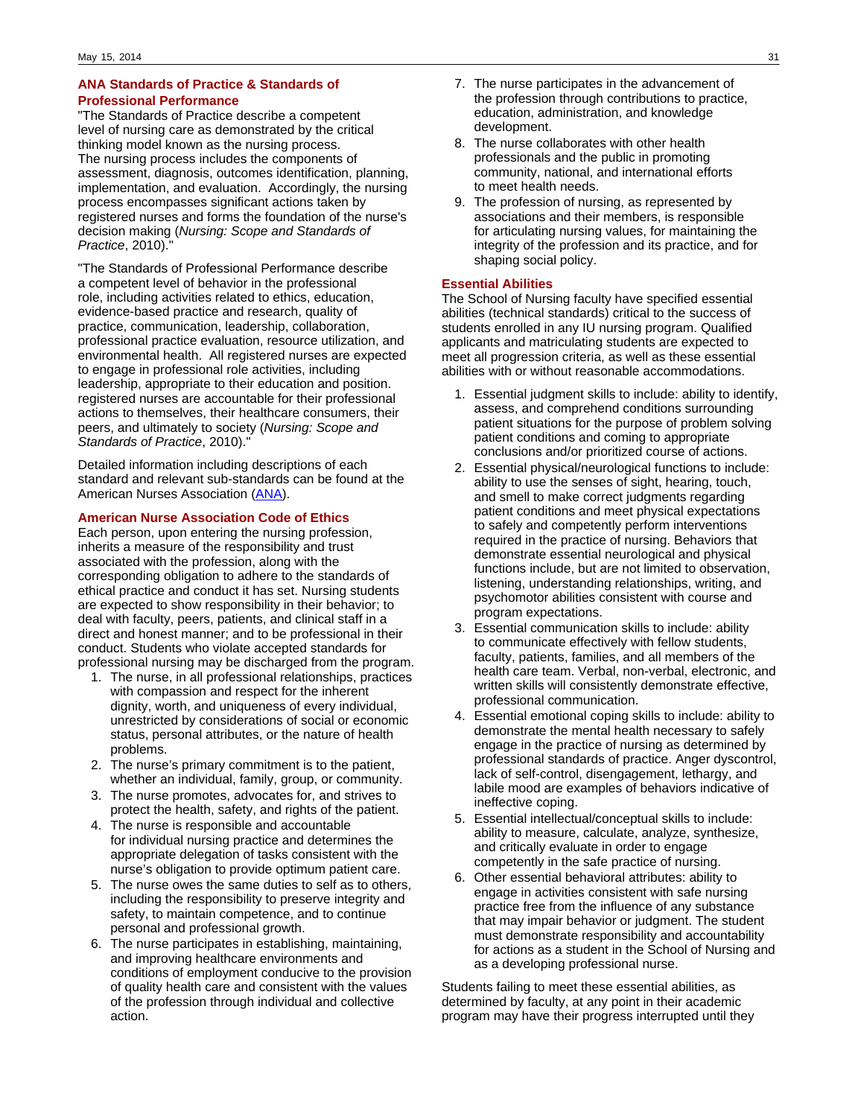### **ANA Standards of Practice & Standards of Professional Performance**

"The Standards of Practice describe a competent level of nursing care as demonstrated by the critical thinking model known as the nursing process. The nursing process includes the components of assessment, diagnosis, outcomes identification, planning, implementation, and evaluation. Accordingly, the nursing process encompasses significant actions taken by registered nurses and forms the foundation of the nurse's decision making (Nursing: Scope and Standards of Practice, 2010).

"The Standards of Professional Performance describe a competent level of behavior in the professional role, including activities related to ethics, education, evidence-based practice and research, quality of practice, communication, leadership, collaboration, professional practice evaluation, resource utilization, and environmental health. All registered nurses are expected to engage in professional role activities, including leadership, appropriate to their education and position. registered nurses are accountable for their professional actions to themselves, their healthcare consumers, their peers, and ultimately to society (Nursing: Scope and Standards of Practice, 2010)."

Detailed information including descriptions of each standard and relevant sub-standards can be found at the American Nurses Association [\(ANA\)](#http://www.nursingworld.org/default.aspx).

### **American Nurse Association Code of Ethics**

Each person, upon entering the nursing profession, inherits a measure of the responsibility and trust associated with the profession, along with the corresponding obligation to adhere to the standards of ethical practice and conduct it has set. Nursing students are expected to show responsibility in their behavior; to deal with faculty, peers, patients, and clinical staff in a direct and honest manner; and to be professional in their conduct. Students who violate accepted standards for professional nursing may be discharged from the program.

- 1. The nurse, in all professional relationships, practices with compassion and respect for the inherent dignity, worth, and uniqueness of every individual, unrestricted by considerations of social or economic status, personal attributes, or the nature of health problems.
- 2. The nurse's primary commitment is to the patient, whether an individual, family, group, or community.
- 3. The nurse promotes, advocates for, and strives to protect the health, safety, and rights of the patient.
- 4. The nurse is responsible and accountable for individual nursing practice and determines the appropriate delegation of tasks consistent with the nurse's obligation to provide optimum patient care.
- 5. The nurse owes the same duties to self as to others, including the responsibility to preserve integrity and safety, to maintain competence, and to continue personal and professional growth.
- 6. The nurse participates in establishing, maintaining, and improving healthcare environments and conditions of employment conducive to the provision of quality health care and consistent with the values of the profession through individual and collective action.
- 7. The nurse participates in the advancement of the profession through contributions to practice, education, administration, and knowledge development.
- 8. The nurse collaborates with other health professionals and the public in promoting community, national, and international efforts to meet health needs.
- 9. The profession of nursing, as represented by associations and their members, is responsible for articulating nursing values, for maintaining the integrity of the profession and its practice, and for shaping social policy.

### **Essential Abilities**

The School of Nursing faculty have specified essential abilities (technical standards) critical to the success of students enrolled in any IU nursing program. Qualified applicants and matriculating students are expected to meet all progression criteria, as well as these essential abilities with or without reasonable accommodations.

- 1. Essential judgment skills to include: ability to identify, assess, and comprehend conditions surrounding patient situations for the purpose of problem solving patient conditions and coming to appropriate conclusions and/or prioritized course of actions.
- 2. Essential physical/neurological functions to include: ability to use the senses of sight, hearing, touch, and smell to make correct judgments regarding patient conditions and meet physical expectations to safely and competently perform interventions required in the practice of nursing. Behaviors that demonstrate essential neurological and physical functions include, but are not limited to observation, listening, understanding relationships, writing, and psychomotor abilities consistent with course and program expectations.
- 3. Essential communication skills to include: ability to communicate effectively with fellow students, faculty, patients, families, and all members of the health care team. Verbal, non-verbal, electronic, and written skills will consistently demonstrate effective, professional communication.
- 4. Essential emotional coping skills to include: ability to demonstrate the mental health necessary to safely engage in the practice of nursing as determined by professional standards of practice. Anger dyscontrol, lack of self-control, disengagement, lethargy, and labile mood are examples of behaviors indicative of ineffective coping.
- 5. Essential intellectual/conceptual skills to include: ability to measure, calculate, analyze, synthesize, and critically evaluate in order to engage competently in the safe practice of nursing.
- 6. Other essential behavioral attributes: ability to engage in activities consistent with safe nursing practice free from the influence of any substance that may impair behavior or judgment. The student must demonstrate responsibility and accountability for actions as a student in the School of Nursing and as a developing professional nurse.

Students failing to meet these essential abilities, as determined by faculty, at any point in their academic program may have their progress interrupted until they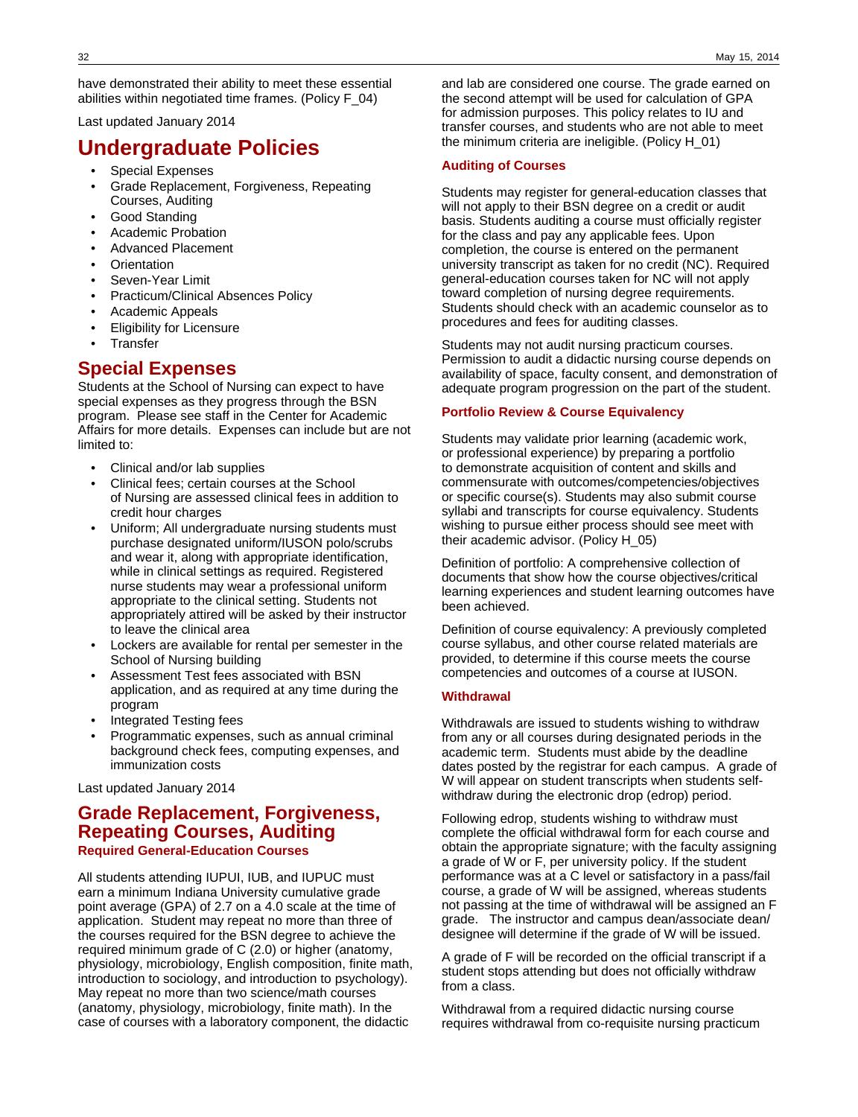have demonstrated their ability to meet these essential abilities within negotiated time frames. (Policy F\_04)

Last updated January 2014

# **Undergraduate Policies**

- Special Expenses
- Grade Replacement, Forgiveness, Repeating Courses, Auditing
- Good Standing
- Academic Probation
- Advanced Placement
- **Orientation**
- Seven-Year Limit
- Practicum/Clinical Absences Policy
- Academic Appeals
- **Eligibility for Licensure**
- **Transfer**

## **Special Expenses**

Students at the School of Nursing can expect to have special expenses as they progress through the BSN program. Please see staff in the Center for Academic Affairs for more details. Expenses can include but are not limited to:

- Clinical and/or lab supplies
- Clinical fees; certain courses at the School of Nursing are assessed clinical fees in addition to credit hour charges
- Uniform; All undergraduate nursing students must purchase designated uniform/IUSON polo/scrubs and wear it, along with appropriate identification, while in clinical settings as required. Registered nurse students may wear a professional uniform appropriate to the clinical setting. Students not appropriately attired will be asked by their instructor to leave the clinical area
- Lockers are available for rental per semester in the School of Nursing building
- Assessment Test fees associated with BSN application, and as required at any time during the program
- Integrated Testing fees
- Programmatic expenses, such as annual criminal background check fees, computing expenses, and immunization costs

Last updated January 2014

## **Grade Replacement, Forgiveness, Repeating Courses, Auditing Required General-Education Courses**

All students attending IUPUI, IUB, and IUPUC must earn a minimum Indiana University cumulative grade point average (GPA) of 2.7 on a 4.0 scale at the time of application. Student may repeat no more than three of the courses required for the BSN degree to achieve the required minimum grade of C (2.0) or higher (anatomy, physiology, microbiology, English composition, finite math, introduction to sociology, and introduction to psychology). May repeat no more than two science/math courses (anatomy, physiology, microbiology, finite math). In the case of courses with a laboratory component, the didactic

and lab are considered one course. The grade earned on the second attempt will be used for calculation of GPA for admission purposes. This policy relates to IU and transfer courses, and students who are not able to meet the minimum criteria are ineligible. (Policy H\_01)

### **Auditing of Courses**

Students may register for general-education classes that will not apply to their BSN degree on a credit or audit basis. Students auditing a course must officially register for the class and pay any applicable fees. Upon completion, the course is entered on the permanent university transcript as taken for no credit (NC). Required general-education courses taken for NC will not apply toward completion of nursing degree requirements. Students should check with an academic counselor as to procedures and fees for auditing classes.

Students may not audit nursing practicum courses. Permission to audit a didactic nursing course depends on availability of space, faculty consent, and demonstration of adequate program progression on the part of the student.

### **Portfolio Review & Course Equivalency**

Students may validate prior learning (academic work, or professional experience) by preparing a portfolio to demonstrate acquisition of content and skills and commensurate with outcomes/competencies/objectives or specific course(s). Students may also submit course syllabi and transcripts for course equivalency. Students wishing to pursue either process should see meet with their academic advisor. (Policy H\_05)

Definition of portfolio: A comprehensive collection of documents that show how the course objectives/critical learning experiences and student learning outcomes have been achieved.

Definition of course equivalency: A previously completed course syllabus, and other course related materials are provided, to determine if this course meets the course competencies and outcomes of a course at IUSON.

### **Withdrawal**

Withdrawals are issued to students wishing to withdraw from any or all courses during designated periods in the academic term. Students must abide by the deadline dates posted by the registrar for each campus. A grade of W will appear on student transcripts when students selfwithdraw during the electronic drop (edrop) period.

Following edrop, students wishing to withdraw must complete the official withdrawal form for each course and obtain the appropriate signature; with the faculty assigning a grade of W or F, per university policy. If the student performance was at a C level or satisfactory in a pass/fail course, a grade of W will be assigned, whereas students not passing at the time of withdrawal will be assigned an F grade. The instructor and campus dean/associate dean/ designee will determine if the grade of W will be issued.

A grade of F will be recorded on the official transcript if a student stops attending but does not officially withdraw from a class.

Withdrawal from a required didactic nursing course requires withdrawal from co-requisite nursing practicum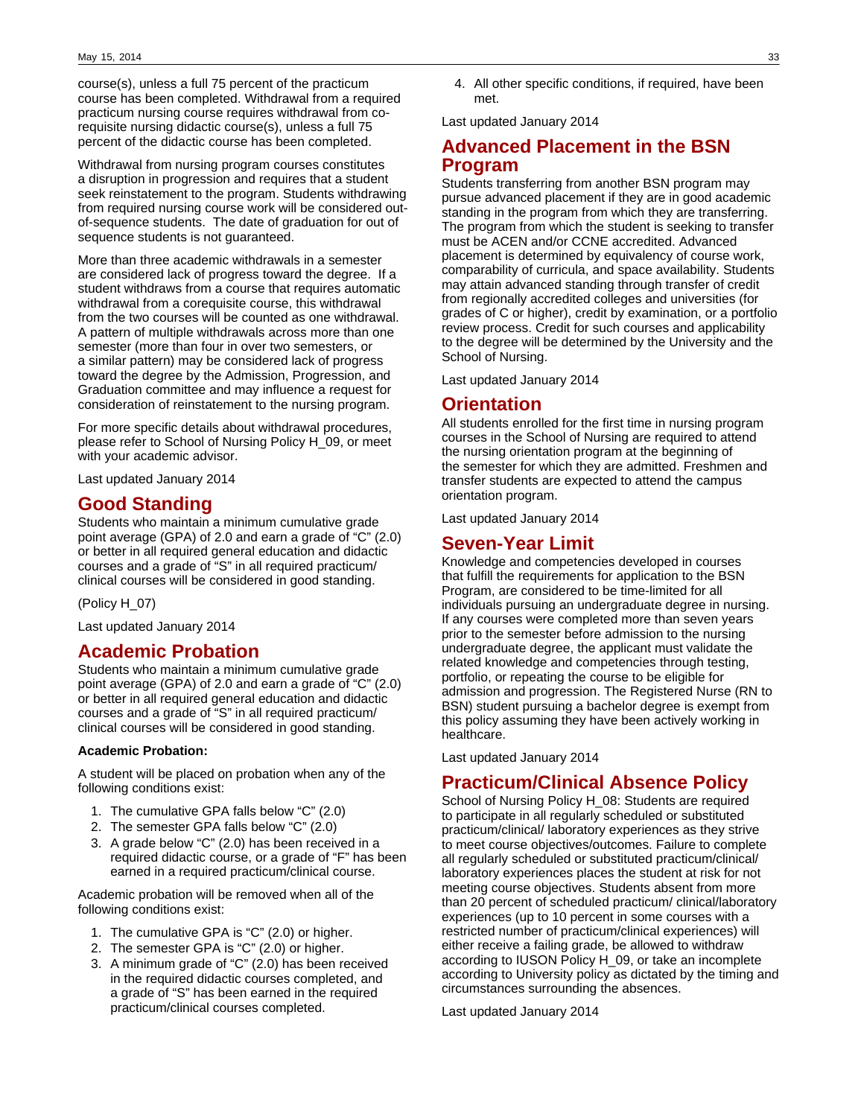course(s), unless a full 75 percent of the practicum course has been completed. Withdrawal from a required practicum nursing course requires withdrawal from corequisite nursing didactic course(s), unless a full 75 percent of the didactic course has been completed.

Withdrawal from nursing program courses constitutes a disruption in progression and requires that a student seek reinstatement to the program. Students withdrawing from required nursing course work will be considered outof-sequence students. The date of graduation for out of sequence students is not guaranteed.

More than three academic withdrawals in a semester are considered lack of progress toward the degree. If a student withdraws from a course that requires automatic withdrawal from a corequisite course, this withdrawal from the two courses will be counted as one withdrawal. A pattern of multiple withdrawals across more than one semester (more than four in over two semesters, or a similar pattern) may be considered lack of progress toward the degree by the Admission, Progression, and Graduation committee and may influence a request for consideration of reinstatement to the nursing program.

For more specific details about withdrawal procedures, please refer to School of Nursing Policy H\_09, or meet with your academic advisor.

Last updated January 2014

# **Good Standing**

Students who maintain a minimum cumulative grade point average (GPA) of 2.0 and earn a grade of "C" (2.0) or better in all required general education and didactic courses and a grade of "S" in all required practicum/ clinical courses will be considered in good standing.

(Policy H\_07)

Last updated January 2014

# **Academic Probation**

Students who maintain a minimum cumulative grade point average (GPA) of 2.0 and earn a grade of "C" (2.0) or better in all required general education and didactic courses and a grade of "S" in all required practicum/ clinical courses will be considered in good standing.

### **Academic Probation:**

A student will be placed on probation when any of the following conditions exist:

- 1. The cumulative GPA falls below "C" (2.0)
- 2. The semester GPA falls below "C" (2.0)
- 3. A grade below "C" (2.0) has been received in a required didactic course, or a grade of "F" has been earned in a required practicum/clinical course.

Academic probation will be removed when all of the following conditions exist:

- 1. The cumulative GPA is "C" (2.0) or higher.
- 2. The semester GPA is "C" (2.0) or higher.
- 3. A minimum grade of "C" (2.0) has been received in the required didactic courses completed, and a grade of "S" has been earned in the required practicum/clinical courses completed.

4. All other specific conditions, if required, have been met.

Last updated January 2014

# **Advanced Placement in the BSN Program**

Students transferring from another BSN program may pursue advanced placement if they are in good academic standing in the program from which they are transferring. The program from which the student is seeking to transfer must be ACEN and/or CCNE accredited. Advanced placement is determined by equivalency of course work, comparability of curricula, and space availability. Students may attain advanced standing through transfer of credit from regionally accredited colleges and universities (for grades of C or higher), credit by examination, or a portfolio review process. Credit for such courses and applicability to the degree will be determined by the University and the School of Nursing.

Last updated January 2014

# **Orientation**

All students enrolled for the first time in nursing program courses in the School of Nursing are required to attend the nursing orientation program at the beginning of the semester for which they are admitted. Freshmen and transfer students are expected to attend the campus orientation program.

Last updated January 2014

# **Seven-Year Limit**

Knowledge and competencies developed in courses that fulfill the requirements for application to the BSN Program, are considered to be time-limited for all individuals pursuing an undergraduate degree in nursing. If any courses were completed more than seven years prior to the semester before admission to the nursing undergraduate degree, the applicant must validate the related knowledge and competencies through testing, portfolio, or repeating the course to be eligible for admission and progression. The Registered Nurse (RN to BSN) student pursuing a bachelor degree is exempt from this policy assuming they have been actively working in healthcare.

Last updated January 2014

# **Practicum/Clinical Absence Policy**

School of Nursing Policy H\_08: Students are required to participate in all regularly scheduled or substituted practicum/clinical/ laboratory experiences as they strive to meet course objectives/outcomes. Failure to complete all regularly scheduled or substituted practicum/clinical/ laboratory experiences places the student at risk for not meeting course objectives. Students absent from more than 20 percent of scheduled practicum/ clinical/laboratory experiences (up to 10 percent in some courses with a restricted number of practicum/clinical experiences) will either receive a failing grade, be allowed to withdraw according to IUSON Policy H\_09, or take an incomplete according to University policy as dictated by the timing and circumstances surrounding the absences.

Last updated January 2014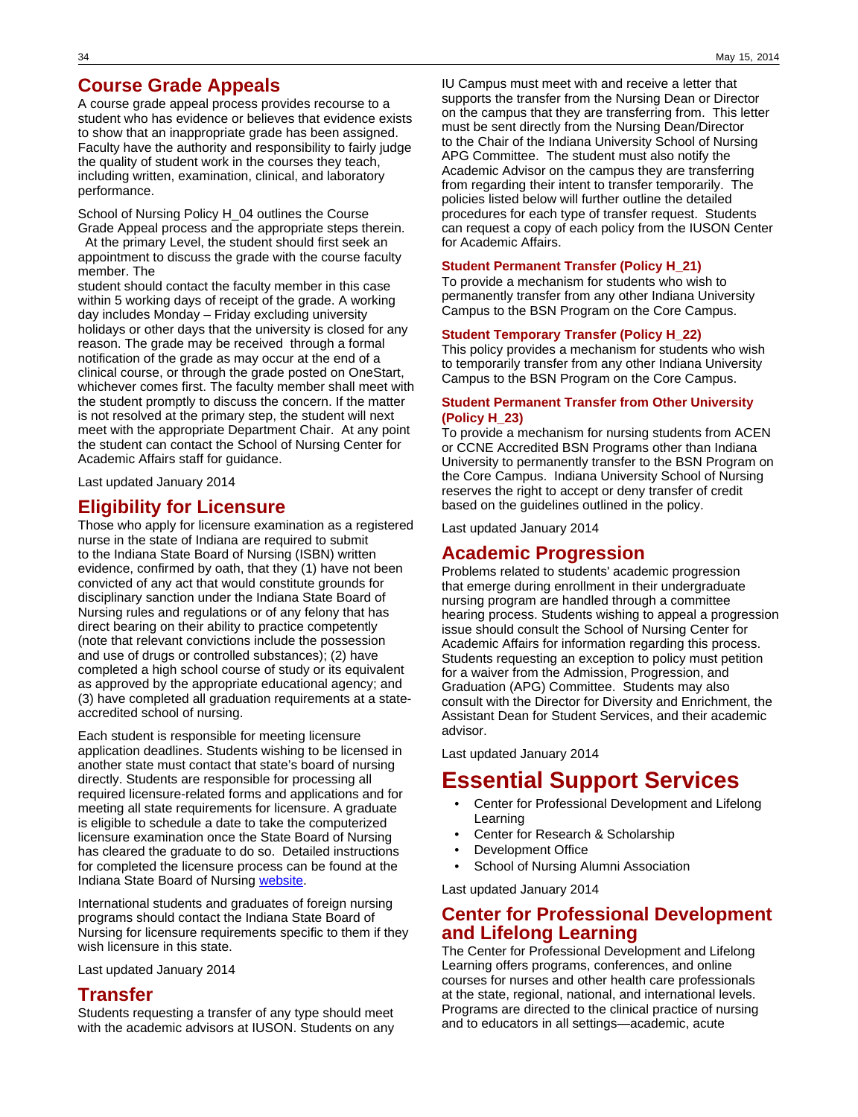# **Course Grade Appeals**

A course grade appeal process provides recourse to a student who has evidence or believes that evidence exists to show that an inappropriate grade has been assigned. Faculty have the authority and responsibility to fairly judge the quality of student work in the courses they teach, including written, examination, clinical, and laboratory performance.

School of Nursing Policy H\_04 outlines the Course Grade Appeal process and the appropriate steps therein.

 At the primary Level, the student should first seek an appointment to discuss the grade with the course faculty member. The

student should contact the faculty member in this case within 5 working days of receipt of the grade. A working day includes Monday – Friday excluding university holidays or other days that the university is closed for any reason. The grade may be received through a formal notification of the grade as may occur at the end of a clinical course, or through the grade posted on OneStart, whichever comes first. The faculty member shall meet with the student promptly to discuss the concern. If the matter is not resolved at the primary step, the student will next meet with the appropriate Department Chair. At any point the student can contact the School of Nursing Center for Academic Affairs staff for guidance.

Last updated January 2014

# **Eligibility for Licensure**

Those who apply for licensure examination as a registered nurse in the state of Indiana are required to submit to the Indiana State Board of Nursing (ISBN) written evidence, confirmed by oath, that they (1) have not been convicted of any act that would constitute grounds for disciplinary sanction under the Indiana State Board of Nursing rules and regulations or of any felony that has direct bearing on their ability to practice competently (note that relevant convictions include the possession and use of drugs or controlled substances); (2) have completed a high school course of study or its equivalent as approved by the appropriate educational agency; and (3) have completed all graduation requirements at a stateaccredited school of nursing.

Each student is responsible for meeting licensure application deadlines. Students wishing to be licensed in another state must contact that state's board of nursing directly. Students are responsible for processing all required licensure-related forms and applications and for meeting all state requirements for licensure. A graduate is eligible to schedule a date to take the computerized licensure examination once the State Board of Nursing has cleared the graduate to do so. Detailed instructions for completed the licensure process can be found at the Indiana State Board of Nursing [website](#http://www.in.gov/pla/nursing.htm).

International students and graduates of foreign nursing programs should contact the Indiana State Board of Nursing for licensure requirements specific to them if they wish licensure in this state.

Last updated January 2014

# **Transfer**

Students requesting a transfer of any type should meet with the academic advisors at IUSON. Students on any

IU Campus must meet with and receive a letter that supports the transfer from the Nursing Dean or Director on the campus that they are transferring from. This letter must be sent directly from the Nursing Dean/Director to the Chair of the Indiana University School of Nursing APG Committee. The student must also notify the Academic Advisor on the campus they are transferring from regarding their intent to transfer temporarily. The policies listed below will further outline the detailed procedures for each type of transfer request. Students can request a copy of each policy from the IUSON Center for Academic Affairs.

### **Student Permanent Transfer (Policy H\_21)**

To provide a mechanism for students who wish to permanently transfer from any other Indiana University Campus to the BSN Program on the Core Campus.

### **Student Temporary Transfer (Policy H\_22)**

This policy provides a mechanism for students who wish to temporarily transfer from any other Indiana University Campus to the BSN Program on the Core Campus.

### **Student Permanent Transfer from Other University (Policy H\_23)**

To provide a mechanism for nursing students from ACEN or CCNE Accredited BSN Programs other than Indiana University to permanently transfer to the BSN Program on the Core Campus. Indiana University School of Nursing reserves the right to accept or deny transfer of credit based on the guidelines outlined in the policy.

Last updated January 2014

# **Academic Progression**

Problems related to students' academic progression that emerge during enrollment in their undergraduate nursing program are handled through a committee hearing process. Students wishing to appeal a progression issue should consult the School of Nursing Center for Academic Affairs for information regarding this process. Students requesting an exception to policy must petition for a waiver from the Admission, Progression, and Graduation (APG) Committee. Students may also consult with the Director for Diversity and Enrichment, the Assistant Dean for Student Services, and their academic advisor.

Last updated January 2014

# **Essential Support Services**

- Center for Professional Development and Lifelong Learning
- Center for Research & Scholarship
- Development Office
- School of Nursing Alumni Association

Last updated January 2014

# **Center for Professional Development and Lifelong Learning**

The Center for Professional Development and Lifelong Learning offers programs, conferences, and online courses for nurses and other health care professionals at the state, regional, national, and international levels. Programs are directed to the clinical practice of nursing and to educators in all settings—academic, acute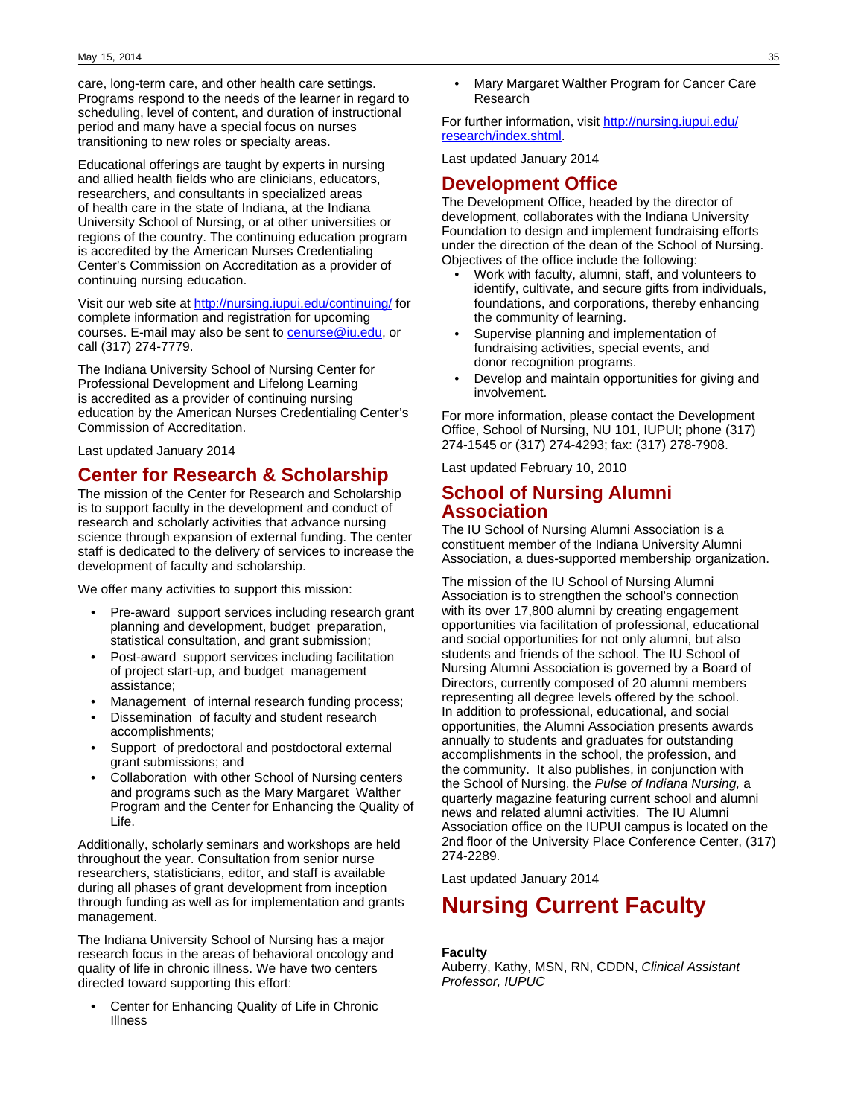care, long-term care, and other health care settings. Programs respond to the needs of the learner in regard to scheduling, level of content, and duration of instructional period and many have a special focus on nurses transitioning to new roles or specialty areas.

Educational offerings are taught by experts in nursing and allied health fields who are clinicians, educators, researchers, and consultants in specialized areas of health care in the state of Indiana, at the Indiana University School of Nursing, or at other universities or regions of the country. The continuing education program is accredited by the American Nurses Credentialing Center's Commission on Accreditation as a provider of continuing nursing education.

Visit our web site at <http://nursing.iupui.edu/continuing/>for complete information and registration for upcoming courses. E-mail may also be sent to [cenurse@iu.edu,](mailto:cenurse@iu.edu) or call (317) 274-7779.

The Indiana University School of Nursing Center for Professional Development and Lifelong Learning is accredited as a provider of continuing nursing education by the American Nurses Credentialing Center's Commission of Accreditation.

Last updated January 2014

# **Center for Research & Scholarship**

The mission of the Center for Research and Scholarship is to support faculty in the development and conduct of research and scholarly activities that advance nursing science through expansion of external funding. The center staff is dedicated to the delivery of services to increase the development of faculty and scholarship.

We offer many activities to support this mission:

- Pre-award support services including research grant planning and development, budget preparation, statistical consultation, and grant submission;
- Post-award support services including facilitation of project start-up, and budget management assistance;
- Management of internal research funding process;
- Dissemination of faculty and student research accomplishments;
- Support of predoctoral and postdoctoral external grant submissions; and
- Collaboration with other School of Nursing centers and programs such as the Mary Margaret Walther Program and the Center for Enhancing the Quality of Life.

Additionally, scholarly seminars and workshops are held throughout the year. Consultation from senior nurse researchers, statisticians, editor, and staff is available during all phases of grant development from inception through funding as well as for implementation and grants management.

The Indiana University School of Nursing has a major research focus in the areas of behavioral oncology and quality of life in chronic illness. We have two centers directed toward supporting this effort:

Center for Enhancing Quality of Life in Chronic Illness

• Mary Margaret Walther Program for Cancer Care Research

For further information, visit [http://nursing.iupui.edu/](http://nursing.iupui.edu/research/index.shtml) [research/index.shtml](http://nursing.iupui.edu/research/index.shtml).

Last updated January 2014

## **Development Office**

The Development Office, headed by the director of development, collaborates with the Indiana University Foundation to design and implement fundraising efforts under the direction of the dean of the School of Nursing. Objectives of the office include the following:

- Work with faculty, alumni, staff, and volunteers to identify, cultivate, and secure gifts from individuals, foundations, and corporations, thereby enhancing the community of learning.
- Supervise planning and implementation of fundraising activities, special events, and donor recognition programs.
- Develop and maintain opportunities for giving and involvement.

For more information, please contact the Development Office, School of Nursing, NU 101, IUPUI; phone (317) 274-1545 or (317) 274-4293; fax: (317) 278-7908.

Last updated February 10, 2010

# **School of Nursing Alumni Association**

The IU School of Nursing Alumni Association is a constituent member of the Indiana University Alumni Association, a dues-supported membership organization.

The mission of the IU School of Nursing Alumni Association is to strengthen the school's connection with its over 17,800 alumni by creating engagement opportunities via facilitation of professional, educational and social opportunities for not only alumni, but also students and friends of the school. The IU School of Nursing Alumni Association is governed by a Board of Directors, currently composed of 20 alumni members representing all degree levels offered by the school. In addition to professional, educational, and social opportunities, the Alumni Association presents awards annually to students and graduates for outstanding accomplishments in the school, the profession, and the community. It also publishes, in conjunction with the School of Nursing, the Pulse of Indiana Nursing, a quarterly magazine featuring current school and alumni news and related alumni activities. The IU Alumni Association office on the IUPUI campus is located on the 2nd floor of the University Place Conference Center, (317) 274-2289.

Last updated January 2014

# **Nursing Current Faculty**

### **Faculty**

Auberry, Kathy, MSN, RN, CDDN, Clinical Assistant Professor, IUPUC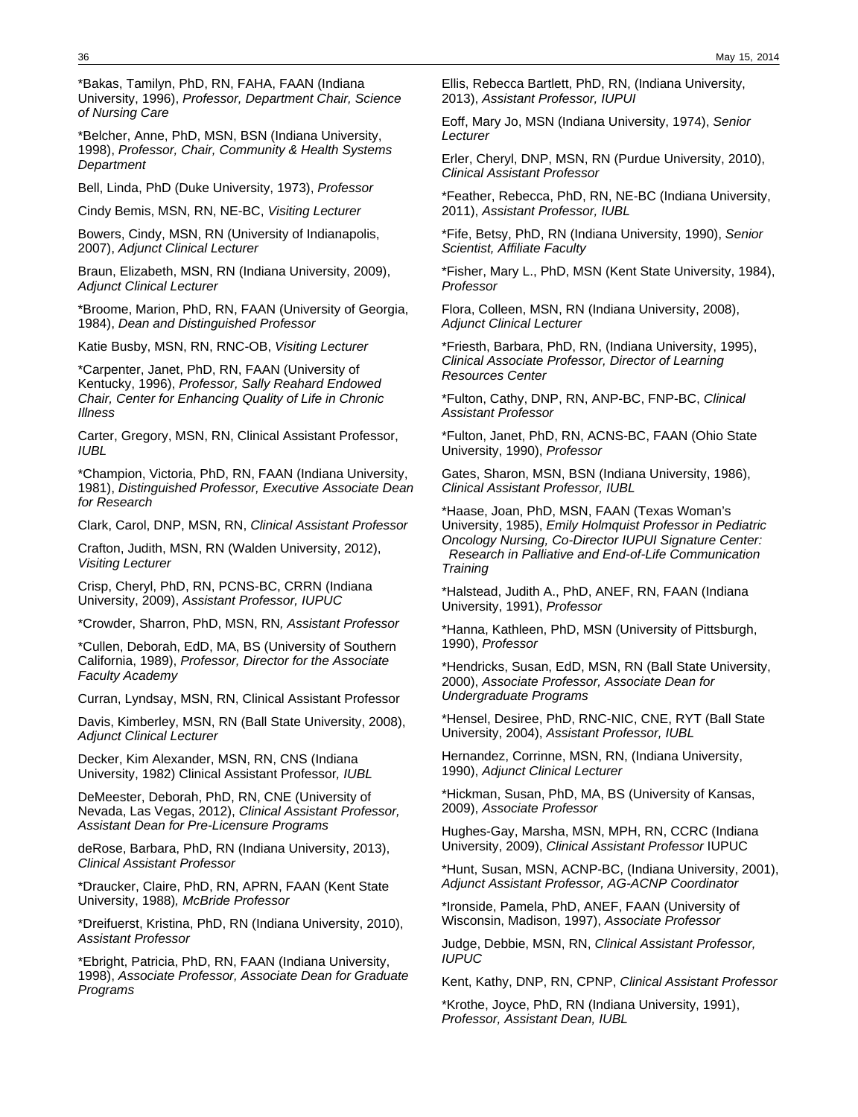\*Bakas, Tamilyn, PhD, RN, FAHA, FAAN (Indiana University, 1996), Professor, Department Chair, Science of Nursing Care

\*Belcher, Anne, PhD, MSN, BSN (Indiana University, 1998), Professor, Chair, Community & Health Systems **Department** 

Bell, Linda, PhD (Duke University, 1973), Professor

Cindy Bemis, MSN, RN, NE-BC, Visiting Lecturer

Bowers, Cindy, MSN, RN (University of Indianapolis, 2007), Adjunct Clinical Lecturer

Braun, Elizabeth, MSN, RN (Indiana University, 2009), Adjunct Clinical Lecturer

\*Broome, Marion, PhD, RN, FAAN (University of Georgia, 1984), Dean and Distinguished Professor

Katie Busby, MSN, RN, RNC-OB, Visiting Lecturer

\*Carpenter, Janet, PhD, RN, FAAN (University of Kentucky, 1996), Professor, Sally Reahard Endowed Chair, Center for Enhancing Quality of Life in Chronic Illness

Carter, Gregory, MSN, RN, Clinical Assistant Professor, IUBL

\*Champion, Victoria, PhD, RN, FAAN (Indiana University, 1981), Distinguished Professor, Executive Associate Dean for Research

Clark, Carol, DNP, MSN, RN, Clinical Assistant Professor

Crafton, Judith, MSN, RN (Walden University, 2012), Visiting Lecturer

Crisp, Cheryl, PhD, RN, PCNS-BC, CRRN (Indiana University, 2009), Assistant Professor, IUPUC

\*Crowder, Sharron, PhD, MSN, RN, Assistant Professor

\*Cullen, Deborah, EdD, MA, BS (University of Southern California, 1989), Professor, Director for the Associate Faculty Academy

Curran, Lyndsay, MSN, RN, Clinical Assistant Professor

Davis, Kimberley, MSN, RN (Ball State University, 2008), Adjunct Clinical Lecturer

Decker, Kim Alexander, MSN, RN, CNS (Indiana University, 1982) Clinical Assistant Professor, IUBL

DeMeester, Deborah, PhD, RN, CNE (University of Nevada, Las Vegas, 2012), Clinical Assistant Professor, Assistant Dean for Pre-Licensure Programs

deRose, Barbara, PhD, RN (Indiana University, 2013), Clinical Assistant Professor

\*Draucker, Claire, PhD, RN, APRN, FAAN (Kent State University, 1988), McBride Professor

\*Dreifuerst, Kristina, PhD, RN (Indiana University, 2010), Assistant Professor

\*Ebright, Patricia, PhD, RN, FAAN (Indiana University, 1998), Associate Professor, Associate Dean for Graduate Programs

Ellis, Rebecca Bartlett, PhD, RN, (Indiana University, 2013), Assistant Professor, IUPUI

Eoff, Mary Jo, MSN (Indiana University, 1974), Senior Lecturer

Erler, Cheryl, DNP, MSN, RN (Purdue University, 2010), Clinical Assistant Professor

\*Feather, Rebecca, PhD, RN, NE-BC (Indiana University, 2011), Assistant Professor, IUBL

\*Fife, Betsy, PhD, RN (Indiana University, 1990), Senior Scientist, Affiliate Faculty

\*Fisher, Mary L., PhD, MSN (Kent State University, 1984), Professor

Flora, Colleen, MSN, RN (Indiana University, 2008), Adjunct Clinical Lecturer

\*Friesth, Barbara, PhD, RN, (Indiana University, 1995), Clinical Associate Professor, Director of Learning Resources Center

\*Fulton, Cathy, DNP, RN, ANP-BC, FNP-BC, Clinical Assistant Professor

\*Fulton, Janet, PhD, RN, ACNS-BC, FAAN (Ohio State University, 1990), Professor

Gates, Sharon, MSN, BSN (Indiana University, 1986), Clinical Assistant Professor, IUBL

\*Haase, Joan, PhD, MSN, FAAN (Texas Woman's University, 1985), Emily Holmquist Professor in Pediatric Oncology Nursing, Co-Director IUPUI Signature Center: Research in Palliative and End-of-Life Communication **Training** 

\*Halstead, Judith A., PhD, ANEF, RN, FAAN (Indiana University, 1991), Professor

\*Hanna, Kathleen, PhD, MSN (University of Pittsburgh, 1990), Professor

\*Hendricks, Susan, EdD, MSN, RN (Ball State University, 2000), Associate Professor, Associate Dean for Undergraduate Programs

\*Hensel, Desiree, PhD, RNC-NIC, CNE, RYT (Ball State University, 2004), Assistant Professor, IUBL

Hernandez, Corrinne, MSN, RN, (Indiana University, 1990), Adjunct Clinical Lecturer

\*Hickman, Susan, PhD, MA, BS (University of Kansas, 2009), Associate Professor

Hughes-Gay, Marsha, MSN, MPH, RN, CCRC (Indiana University, 2009), Clinical Assistant Professor IUPUC

\*Hunt, Susan, MSN, ACNP-BC, (Indiana University, 2001), Adjunct Assistant Professor, AG-ACNP Coordinator

\*Ironside, Pamela, PhD, ANEF, FAAN (University of Wisconsin, Madison, 1997), Associate Professor

Judge, Debbie, MSN, RN, Clinical Assistant Professor, IUPUC

Kent, Kathy, DNP, RN, CPNP, Clinical Assistant Professor

\*Krothe, Joyce, PhD, RN (Indiana University, 1991), Professor, Assistant Dean, IUBL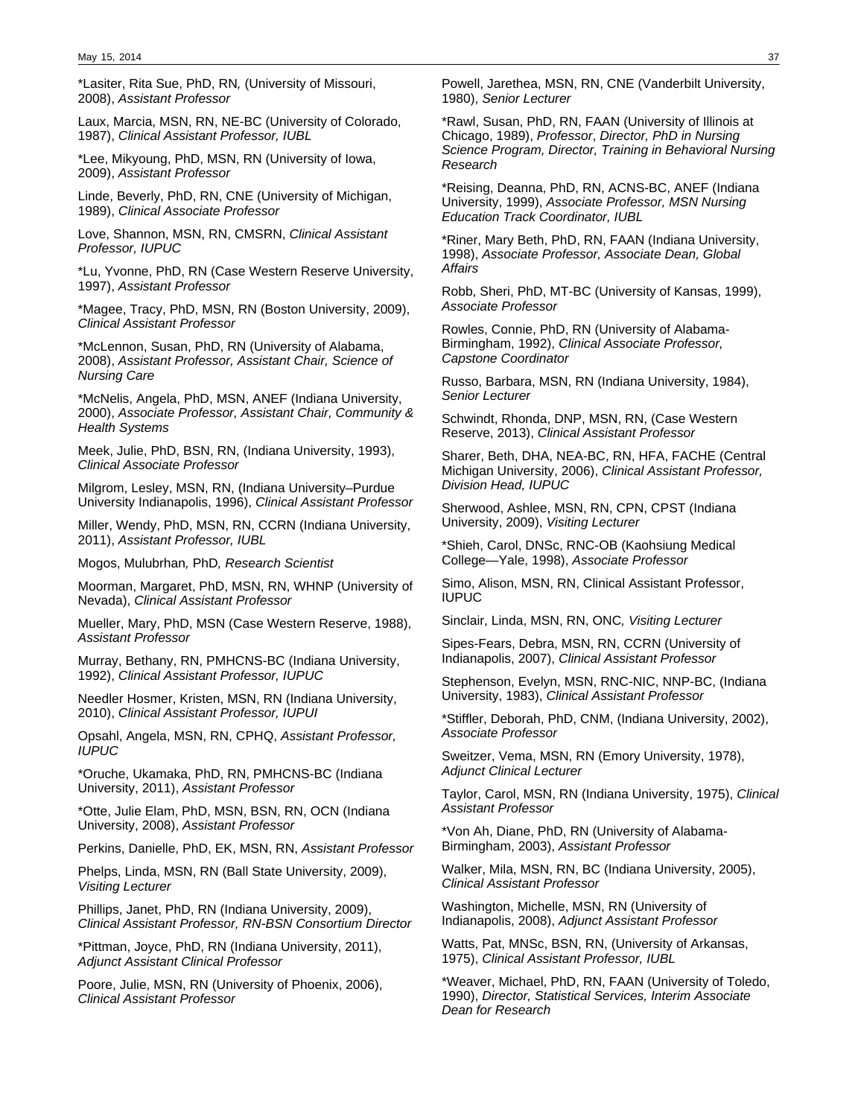\*Lasiter, Rita Sue, PhD, RN, (University of Missouri, 2008), Assistant Professor

Laux, Marcia, MSN, RN, NE-BC (University of Colorado, 1987), Clinical Assistant Professor, IUBL

\*Lee, Mikyoung, PhD, MSN, RN (University of Iowa, 2009), Assistant Professor

Linde, Beverly, PhD, RN, CNE (University of Michigan, 1989), Clinical Associate Professor

Love, Shannon, MSN, RN, CMSRN, Clinical Assistant Professor, IUPUC

\*Lu, Yvonne, PhD, RN (Case Western Reserve University, 1997), Assistant Professor

\*Magee, Tracy, PhD, MSN, RN (Boston University, 2009), Clinical Assistant Professor

\*McLennon, Susan, PhD, RN (University of Alabama, 2008), Assistant Professor, Assistant Chair, Science of Nursing Care

\*McNelis, Angela, PhD, MSN, ANEF (Indiana University, 2000), Associate Professor, Assistant Chair, Community & Health Systems

Meek, Julie, PhD, BSN, RN, (Indiana University, 1993), Clinical Associate Professor

Milgrom, Lesley, MSN, RN, (Indiana University–Purdue University Indianapolis, 1996), Clinical Assistant Professor

Miller, Wendy, PhD, MSN, RN, CCRN (Indiana University, 2011), Assistant Professor, IUBL

Mogos, Mulubrhan, PhD, Research Scientist

Moorman, Margaret, PhD, MSN, RN, WHNP (University of Nevada), Clinical Assistant Professor

Mueller, Mary, PhD, MSN (Case Western Reserve, 1988), Assistant Professor

Murray, Bethany, RN, PMHCNS-BC (Indiana University, 1992), Clinical Assistant Professor, IUPUC

Needler Hosmer, Kristen, MSN, RN (Indiana University, 2010), Clinical Assistant Professor, IUPUI

Opsahl, Angela, MSN, RN, CPHQ, Assistant Professor, IUPUC

\*Oruche, Ukamaka, PhD, RN, PMHCNS-BC (Indiana University, 2011), Assistant Professor

\*Otte, Julie Elam, PhD, MSN, BSN, RN, OCN (Indiana University, 2008), Assistant Professor

Perkins, Danielle, PhD, EK, MSN, RN, Assistant Professor

Phelps, Linda, MSN, RN (Ball State University, 2009), Visiting Lecturer

Phillips, Janet, PhD, RN (Indiana University, 2009), Clinical Assistant Professor, RN-BSN Consortium Director

\*Pittman, Joyce, PhD, RN (Indiana University, 2011), Adjunct Assistant Clinical Professor

Poore, Julie, MSN, RN (University of Phoenix, 2006), Clinical Assistant Professor

Powell, Jarethea, MSN, RN, CNE (Vanderbilt University, 1980), Senior Lecturer

\*Rawl, Susan, PhD, RN, FAAN (University of Illinois at Chicago, 1989), Professor, Director, PhD in Nursing Science Program, Director, Training in Behavioral Nursing Research

\*Reising, Deanna, PhD, RN, ACNS-BC, ANEF (Indiana University, 1999), Associate Professor, MSN Nursing Education Track Coordinator, IUBL

\*Riner, Mary Beth, PhD, RN, FAAN (Indiana University, 1998), Associate Professor, Associate Dean, Global Affairs

Robb, Sheri, PhD, MT-BC (University of Kansas, 1999), Associate Professor

Rowles, Connie, PhD, RN (University of Alabama-Birmingham, 1992), Clinical Associate Professor, Capstone Coordinator

Russo, Barbara, MSN, RN (Indiana University, 1984), Senior Lecturer

Schwindt, Rhonda, DNP, MSN, RN, (Case Western Reserve, 2013), Clinical Assistant Professor

Sharer, Beth, DHA, NEA-BC, RN, HFA, FACHE (Central Michigan University, 2006), Clinical Assistant Professor, Division Head, IUPUC

Sherwood, Ashlee, MSN, RN, CPN, CPST (Indiana University, 2009), Visiting Lecturer

\*Shieh, Carol, DNSc, RNC-OB (Kaohsiung Medical College—Yale, 1998), Associate Professor

Simo, Alison, MSN, RN, Clinical Assistant Professor, IUPUC

Sinclair, Linda, MSN, RN, ONC, Visiting Lecturer

Sipes-Fears, Debra, MSN, RN, CCRN (University of Indianapolis, 2007), Clinical Assistant Professor

Stephenson, Evelyn, MSN, RNC-NIC, NNP-BC, (Indiana University, 1983), Clinical Assistant Professor

\*Stiffler, Deborah, PhD, CNM, (Indiana University, 2002), Associate Professor

Sweitzer, Vema, MSN, RN (Emory University, 1978), Adjunct Clinical Lecturer

Taylor, Carol, MSN, RN (Indiana University, 1975), Clinical Assistant Professor

\*Von Ah, Diane, PhD, RN (University of Alabama-Birmingham, 2003), Assistant Professor

Walker, Mila, MSN, RN, BC (Indiana University, 2005), Clinical Assistant Professor

Washington, Michelle, MSN, RN (University of Indianapolis, 2008), Adjunct Assistant Professor

Watts, Pat, MNSc, BSN, RN, (University of Arkansas, 1975), Clinical Assistant Professor, IUBL

\*Weaver, Michael, PhD, RN, FAAN (University of Toledo, 1990), Director, Statistical Services, Interim Associate Dean for Research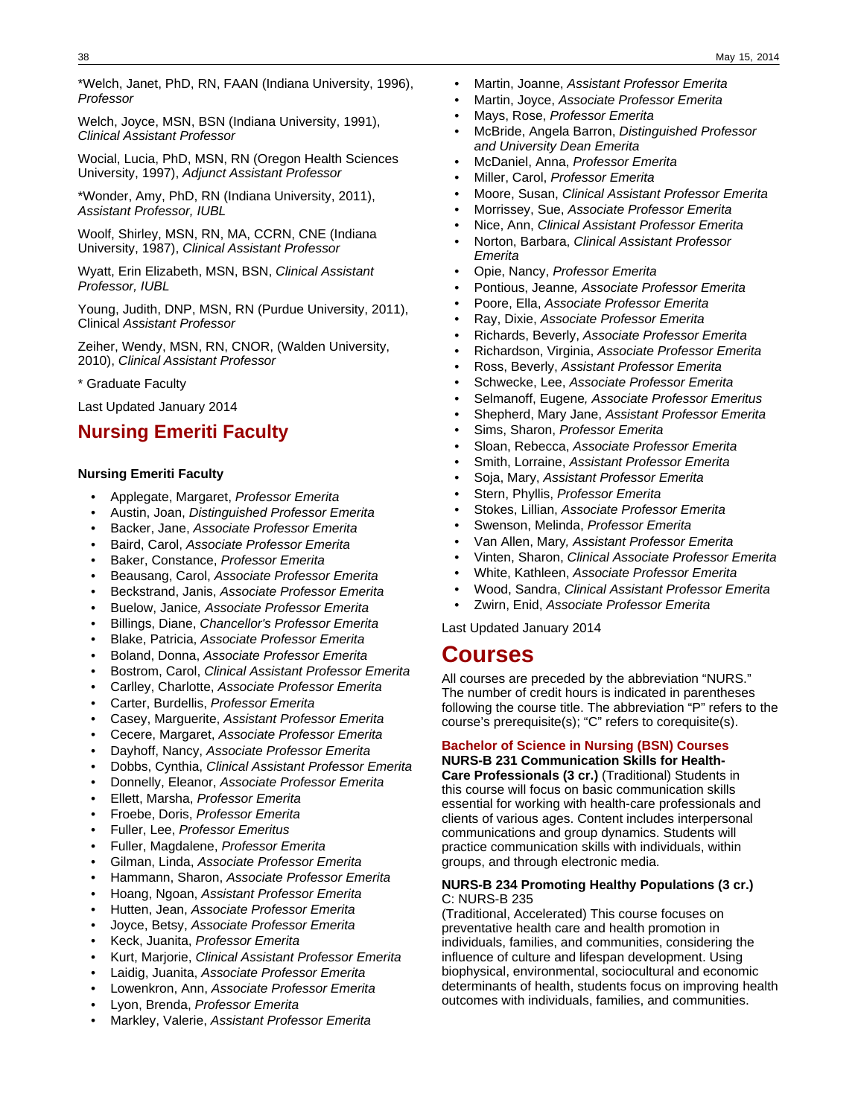\*Welch, Janet, PhD, RN, FAAN (Indiana University, 1996), Professor

Welch, Joyce, MSN, BSN (Indiana University, 1991), Clinical Assistant Professor

Wocial, Lucia, PhD, MSN, RN (Oregon Health Sciences University, 1997), Adjunct Assistant Professor

\*Wonder, Amy, PhD, RN (Indiana University, 2011), Assistant Professor, IUBL

Woolf, Shirley, MSN, RN, MA, CCRN, CNE (Indiana University, 1987), Clinical Assistant Professor

Wyatt, Erin Elizabeth, MSN, BSN, Clinical Assistant Professor, IUBL

Young, Judith, DNP, MSN, RN (Purdue University, 2011), Clinical Assistant Professor

Zeiher, Wendy, MSN, RN, CNOR, (Walden University, 2010), Clinical Assistant Professor

\* Graduate Faculty

Last Updated January 2014

# **Nursing Emeriti Faculty**

### **Nursing Emeriti Faculty**

- Applegate, Margaret, Professor Emerita
- Austin, Joan, Distinguished Professor Emerita
- Backer, Jane, Associate Professor Emerita
- Baird, Carol, Associate Professor Emerita
- Baker, Constance, Professor Emerita
- Beausang, Carol, Associate Professor Emerita
- Beckstrand, Janis, Associate Professor Emerita
- Buelow, Janice, Associate Professor Emerita
- Billings, Diane, Chancellor's Professor Emerita
- Blake, Patricia, Associate Professor Emerita
- Boland, Donna, Associate Professor Emerita
- Bostrom, Carol, Clinical Assistant Professor Emerita
- Carlley, Charlotte, Associate Professor Emerita
- Carter, Burdellis, Professor Emerita
- Casey, Marguerite, Assistant Professor Emerita
- Cecere, Margaret, Associate Professor Emerita
- Dayhoff, Nancy, Associate Professor Emerita
- Dobbs, Cynthia, Clinical Assistant Professor Emerita
- Donnelly, Eleanor, Associate Professor Emerita
- Ellett, Marsha, Professor Emerita
- Froebe, Doris, Professor Emerita
- Fuller, Lee, Professor Emeritus
- Fuller, Magdalene, Professor Emerita
- Gilman, Linda, Associate Professor Emerita
- Hammann, Sharon, Associate Professor Emerita
- Hoang, Ngoan, Assistant Professor Emerita
- Hutten, Jean, Associate Professor Emerita
- Joyce, Betsy, Associate Professor Emerita
- Keck, Juanita, Professor Emerita
- Kurt, Marjorie, Clinical Assistant Professor Emerita
- Laidig, Juanita, Associate Professor Emerita
- Lowenkron, Ann, Associate Professor Emerita
- Lyon, Brenda, Professor Emerita
- Markley, Valerie, Assistant Professor Emerita
- Martin, Joanne, Assistant Professor Emerita
- Martin, Joyce, Associate Professor Emerita
- Mays, Rose, Professor Emerita
- McBride, Angela Barron, Distinguished Professor and University Dean Emerita
- McDaniel, Anna, Professor Emerita
- Miller, Carol, Professor Emerita
- Moore, Susan, Clinical Assistant Professor Emerita
- Morrissey, Sue, Associate Professor Emerita
- Nice, Ann, Clinical Assistant Professor Emerita
- Norton, Barbara, Clinical Assistant Professor Emerita
- Opie, Nancy, Professor Emerita
- Pontious, Jeanne, Associate Professor Emerita
- Poore, Ella, Associate Professor Emerita
- Ray, Dixie, Associate Professor Emerita
- Richards, Beverly, Associate Professor Emerita
- Richardson, Virginia, Associate Professor Emerita
- Ross, Beverly, Assistant Professor Emerita
- Schwecke, Lee, Associate Professor Emerita
- Selmanoff, Eugene, Associate Professor Emeritus
- Shepherd, Mary Jane, Assistant Professor Emerita
- Sims, Sharon, Professor Emerita
- Sloan, Rebecca, Associate Professor Emerita
- Smith, Lorraine, Assistant Professor Emerita
- Soja, Mary, Assistant Professor Emerita
- Stern, Phyllis, Professor Emerita
- Stokes, Lillian, Associate Professor Emerita
- Swenson, Melinda, Professor Emerita
- Van Allen, Mary, Assistant Professor Emerita
- Vinten, Sharon, Clinical Associate Professor Emerita
- White, Kathleen, Associate Professor Emerita
- Wood, Sandra, Clinical Assistant Professor Emerita
- Zwirn, Enid, Associate Professor Emerita

Last Updated January 2014

# **Courses**

All courses are preceded by the abbreviation "NURS." The number of credit hours is indicated in parentheses following the course title. The abbreviation "P" refers to the course's prerequisite(s); "C" refers to corequisite(s).

### **Bachelor of Science in Nursing (BSN) Courses**

**NURS-B 231 Communication Skills for Health-Care Professionals (3 cr.)** (Traditional) Students in this course will focus on basic communication skills essential for working with health-care professionals and clients of various ages. Content includes interpersonal communications and group dynamics. Students will practice communication skills with individuals, within groups, and through electronic media.

#### **NURS-B 234 Promoting Healthy Populations (3 cr.)** C: NURS-B 235

(Traditional, Accelerated) This course focuses on preventative health care and health promotion in individuals, families, and communities, considering the influence of culture and lifespan development. Using biophysical, environmental, sociocultural and economic determinants of health, students focus on improving health outcomes with individuals, families, and communities.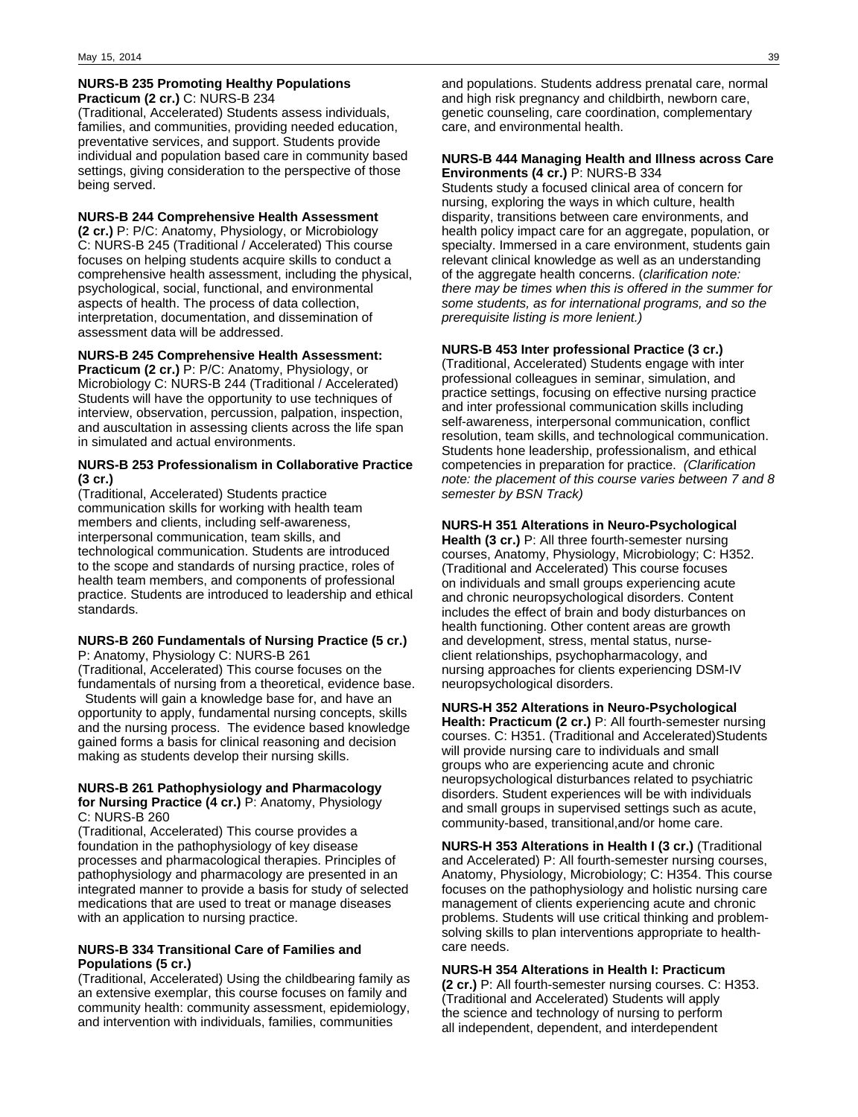### **NURS-B 235 Promoting Healthy Populations Practicum (2 cr.)** C: NURS-B 234

(Traditional, Accelerated) Students assess individuals, families, and communities, providing needed education, preventative services, and support. Students provide individual and population based care in community based settings, giving consideration to the perspective of those being served.

### **NURS-B 244 Comprehensive Health Assessment**

**(2 cr.)** P: P/C: Anatomy, Physiology, or Microbiology C: NURS-B 245 (Traditional / Accelerated) This course focuses on helping students acquire skills to conduct a comprehensive health assessment, including the physical, psychological, social, functional, and environmental aspects of health. The process of data collection, interpretation, documentation, and dissemination of assessment data will be addressed.

### **NURS-B 245 Comprehensive Health Assessment:**

**Practicum (2 cr.)** P: P/C: Anatomy, Physiology, or Microbiology C: NURS-B 244 (Traditional / Accelerated) Students will have the opportunity to use techniques of interview, observation, percussion, palpation, inspection, and auscultation in assessing clients across the life span in simulated and actual environments.

### **NURS-B 253 Professionalism in Collaborative Practice (3 cr.)**

(Traditional, Accelerated) Students practice communication skills for working with health team members and clients, including self-awareness, interpersonal communication, team skills, and technological communication. Students are introduced to the scope and standards of nursing practice, roles of health team members, and components of professional practice. Students are introduced to leadership and ethical standards.

### **NURS-B 260 Fundamentals of Nursing Practice (5 cr.)** P: Anatomy, Physiology C: NURS-B 261

(Traditional, Accelerated) This course focuses on the fundamentals of nursing from a theoretical, evidence base.

 Students will gain a knowledge base for, and have an opportunity to apply, fundamental nursing concepts, skills and the nursing process. The evidence based knowledge gained forms a basis for clinical reasoning and decision making as students develop their nursing skills.

#### **NURS-B 261 Pathophysiology and Pharmacology for Nursing Practice (4 cr.)** P: Anatomy, Physiology C: NURS-B 260

(Traditional, Accelerated) This course provides a foundation in the pathophysiology of key disease processes and pharmacological therapies. Principles of pathophysiology and pharmacology are presented in an integrated manner to provide a basis for study of selected medications that are used to treat or manage diseases with an application to nursing practice.

### **NURS-B 334 Transitional Care of Families and Populations (5 cr.)**

(Traditional, Accelerated) Using the childbearing family as an extensive exemplar, this course focuses on family and community health: community assessment, epidemiology, and intervention with individuals, families, communities

and populations. Students address prenatal care, normal and high risk pregnancy and childbirth, newborn care, genetic counseling, care coordination, complementary care, and environmental health.

#### **NURS-B 444 Managing Health and Illness across Care Environments (4 cr.)** P: NURS-B 334

Students study a focused clinical area of concern for nursing, exploring the ways in which culture, health disparity, transitions between care environments, and health policy impact care for an aggregate, population, or specialty. Immersed in a care environment, students gain relevant clinical knowledge as well as an understanding of the aggregate health concerns. (clarification note: there may be times when this is offered in the summer for some students, as for international programs, and so the prerequisite listing is more lenient.)

### **NURS-B 453 Inter professional Practice (3 cr.)**

(Traditional, Accelerated) Students engage with inter professional colleagues in seminar, simulation, and practice settings, focusing on effective nursing practice and inter professional communication skills including self-awareness, interpersonal communication, conflict resolution, team skills, and technological communication. Students hone leadership, professionalism, and ethical competencies in preparation for practice. (Clarification note: the placement of this course varies between 7 and 8 semester by BSN Track)

### **NURS-H 351 Alterations in Neuro-Psychological**

**Health (3 cr.)** P: All three fourth-semester nursing courses, Anatomy, Physiology, Microbiology; C: H352. (Traditional and Accelerated) This course focuses on individuals and small groups experiencing acute and chronic neuropsychological disorders. Content includes the effect of brain and body disturbances on health functioning. Other content areas are growth and development, stress, mental status, nurseclient relationships, psychopharmacology, and nursing approaches for clients experiencing DSM-IV neuropsychological disorders.

### **NURS-H 352 Alterations in Neuro-Psychological Health: Practicum (2 cr.)** P: All fourth-semester nursing courses. C: H351. (Traditional and Accelerated)Students will provide nursing care to individuals and small groups who are experiencing acute and chronic neuropsychological disturbances related to psychiatric disorders. Student experiences will be with individuals and small groups in supervised settings such as acute, community-based, transitional,and/or home care.

**NURS-H 353 Alterations in Health I (3 cr.)** (Traditional and Accelerated) P: All fourth-semester nursing courses, Anatomy, Physiology, Microbiology; C: H354. This course focuses on the pathophysiology and holistic nursing care management of clients experiencing acute and chronic problems. Students will use critical thinking and problemsolving skills to plan interventions appropriate to healthcare needs.

### **NURS-H 354 Alterations in Health I: Practicum**

**(2 cr.)** P: All fourth-semester nursing courses. C: H353. (Traditional and Accelerated) Students will apply the science and technology of nursing to perform all independent, dependent, and interdependent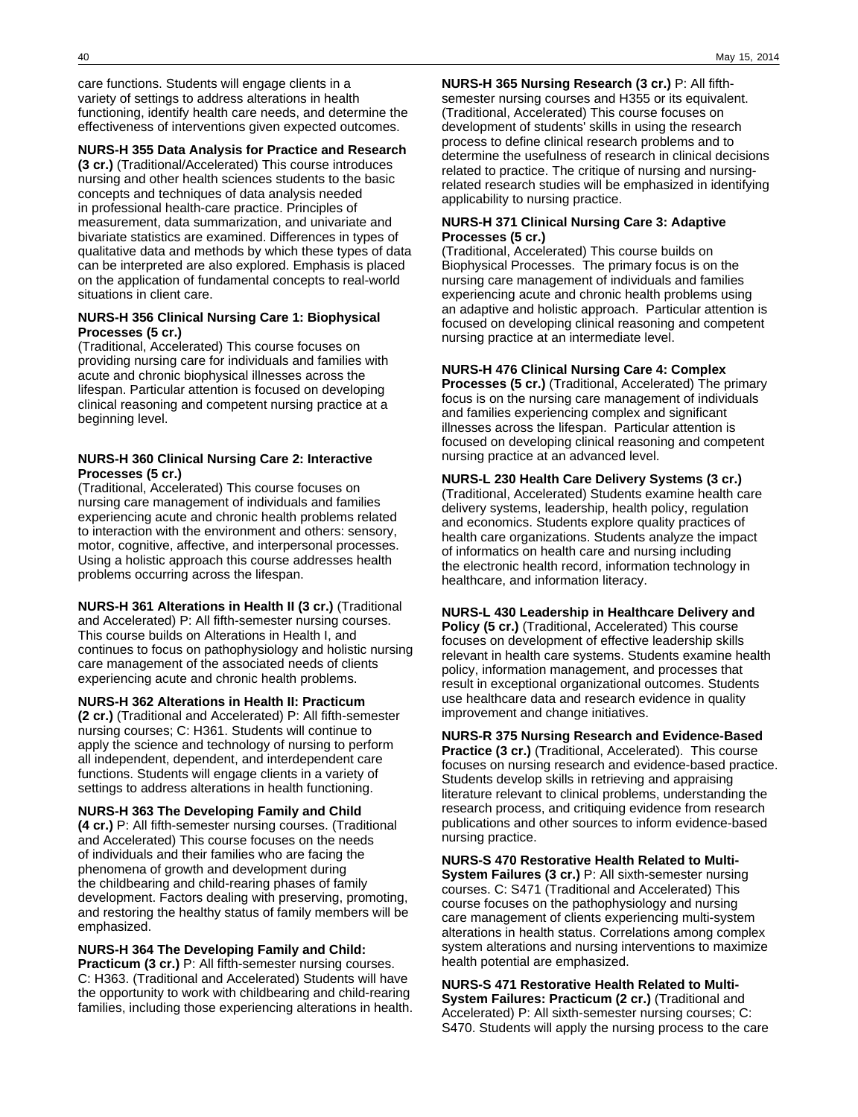care functions. Students will engage clients in a variety of settings to address alterations in health functioning, identify health care needs, and determine the effectiveness of interventions given expected outcomes.

### **NURS-H 355 Data Analysis for Practice and Research**

**(3 cr.)** (Traditional/Accelerated) This course introduces nursing and other health sciences students to the basic concepts and techniques of data analysis needed in professional health-care practice. Principles of measurement, data summarization, and univariate and bivariate statistics are examined. Differences in types of qualitative data and methods by which these types of data can be interpreted are also explored. Emphasis is placed on the application of fundamental concepts to real-world situations in client care.

### **NURS-H 356 Clinical Nursing Care 1: Biophysical Processes (5 cr.)**

(Traditional, Accelerated) This course focuses on providing nursing care for individuals and families with acute and chronic biophysical illnesses across the lifespan. Particular attention is focused on developing clinical reasoning and competent nursing practice at a beginning level.

### **NURS-H 360 Clinical Nursing Care 2: Interactive Processes (5 cr.)**

(Traditional, Accelerated) This course focuses on nursing care management of individuals and families experiencing acute and chronic health problems related to interaction with the environment and others: sensory, motor, cognitive, affective, and interpersonal processes. Using a holistic approach this course addresses health problems occurring across the lifespan.

**NURS-H 361 Alterations in Health II (3 cr.)** (Traditional and Accelerated) P: All fifth-semester nursing courses. This course builds on Alterations in Health I, and continues to focus on pathophysiology and holistic nursing care management of the associated needs of clients experiencing acute and chronic health problems.

#### **NURS-H 362 Alterations in Health II: Practicum**

**(2 cr.)** (Traditional and Accelerated) P: All fifth-semester nursing courses; C: H361. Students will continue to apply the science and technology of nursing to perform all independent, dependent, and interdependent care functions. Students will engage clients in a variety of settings to address alterations in health functioning.

### **NURS-H 363 The Developing Family and Child**

**(4 cr.)** P: All fifth-semester nursing courses. (Traditional and Accelerated) This course focuses on the needs of individuals and their families who are facing the phenomena of growth and development during the childbearing and child-rearing phases of family development. Factors dealing with preserving, promoting, and restoring the healthy status of family members will be emphasized.

### **NURS-H 364 The Developing Family and Child:**

**Practicum (3 cr.)** P: All fifth-semester nursing courses. C: H363. (Traditional and Accelerated) Students will have the opportunity to work with childbearing and child-rearing families, including those experiencing alterations in health.

**NURS-H 365 Nursing Research (3 cr.)** P: All fifthsemester nursing courses and H355 or its equivalent. (Traditional, Accelerated) This course focuses on development of students' skills in using the research process to define clinical research problems and to determine the usefulness of research in clinical decisions related to practice. The critique of nursing and nursingrelated research studies will be emphasized in identifying applicability to nursing practice.

### **NURS-H 371 Clinical Nursing Care 3: Adaptive Processes (5 cr.)**

(Traditional, Accelerated) This course builds on Biophysical Processes. The primary focus is on the nursing care management of individuals and families experiencing acute and chronic health problems using an adaptive and holistic approach. Particular attention is focused on developing clinical reasoning and competent nursing practice at an intermediate level.

### **NURS-H 476 Clinical Nursing Care 4: Complex**

**Processes (5 cr.)** (Traditional, Accelerated) The primary focus is on the nursing care management of individuals and families experiencing complex and significant illnesses across the lifespan. Particular attention is focused on developing clinical reasoning and competent nursing practice at an advanced level.

### **NURS-L 230 Health Care Delivery Systems (3 cr.)**

(Traditional, Accelerated) Students examine health care delivery systems, leadership, health policy, regulation and economics. Students explore quality practices of health care organizations. Students analyze the impact of informatics on health care and nursing including the electronic health record, information technology in healthcare, and information literacy.

### **NURS-L 430 Leadership in Healthcare Delivery and Policy (5 cr.)** (Traditional, Accelerated) This course focuses on development of effective leadership skills relevant in health care systems. Students examine health policy, information management, and processes that

result in exceptional organizational outcomes. Students use healthcare data and research evidence in quality improvement and change initiatives.

### **NURS-R 375 Nursing Research and Evidence-Based Practice (3 cr.)** (Traditional, Accelerated). This course focuses on nursing research and evidence-based practice.

Students develop skills in retrieving and appraising literature relevant to clinical problems, understanding the research process, and critiquing evidence from research publications and other sources to inform evidence-based nursing practice.

**NURS-S 470 Restorative Health Related to Multi-System Failures (3 cr.)** P: All sixth-semester nursing courses. C: S471 (Traditional and Accelerated) This course focuses on the pathophysiology and nursing care management of clients experiencing multi-system alterations in health status. Correlations among complex system alterations and nursing interventions to maximize health potential are emphasized.

**NURS-S 471 Restorative Health Related to Multi-System Failures: Practicum (2 cr.)** (Traditional and Accelerated) P: All sixth-semester nursing courses; C: S470. Students will apply the nursing process to the care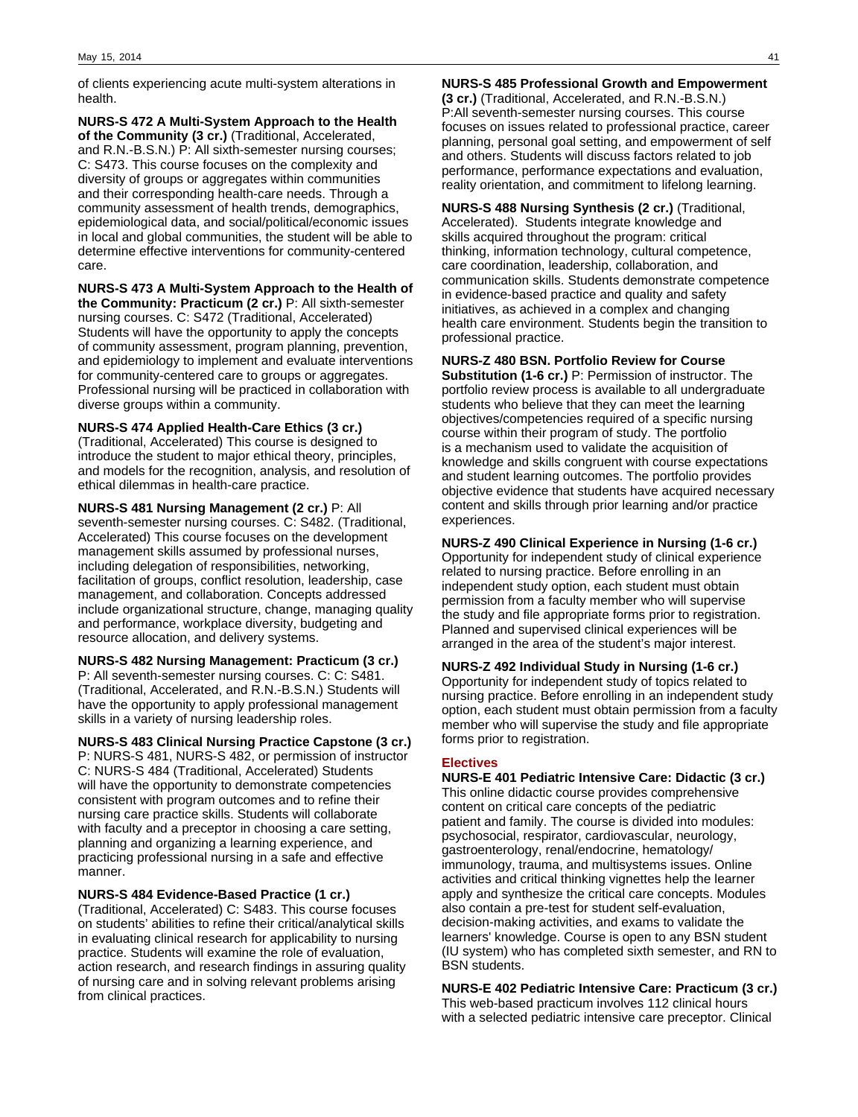of clients experiencing acute multi-system alterations in health.

**NURS-S 472 A Multi-System Approach to the Health of the Community (3 cr.)** (Traditional, Accelerated, and R.N.-B.S.N.) P: All sixth-semester nursing courses; C: S473. This course focuses on the complexity and diversity of groups or aggregates within communities and their corresponding health-care needs. Through a community assessment of health trends, demographics, epidemiological data, and social/political/economic issues in local and global communities, the student will be able to determine effective interventions for community-centered care.

**NURS-S 473 A Multi-System Approach to the Health of the Community: Practicum (2 cr.)** P: All sixth-semester nursing courses. C: S472 (Traditional, Accelerated) Students will have the opportunity to apply the concepts of community assessment, program planning, prevention, and epidemiology to implement and evaluate interventions for community-centered care to groups or aggregates. Professional nursing will be practiced in collaboration with diverse groups within a community.

**NURS-S 474 Applied Health-Care Ethics (3 cr.)** (Traditional, Accelerated) This course is designed to introduce the student to major ethical theory, principles, and models for the recognition, analysis, and resolution of ethical dilemmas in health-care practice.

**NURS-S 481 Nursing Management (2 cr.)** P: All seventh-semester nursing courses. C: S482. (Traditional, Accelerated) This course focuses on the development management skills assumed by professional nurses, including delegation of responsibilities, networking, facilitation of groups, conflict resolution, leadership, case management, and collaboration. Concepts addressed include organizational structure, change, managing quality and performance, workplace diversity, budgeting and resource allocation, and delivery systems.

**NURS-S 482 Nursing Management: Practicum (3 cr.)** P: All seventh-semester nursing courses. C: C: S481. (Traditional, Accelerated, and R.N.-B.S.N.) Students will have the opportunity to apply professional management skills in a variety of nursing leadership roles.

**NURS-S 483 Clinical Nursing Practice Capstone (3 cr.)**

P: NURS-S 481, NURS-S 482, or permission of instructor C: NURS-S 484 (Traditional, Accelerated) Students will have the opportunity to demonstrate competencies consistent with program outcomes and to refine their nursing care practice skills. Students will collaborate with faculty and a preceptor in choosing a care setting, planning and organizing a learning experience, and practicing professional nursing in a safe and effective manner.

**NURS-S 484 Evidence-Based Practice (1 cr.)**

(Traditional, Accelerated) C: S483. This course focuses on students' abilities to refine their critical/analytical skills in evaluating clinical research for applicability to nursing practice. Students will examine the role of evaluation, action research, and research findings in assuring quality of nursing care and in solving relevant problems arising from clinical practices.

**NURS-S 485 Professional Growth and Empowerment**

**(3 cr.)** (Traditional, Accelerated, and R.N.-B.S.N.) P:All seventh-semester nursing courses. This course focuses on issues related to professional practice, career planning, personal goal setting, and empowerment of self and others. Students will discuss factors related to job performance, performance expectations and evaluation, reality orientation, and commitment to lifelong learning.

**NURS-S 488 Nursing Synthesis (2 cr.)** (Traditional, Accelerated). Students integrate knowledge and skills acquired throughout the program: critical thinking, information technology, cultural competence, care coordination, leadership, collaboration, and communication skills. Students demonstrate competence in evidence-based practice and quality and safety initiatives, as achieved in a complex and changing health care environment. Students begin the transition to professional practice.

**NURS-Z 480 BSN. Portfolio Review for Course Substitution (1-6 cr.)** P: Permission of instructor. The portfolio review process is available to all undergraduate students who believe that they can meet the learning objectives/competencies required of a specific nursing course within their program of study. The portfolio is a mechanism used to validate the acquisition of knowledge and skills congruent with course expectations and student learning outcomes. The portfolio provides objective evidence that students have acquired necessary content and skills through prior learning and/or practice experiences.

**NURS-Z 490 Clinical Experience in Nursing (1-6 cr.)** Opportunity for independent study of clinical experience related to nursing practice. Before enrolling in an independent study option, each student must obtain permission from a faculty member who will supervise the study and file appropriate forms prior to registration. Planned and supervised clinical experiences will be arranged in the area of the student's major interest.

**NURS-Z 492 Individual Study in Nursing (1-6 cr.)** Opportunity for independent study of topics related to nursing practice. Before enrolling in an independent study option, each student must obtain permission from a faculty member who will supervise the study and file appropriate forms prior to registration.

### **Electives**

**NURS-E 401 Pediatric Intensive Care: Didactic (3 cr.)** This online didactic course provides comprehensive content on critical care concepts of the pediatric patient and family. The course is divided into modules: psychosocial, respirator, cardiovascular, neurology, gastroenterology, renal/endocrine, hematology/ immunology, trauma, and multisystems issues. Online activities and critical thinking vignettes help the learner apply and synthesize the critical care concepts. Modules also contain a pre-test for student self-evaluation, decision-making activities, and exams to validate the learners' knowledge. Course is open to any BSN student (IU system) who has completed sixth semester, and RN to BSN students.

**NURS-E 402 Pediatric Intensive Care: Practicum (3 cr.)** This web-based practicum involves 112 clinical hours with a selected pediatric intensive care preceptor. Clinical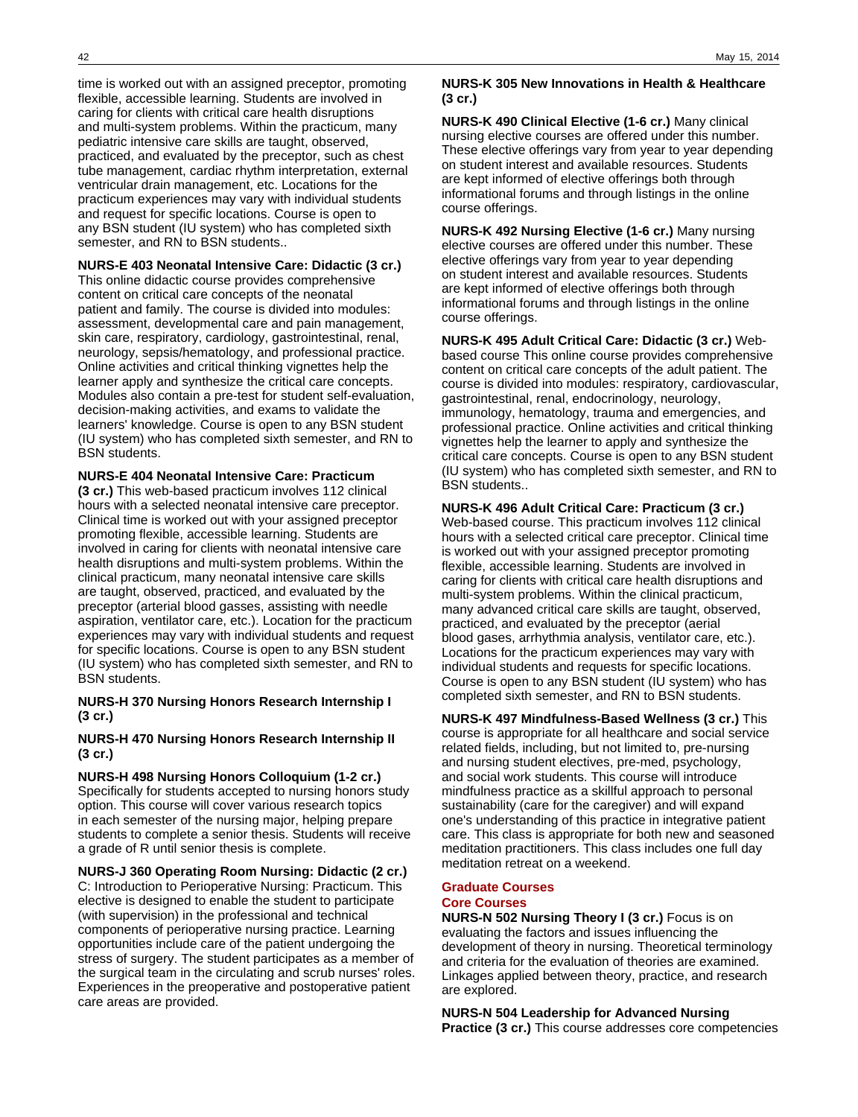time is worked out with an assigned preceptor, promoting flexible, accessible learning. Students are involved in caring for clients with critical care health disruptions and multi-system problems. Within the practicum, many pediatric intensive care skills are taught, observed, practiced, and evaluated by the preceptor, such as chest tube management, cardiac rhythm interpretation, external ventricular drain management, etc. Locations for the practicum experiences may vary with individual students and request for specific locations. Course is open to any BSN student (IU system) who has completed sixth semester, and RN to BSN students..

### **NURS-E 403 Neonatal Intensive Care: Didactic (3 cr.)**

This online didactic course provides comprehensive content on critical care concepts of the neonatal patient and family. The course is divided into modules: assessment, developmental care and pain management, skin care, respiratory, cardiology, gastrointestinal, renal, neurology, sepsis/hematology, and professional practice. Online activities and critical thinking vignettes help the learner apply and synthesize the critical care concepts. Modules also contain a pre-test for student self-evaluation, decision-making activities, and exams to validate the learners' knowledge. Course is open to any BSN student (IU system) who has completed sixth semester, and RN to BSN students.

### **NURS-E 404 Neonatal Intensive Care: Practicum**

**(3 cr.)** This web-based practicum involves 112 clinical hours with a selected neonatal intensive care preceptor. Clinical time is worked out with your assigned preceptor promoting flexible, accessible learning. Students are involved in caring for clients with neonatal intensive care health disruptions and multi-system problems. Within the clinical practicum, many neonatal intensive care skills are taught, observed, practiced, and evaluated by the preceptor (arterial blood gasses, assisting with needle aspiration, ventilator care, etc.). Location for the practicum experiences may vary with individual students and request for specific locations. Course is open to any BSN student (IU system) who has completed sixth semester, and RN to BSN students.

### **NURS-H 370 Nursing Honors Research Internship I (3 cr.)**

**NURS-H 470 Nursing Honors Research Internship II (3 cr.)**

**NURS-H 498 Nursing Honors Colloquium (1-2 cr.)** Specifically for students accepted to nursing honors study option. This course will cover various research topics in each semester of the nursing major, helping prepare students to complete a senior thesis. Students will receive a grade of R until senior thesis is complete.

**NURS-J 360 Operating Room Nursing: Didactic (2 cr.)** C: Introduction to Perioperative Nursing: Practicum. This elective is designed to enable the student to participate (with supervision) in the professional and technical components of perioperative nursing practice. Learning opportunities include care of the patient undergoing the stress of surgery. The student participates as a member of the surgical team in the circulating and scrub nurses' roles. Experiences in the preoperative and postoperative patient care areas are provided.

### **NURS-K 305 New Innovations in Health & Healthcare (3 cr.)**

**NURS-K 490 Clinical Elective (1-6 cr.)** Many clinical nursing elective courses are offered under this number. These elective offerings vary from year to year depending on student interest and available resources. Students are kept informed of elective offerings both through informational forums and through listings in the online course offerings.

**NURS-K 492 Nursing Elective (1-6 cr.)** Many nursing elective courses are offered under this number. These elective offerings vary from year to year depending on student interest and available resources. Students are kept informed of elective offerings both through informational forums and through listings in the online course offerings.

**NURS-K 495 Adult Critical Care: Didactic (3 cr.)** Webbased course This online course provides comprehensive content on critical care concepts of the adult patient. The course is divided into modules: respiratory, cardiovascular, gastrointestinal, renal, endocrinology, neurology, immunology, hematology, trauma and emergencies, and professional practice. Online activities and critical thinking vignettes help the learner to apply and synthesize the critical care concepts. Course is open to any BSN student (IU system) who has completed sixth semester, and RN to BSN students..

**NURS-K 496 Adult Critical Care: Practicum (3 cr.)** Web-based course. This practicum involves 112 clinical hours with a selected critical care preceptor. Clinical time is worked out with your assigned preceptor promoting flexible, accessible learning. Students are involved in caring for clients with critical care health disruptions and multi-system problems. Within the clinical practicum, many advanced critical care skills are taught, observed, practiced, and evaluated by the preceptor (aerial blood gases, arrhythmia analysis, ventilator care, etc.). Locations for the practicum experiences may vary with individual students and requests for specific locations. Course is open to any BSN student (IU system) who has completed sixth semester, and RN to BSN students.

**NURS-K 497 Mindfulness-Based Wellness (3 cr.)** This course is appropriate for all healthcare and social service related fields, including, but not limited to, pre-nursing and nursing student electives, pre-med, psychology, and social work students. This course will introduce mindfulness practice as a skillful approach to personal sustainability (care for the caregiver) and will expand one's understanding of this practice in integrative patient care. This class is appropriate for both new and seasoned meditation practitioners. This class includes one full day meditation retreat on a weekend.

### **Graduate Courses Core Courses**

**NURS-N 502 Nursing Theory I (3 cr.)** Focus is on evaluating the factors and issues influencing the development of theory in nursing. Theoretical terminology and criteria for the evaluation of theories are examined. Linkages applied between theory, practice, and research are explored.

**NURS-N 504 Leadership for Advanced Nursing Practice (3 cr.)** This course addresses core competencies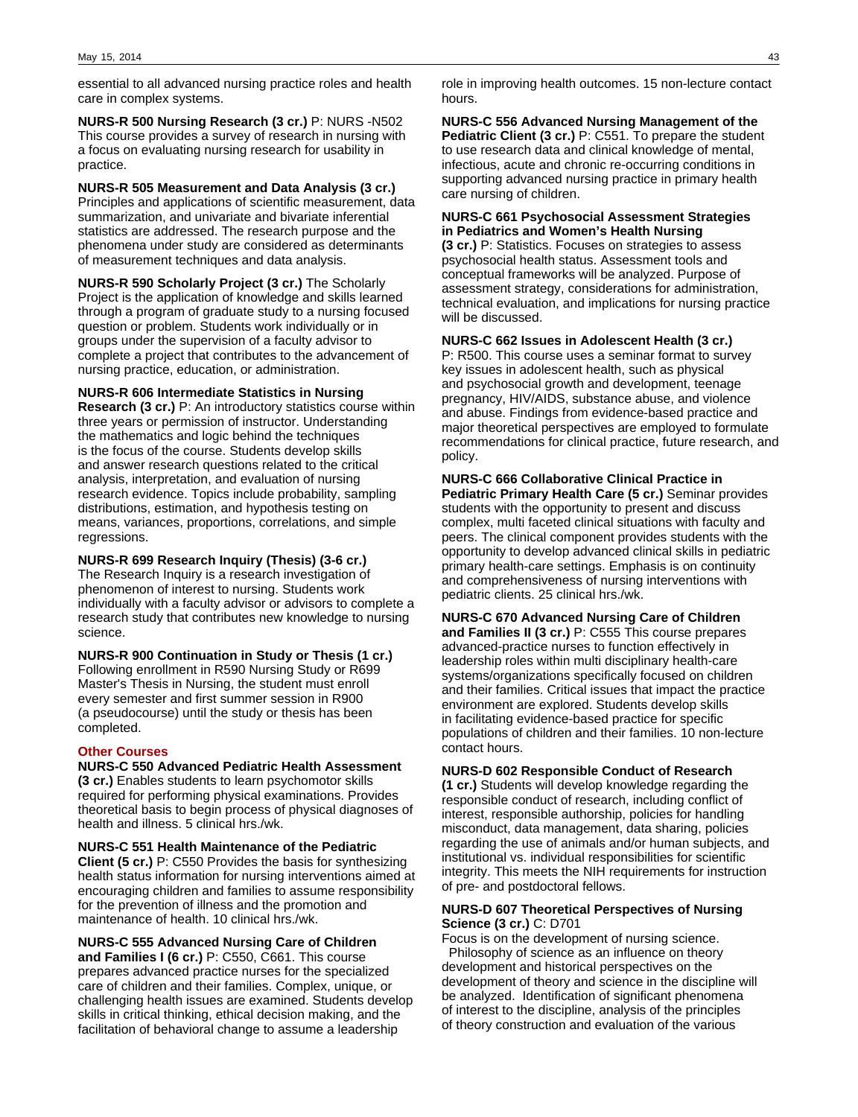essential to all advanced nursing practice roles and health care in complex systems.

**NURS-R 500 Nursing Research (3 cr.)** P: NURS -N502 This course provides a survey of research in nursing with a focus on evaluating nursing research for usability in practice.

**NURS-R 505 Measurement and Data Analysis (3 cr.)** Principles and applications of scientific measurement, data summarization, and univariate and bivariate inferential statistics are addressed. The research purpose and the phenomena under study are considered as determinants of measurement techniques and data analysis.

**NURS-R 590 Scholarly Project (3 cr.)** The Scholarly Project is the application of knowledge and skills learned through a program of graduate study to a nursing focused question or problem. Students work individually or in groups under the supervision of a faculty advisor to complete a project that contributes to the advancement of nursing practice, education, or administration.

### **NURS-R 606 Intermediate Statistics in Nursing**

**Research (3 cr.)** P: An introductory statistics course within three years or permission of instructor. Understanding the mathematics and logic behind the techniques is the focus of the course. Students develop skills and answer research questions related to the critical analysis, interpretation, and evaluation of nursing research evidence. Topics include probability, sampling distributions, estimation, and hypothesis testing on means, variances, proportions, correlations, and simple regressions.

**NURS-R 699 Research Inquiry (Thesis) (3-6 cr.)** The Research Inquiry is a research investigation of phenomenon of interest to nursing. Students work individually with a faculty advisor or advisors to complete a research study that contributes new knowledge to nursing science.

**NURS-R 900 Continuation in Study or Thesis (1 cr.)** Following enrollment in R590 Nursing Study or R699 Master's Thesis in Nursing, the student must enroll every semester and first summer session in R900 (a pseudocourse) until the study or thesis has been completed.

### **Other Courses**

**NURS-C 550 Advanced Pediatric Health Assessment (3 cr.)** Enables students to learn psychomotor skills required for performing physical examinations. Provides theoretical basis to begin process of physical diagnoses of health and illness. 5 clinical hrs./wk.

**NURS-C 551 Health Maintenance of the Pediatric Client (5 cr.)** P: C550 Provides the basis for synthesizing health status information for nursing interventions aimed at encouraging children and families to assume responsibility for the prevention of illness and the promotion and maintenance of health. 10 clinical hrs./wk.

**NURS-C 555 Advanced Nursing Care of Children and Families I (6 cr.)** P: C550, C661. This course prepares advanced practice nurses for the specialized care of children and their families. Complex, unique, or challenging health issues are examined. Students develop skills in critical thinking, ethical decision making, and the facilitation of behavioral change to assume a leadership

role in improving health outcomes. 15 non-lecture contact hours.

**NURS-C 556 Advanced Nursing Management of the Pediatric Client (3 cr.)** P: C551. To prepare the student to use research data and clinical knowledge of mental, infectious, acute and chronic re-occurring conditions in supporting advanced nursing practice in primary health care nursing of children.

### **NURS-C 661 Psychosocial Assessment Strategies in Pediatrics and Women's Health Nursing**

**(3 cr.)** P: Statistics. Focuses on strategies to assess psychosocial health status. Assessment tools and conceptual frameworks will be analyzed. Purpose of assessment strategy, considerations for administration, technical evaluation, and implications for nursing practice will be discussed.

**NURS-C 662 Issues in Adolescent Health (3 cr.)** P: R500. This course uses a seminar format to survey key issues in adolescent health, such as physical and psychosocial growth and development, teenage pregnancy, HIV/AIDS, substance abuse, and violence and abuse. Findings from evidence-based practice and major theoretical perspectives are employed to formulate

recommendations for clinical practice, future research, and

policy.

**NURS-C 666 Collaborative Clinical Practice in Pediatric Primary Health Care (5 cr.)** Seminar provides students with the opportunity to present and discuss complex, multi faceted clinical situations with faculty and peers. The clinical component provides students with the opportunity to develop advanced clinical skills in pediatric primary health-care settings. Emphasis is on continuity and comprehensiveness of nursing interventions with pediatric clients. 25 clinical hrs./wk.

**NURS-C 670 Advanced Nursing Care of Children and Families II (3 cr.)** P: C555 This course prepares advanced-practice nurses to function effectively in leadership roles within multi disciplinary health-care systems/organizations specifically focused on children and their families. Critical issues that impact the practice environment are explored. Students develop skills in facilitating evidence-based practice for specific populations of children and their families. 10 non-lecture contact hours.

### **NURS-D 602 Responsible Conduct of Research**

**(1 cr.)** Students will develop knowledge regarding the responsible conduct of research, including conflict of interest, responsible authorship, policies for handling misconduct, data management, data sharing, policies regarding the use of animals and/or human subjects, and institutional vs. individual responsibilities for scientific integrity. This meets the NIH requirements for instruction of pre- and postdoctoral fellows.

### **NURS-D 607 Theoretical Perspectives of Nursing Science (3 cr.)** C: D701

Focus is on the development of nursing science. Philosophy of science as an influence on theory development and historical perspectives on the development of theory and science in the discipline will be analyzed. Identification of significant phenomena of interest to the discipline, analysis of the principles of theory construction and evaluation of the various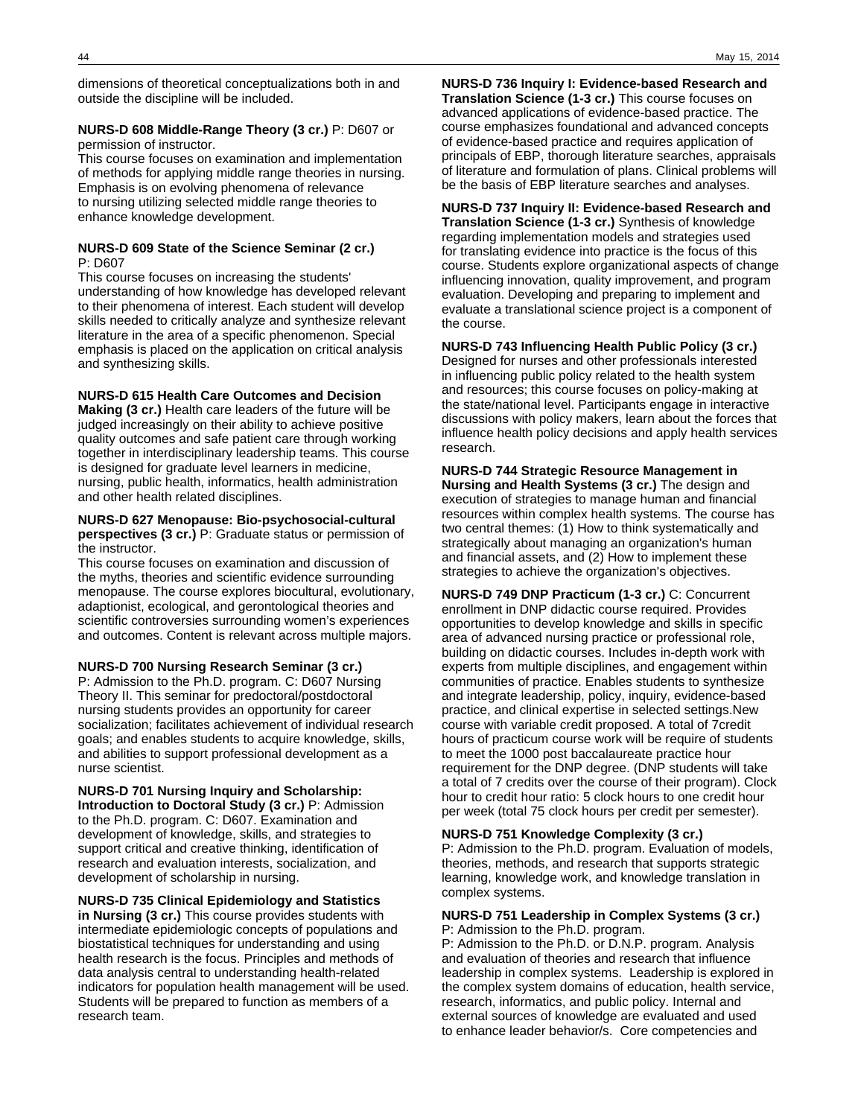dimensions of theoretical conceptualizations both in and outside the discipline will be included.

### **NURS-D 608 Middle-Range Theory (3 cr.)** P: D607 or

permission of instructor.

This course focuses on examination and implementation of methods for applying middle range theories in nursing. Emphasis is on evolving phenomena of relevance to nursing utilizing selected middle range theories to enhance knowledge development.

#### **NURS-D 609 State of the Science Seminar (2 cr.)** P: D607

This course focuses on increasing the students' understanding of how knowledge has developed relevant to their phenomena of interest. Each student will develop skills needed to critically analyze and synthesize relevant literature in the area of a specific phenomenon. Special emphasis is placed on the application on critical analysis and synthesizing skills.

### **NURS-D 615 Health Care Outcomes and Decision**

**Making (3 cr.)** Health care leaders of the future will be judged increasingly on their ability to achieve positive quality outcomes and safe patient care through working together in interdisciplinary leadership teams. This course is designed for graduate level learners in medicine, nursing, public health, informatics, health administration and other health related disciplines.

#### **NURS-D 627 Menopause: Bio-psychosocial-cultural perspectives (3 cr.)** P: Graduate status or permission of the instructor.

This course focuses on examination and discussion of the myths, theories and scientific evidence surrounding menopause. The course explores biocultural, evolutionary, adaptionist, ecological, and gerontological theories and scientific controversies surrounding women's experiences and outcomes. Content is relevant across multiple majors.

#### **NURS-D 700 Nursing Research Seminar (3 cr.)**

P: Admission to the Ph.D. program. C: D607 Nursing Theory II. This seminar for predoctoral/postdoctoral nursing students provides an opportunity for career socialization; facilitates achievement of individual research goals; and enables students to acquire knowledge, skills, and abilities to support professional development as a nurse scientist.

### **NURS-D 701 Nursing Inquiry and Scholarship: Introduction to Doctoral Study (3 cr.)** P: Admission to the Ph.D. program. C: D607. Examination and development of knowledge, skills, and strategies to support critical and creative thinking, identification of research and evaluation interests, socialization, and development of scholarship in nursing.

**NURS-D 735 Clinical Epidemiology and Statistics in Nursing (3 cr.)** This course provides students with intermediate epidemiologic concepts of populations and biostatistical techniques for understanding and using health research is the focus. Principles and methods of data analysis central to understanding health-related indicators for population health management will be used. Students will be prepared to function as members of a research team.

**NURS-D 736 Inquiry I: Evidence-based Research and Translation Science (1-3 cr.)** This course focuses on advanced applications of evidence-based practice. The course emphasizes foundational and advanced concepts of evidence-based practice and requires application of principals of EBP, thorough literature searches, appraisals of literature and formulation of plans. Clinical problems will be the basis of EBP literature searches and analyses.

**NURS-D 737 Inquiry II: Evidence-based Research and Translation Science (1-3 cr.)** Synthesis of knowledge regarding implementation models and strategies used for translating evidence into practice is the focus of this course. Students explore organizational aspects of change influencing innovation, quality improvement, and program evaluation. Developing and preparing to implement and evaluate a translational science project is a component of the course.

**NURS-D 743 Influencing Health Public Policy (3 cr.)** Designed for nurses and other professionals interested in influencing public policy related to the health system and resources; this course focuses on policy-making at the state/national level. Participants engage in interactive discussions with policy makers, learn about the forces that influence health policy decisions and apply health services research.

**NURS-D 744 Strategic Resource Management in Nursing and Health Systems (3 cr.)** The design and execution of strategies to manage human and financial resources within complex health systems. The course has two central themes: (1) How to think systematically and strategically about managing an organization's human and financial assets, and (2) How to implement these strategies to achieve the organization's objectives.

**NURS-D 749 DNP Practicum (1-3 cr.)** C: Concurrent enrollment in DNP didactic course required. Provides opportunities to develop knowledge and skills in specific area of advanced nursing practice or professional role, building on didactic courses. Includes in-depth work with experts from multiple disciplines, and engagement within communities of practice. Enables students to synthesize and integrate leadership, policy, inquiry, evidence-based practice, and clinical expertise in selected settings.New course with variable credit proposed. A total of 7credit hours of practicum course work will be require of students to meet the 1000 post baccalaureate practice hour requirement for the DNP degree. (DNP students will take a total of 7 credits over the course of their program). Clock hour to credit hour ratio: 5 clock hours to one credit hour per week (total 75 clock hours per credit per semester).

**NURS-D 751 Knowledge Complexity (3 cr.)** P: Admission to the Ph.D. program. Evaluation of models, theories, methods, and research that supports strategic learning, knowledge work, and knowledge translation in complex systems.

### **NURS-D 751 Leadership in Complex Systems (3 cr.)** P: Admission to the Ph.D. program.

P: Admission to the Ph.D. or D.N.P. program. Analysis and evaluation of theories and research that influence leadership in complex systems. Leadership is explored in the complex system domains of education, health service, research, informatics, and public policy. Internal and external sources of knowledge are evaluated and used to enhance leader behavior/s. Core competencies and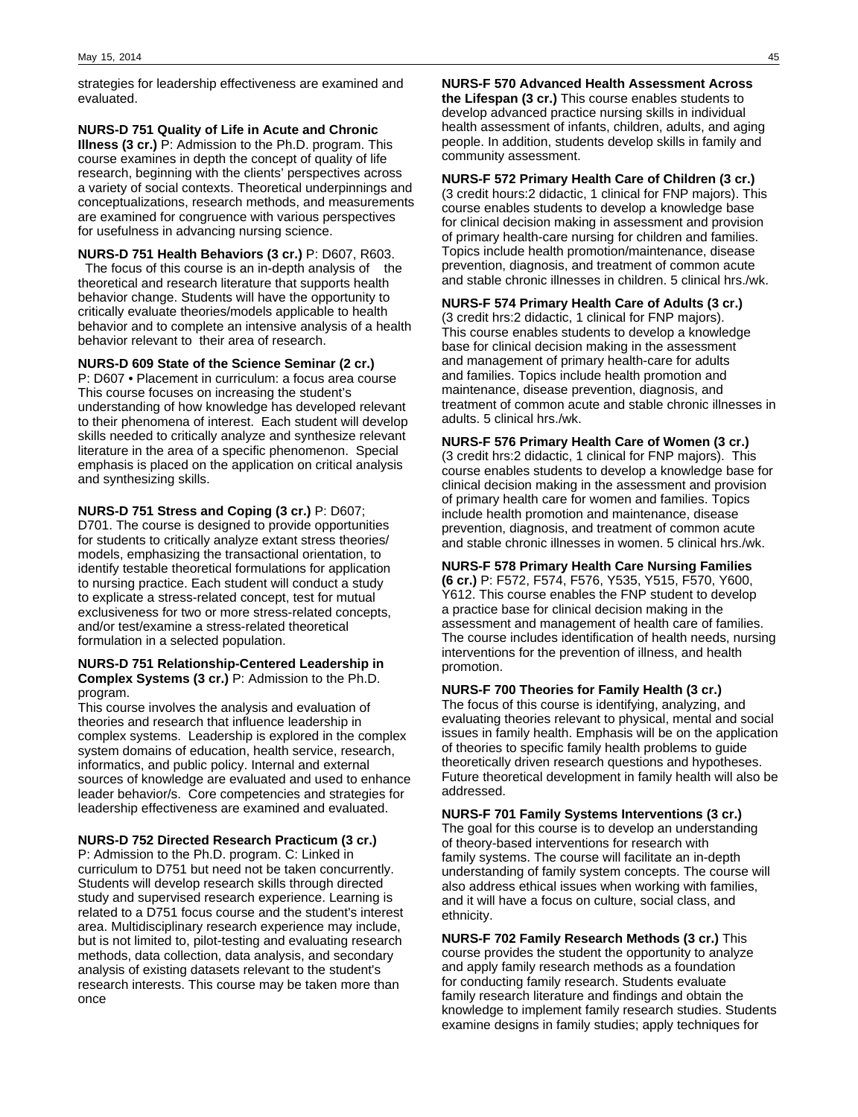strategies for leadership effectiveness are examined and evaluated.

**NURS-D 751 Quality of Life in Acute and Chronic Illness (3 cr.)** P: Admission to the Ph.D. program. This course examines in depth the concept of quality of life research, beginning with the clients' perspectives across a variety of social contexts. Theoretical underpinnings and conceptualizations, research methods, and measurements are examined for congruence with various perspectives for usefulness in advancing nursing science.

**NURS-D 751 Health Behaviors (3 cr.)** P: D607, R603. The focus of this course is an in-depth analysis of the theoretical and research literature that supports health behavior change. Students will have the opportunity to critically evaluate theories/models applicable to health behavior and to complete an intensive analysis of a health behavior relevant to their area of research.

**NURS-D 609 State of the Science Seminar (2 cr.)** P: D607 • Placement in curriculum: a focus area course This course focuses on increasing the student's understanding of how knowledge has developed relevant to their phenomena of interest. Each student will develop skills needed to critically analyze and synthesize relevant literature in the area of a specific phenomenon. Special emphasis is placed on the application on critical analysis and synthesizing skills.

**NURS-D 751 Stress and Coping (3 cr.)** P: D607; D701. The course is designed to provide opportunities for students to critically analyze extant stress theories/ models, emphasizing the transactional orientation, to identify testable theoretical formulations for application to nursing practice. Each student will conduct a study to explicate a stress-related concept, test for mutual exclusiveness for two or more stress-related concepts, and/or test/examine a stress-related theoretical formulation in a selected population.

### **NURS-D 751 Relationship-Centered Leadership in Complex Systems (3 cr.)** P: Admission to the Ph.D. program.

This course involves the analysis and evaluation of theories and research that influence leadership in complex systems. Leadership is explored in the complex system domains of education, health service, research, informatics, and public policy. Internal and external sources of knowledge are evaluated and used to enhance leader behavior/s. Core competencies and strategies for leadership effectiveness are examined and evaluated.

**NURS-D 752 Directed Research Practicum (3 cr.)** P: Admission to the Ph.D. program. C: Linked in curriculum to D751 but need not be taken concurrently. Students will develop research skills through directed study and supervised research experience. Learning is related to a D751 focus course and the student's interest area. Multidisciplinary research experience may include, but is not limited to, pilot-testing and evaluating research methods, data collection, data analysis, and secondary analysis of existing datasets relevant to the student's research interests. This course may be taken more than once

**NURS-F 570 Advanced Health Assessment Across the Lifespan (3 cr.)** This course enables students to develop advanced practice nursing skills in individual health assessment of infants, children, adults, and aging people. In addition, students develop skills in family and community assessment.

**NURS-F 572 Primary Health Care of Children (3 cr.)** (3 credit hours:2 didactic, 1 clinical for FNP majors). This course enables students to develop a knowledge base for clinical decision making in assessment and provision of primary health-care nursing for children and families. Topics include health promotion/maintenance, disease prevention, diagnosis, and treatment of common acute and stable chronic illnesses in children. 5 clinical hrs./wk.

**NURS-F 574 Primary Health Care of Adults (3 cr.)** (3 credit hrs:2 didactic, 1 clinical for FNP majors). This course enables students to develop a knowledge base for clinical decision making in the assessment and management of primary health-care for adults and families. Topics include health promotion and maintenance, disease prevention, diagnosis, and treatment of common acute and stable chronic illnesses in adults. 5 clinical hrs./wk.

**NURS-F 576 Primary Health Care of Women (3 cr.)** (3 credit hrs:2 didactic, 1 clinical for FNP majors). This course enables students to develop a knowledge base for clinical decision making in the assessment and provision of primary health care for women and families. Topics include health promotion and maintenance, disease prevention, diagnosis, and treatment of common acute and stable chronic illnesses in women. 5 clinical hrs./wk.

**NURS-F 578 Primary Health Care Nursing Families (6 cr.)** P: F572, F574, F576, Y535, Y515, F570, Y600, Y612. This course enables the FNP student to develop a practice base for clinical decision making in the assessment and management of health care of families. The course includes identification of health needs, nursing interventions for the prevention of illness, and health promotion.

**NURS-F 700 Theories for Family Health (3 cr.)** The focus of this course is identifying, analyzing, and evaluating theories relevant to physical, mental and social issues in family health. Emphasis will be on the application of theories to specific family health problems to guide theoretically driven research questions and hypotheses. Future theoretical development in family health will also be addressed.

**NURS-F 701 Family Systems Interventions (3 cr.)** The goal for this course is to develop an understanding of theory-based interventions for research with family systems. The course will facilitate an in-depth understanding of family system concepts. The course will also address ethical issues when working with families, and it will have a focus on culture, social class, and ethnicity.

**NURS-F 702 Family Research Methods (3 cr.)** This course provides the student the opportunity to analyze and apply family research methods as a foundation for conducting family research. Students evaluate family research literature and findings and obtain the knowledge to implement family research studies. Students examine designs in family studies; apply techniques for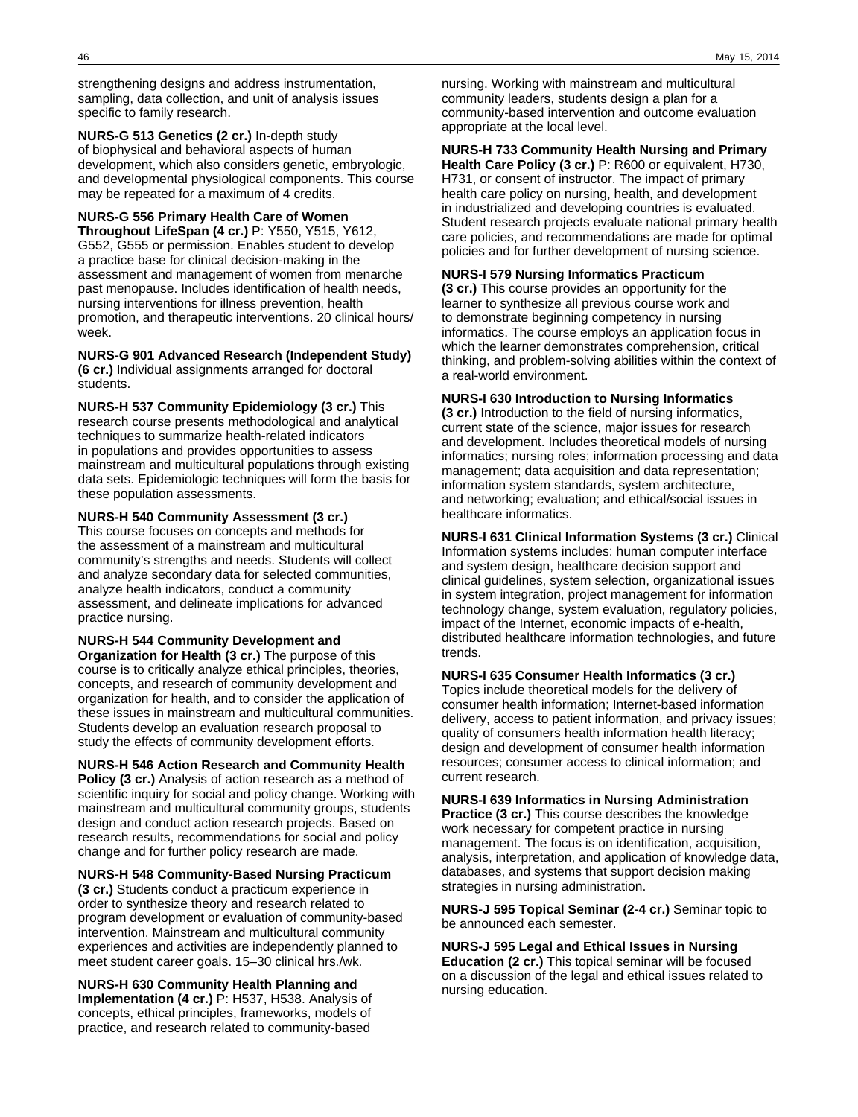strengthening designs and address instrumentation, sampling, data collection, and unit of analysis issues specific to family research.

**NURS-G 513 Genetics (2 cr.)** In-depth study of biophysical and behavioral aspects of human development, which also considers genetic, embryologic, and developmental physiological components. This course may be repeated for a maximum of 4 credits.

**NURS-G 556 Primary Health Care of Women Throughout LifeSpan (4 cr.)** P: Y550, Y515, Y612, G552, G555 or permission. Enables student to develop a practice base for clinical decision-making in the assessment and management of women from menarche past menopause. Includes identification of health needs, nursing interventions for illness prevention, health promotion, and therapeutic interventions. 20 clinical hours/ week.

**NURS-G 901 Advanced Research (Independent Study) (6 cr.)** Individual assignments arranged for doctoral students.

**NURS-H 537 Community Epidemiology (3 cr.)** This research course presents methodological and analytical techniques to summarize health-related indicators in populations and provides opportunities to assess mainstream and multicultural populations through existing data sets. Epidemiologic techniques will form the basis for these population assessments.

**NURS-H 540 Community Assessment (3 cr.)** This course focuses on concepts and methods for the assessment of a mainstream and multicultural community's strengths and needs. Students will collect and analyze secondary data for selected communities, analyze health indicators, conduct a community assessment, and delineate implications for advanced practice nursing.

**NURS-H 544 Community Development and Organization for Health (3 cr.)** The purpose of this course is to critically analyze ethical principles, theories, concepts, and research of community development and organization for health, and to consider the application of these issues in mainstream and multicultural communities. Students develop an evaluation research proposal to study the effects of community development efforts.

**NURS-H 546 Action Research and Community Health Policy (3 cr.)** Analysis of action research as a method of scientific inquiry for social and policy change. Working with mainstream and multicultural community groups, students design and conduct action research projects. Based on research results, recommendations for social and policy change and for further policy research are made.

**NURS-H 548 Community-Based Nursing Practicum (3 cr.)** Students conduct a practicum experience in order to synthesize theory and research related to program development or evaluation of community-based intervention. Mainstream and multicultural community experiences and activities are independently planned to meet student career goals. 15–30 clinical hrs./wk.

**NURS-H 630 Community Health Planning and Implementation (4 cr.)** P: H537, H538. Analysis of concepts, ethical principles, frameworks, models of practice, and research related to community-based

nursing. Working with mainstream and multicultural community leaders, students design a plan for a community-based intervention and outcome evaluation appropriate at the local level.

**NURS-H 733 Community Health Nursing and Primary Health Care Policy (3 cr.)** P: R600 or equivalent, H730, H731, or consent of instructor. The impact of primary health care policy on nursing, health, and development in industrialized and developing countries is evaluated. Student research projects evaluate national primary health care policies, and recommendations are made for optimal policies and for further development of nursing science.

### **NURS-I 579 Nursing Informatics Practicum**

**(3 cr.)** This course provides an opportunity for the learner to synthesize all previous course work and to demonstrate beginning competency in nursing informatics. The course employs an application focus in which the learner demonstrates comprehension, critical thinking, and problem-solving abilities within the context of a real-world environment.

### **NURS-I 630 Introduction to Nursing Informatics**

**(3 cr.)** Introduction to the field of nursing informatics, current state of the science, major issues for research and development. Includes theoretical models of nursing informatics; nursing roles; information processing and data management; data acquisition and data representation; information system standards, system architecture, and networking; evaluation; and ethical/social issues in healthcare informatics.

**NURS-I 631 Clinical Information Systems (3 cr.)** Clinical Information systems includes: human computer interface and system design, healthcare decision support and clinical guidelines, system selection, organizational issues in system integration, project management for information technology change, system evaluation, regulatory policies, impact of the Internet, economic impacts of e-health, distributed healthcare information technologies, and future trends.

**NURS-I 635 Consumer Health Informatics (3 cr.)**

Topics include theoretical models for the delivery of consumer health information; Internet-based information delivery, access to patient information, and privacy issues; quality of consumers health information health literacy; design and development of consumer health information resources; consumer access to clinical information; and current research.

**NURS-I 639 Informatics in Nursing Administration Practice (3 cr.)** This course describes the knowledge work necessary for competent practice in nursing management. The focus is on identification, acquisition, analysis, interpretation, and application of knowledge data, databases, and systems that support decision making strategies in nursing administration.

**NURS-J 595 Topical Seminar (2-4 cr.)** Seminar topic to be announced each semester.

**NURS-J 595 Legal and Ethical Issues in Nursing Education (2 cr.)** This topical seminar will be focused on a discussion of the legal and ethical issues related to nursing education.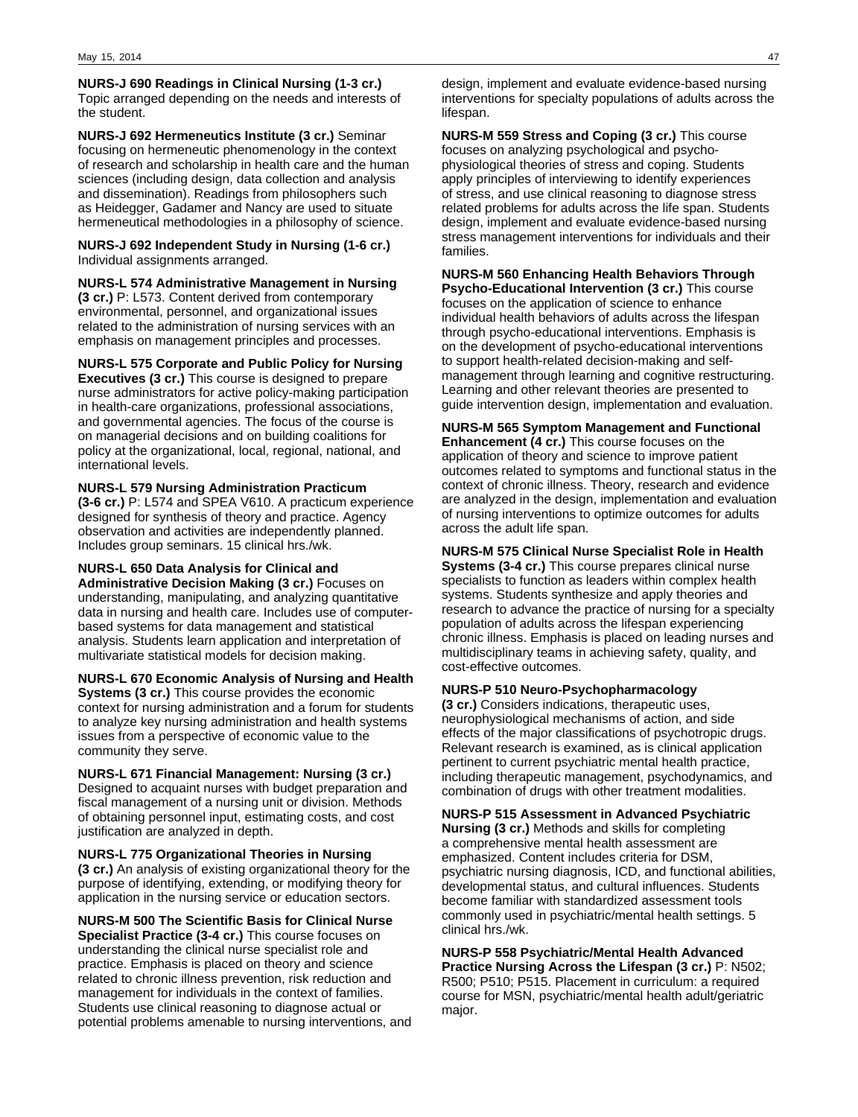**NURS-J 690 Readings in Clinical Nursing (1-3 cr.)** Topic arranged depending on the needs and interests of the student.

**NURS-J 692 Hermeneutics Institute (3 cr.)** Seminar focusing on hermeneutic phenomenology in the context of research and scholarship in health care and the human sciences (including design, data collection and analysis and dissemination). Readings from philosophers such as Heidegger, Gadamer and Nancy are used to situate hermeneutical methodologies in a philosophy of science.

### **NURS-J 692 Independent Study in Nursing (1-6 cr.)** Individual assignments arranged.

**NURS-L 574 Administrative Management in Nursing (3 cr.)** P: L573. Content derived from contemporary environmental, personnel, and organizational issues related to the administration of nursing services with an emphasis on management principles and processes.

**NURS-L 575 Corporate and Public Policy for Nursing Executives (3 cr.)** This course is designed to prepare nurse administrators for active policy-making participation in health-care organizations, professional associations, and governmental agencies. The focus of the course is on managerial decisions and on building coalitions for policy at the organizational, local, regional, national, and international levels.

### **NURS-L 579 Nursing Administration Practicum (3-6 cr.)** P: L574 and SPEA V610. A practicum experience designed for synthesis of theory and practice. Agency

observation and activities are independently planned. Includes group seminars. 15 clinical hrs./wk.

### **NURS-L 650 Data Analysis for Clinical and**

**Administrative Decision Making (3 cr.)** Focuses on understanding, manipulating, and analyzing quantitative data in nursing and health care. Includes use of computerbased systems for data management and statistical analysis. Students learn application and interpretation of multivariate statistical models for decision making.

**NURS-L 670 Economic Analysis of Nursing and Health Systems (3 cr.)** This course provides the economic context for nursing administration and a forum for students to analyze key nursing administration and health systems issues from a perspective of economic value to the community they serve.

**NURS-L 671 Financial Management: Nursing (3 cr.)** Designed to acquaint nurses with budget preparation and fiscal management of a nursing unit or division. Methods of obtaining personnel input, estimating costs, and cost justification are analyzed in depth.

**NURS-L 775 Organizational Theories in Nursing (3 cr.)** An analysis of existing organizational theory for the purpose of identifying, extending, or modifying theory for application in the nursing service or education sectors.

**NURS-M 500 The Scientific Basis for Clinical Nurse Specialist Practice (3-4 cr.)** This course focuses on understanding the clinical nurse specialist role and practice. Emphasis is placed on theory and science related to chronic illness prevention, risk reduction and management for individuals in the context of families. Students use clinical reasoning to diagnose actual or potential problems amenable to nursing interventions, and

design, implement and evaluate evidence-based nursing interventions for specialty populations of adults across the lifespan.

**NURS-M 559 Stress and Coping (3 cr.)** This course focuses on analyzing psychological and psychophysiological theories of stress and coping. Students apply principles of interviewing to identify experiences of stress, and use clinical reasoning to diagnose stress related problems for adults across the life span. Students design, implement and evaluate evidence-based nursing stress management interventions for individuals and their families.

**NURS-M 560 Enhancing Health Behaviors Through Psycho-Educational Intervention (3 cr.)** This course focuses on the application of science to enhance individual health behaviors of adults across the lifespan through psycho-educational interventions. Emphasis is on the development of psycho-educational interventions to support health-related decision-making and selfmanagement through learning and cognitive restructuring. Learning and other relevant theories are presented to guide intervention design, implementation and evaluation.

**NURS-M 565 Symptom Management and Functional Enhancement (4 cr.)** This course focuses on the application of theory and science to improve patient outcomes related to symptoms and functional status in the context of chronic illness. Theory, research and evidence are analyzed in the design, implementation and evaluation of nursing interventions to optimize outcomes for adults across the adult life span.

**NURS-M 575 Clinical Nurse Specialist Role in Health Systems (3-4 cr.)** This course prepares clinical nurse specialists to function as leaders within complex health systems. Students synthesize and apply theories and research to advance the practice of nursing for a specialty population of adults across the lifespan experiencing chronic illness. Emphasis is placed on leading nurses and multidisciplinary teams in achieving safety, quality, and cost-effective outcomes.

### **NURS-P 510 Neuro-Psychopharmacology**

**(3 cr.)** Considers indications, therapeutic uses, neurophysiological mechanisms of action, and side effects of the major classifications of psychotropic drugs. Relevant research is examined, as is clinical application pertinent to current psychiatric mental health practice, including therapeutic management, psychodynamics, and combination of drugs with other treatment modalities.

**NURS-P 515 Assessment in Advanced Psychiatric Nursing (3 cr.)** Methods and skills for completing a comprehensive mental health assessment are emphasized. Content includes criteria for DSM, psychiatric nursing diagnosis, ICD, and functional abilities, developmental status, and cultural influences. Students become familiar with standardized assessment tools commonly used in psychiatric/mental health settings. 5 clinical hrs./wk.

**NURS-P 558 Psychiatric/Mental Health Advanced Practice Nursing Across the Lifespan (3 cr.)** P: N502; R500; P510; P515. Placement in curriculum: a required course for MSN, psychiatric/mental health adult/geriatric major.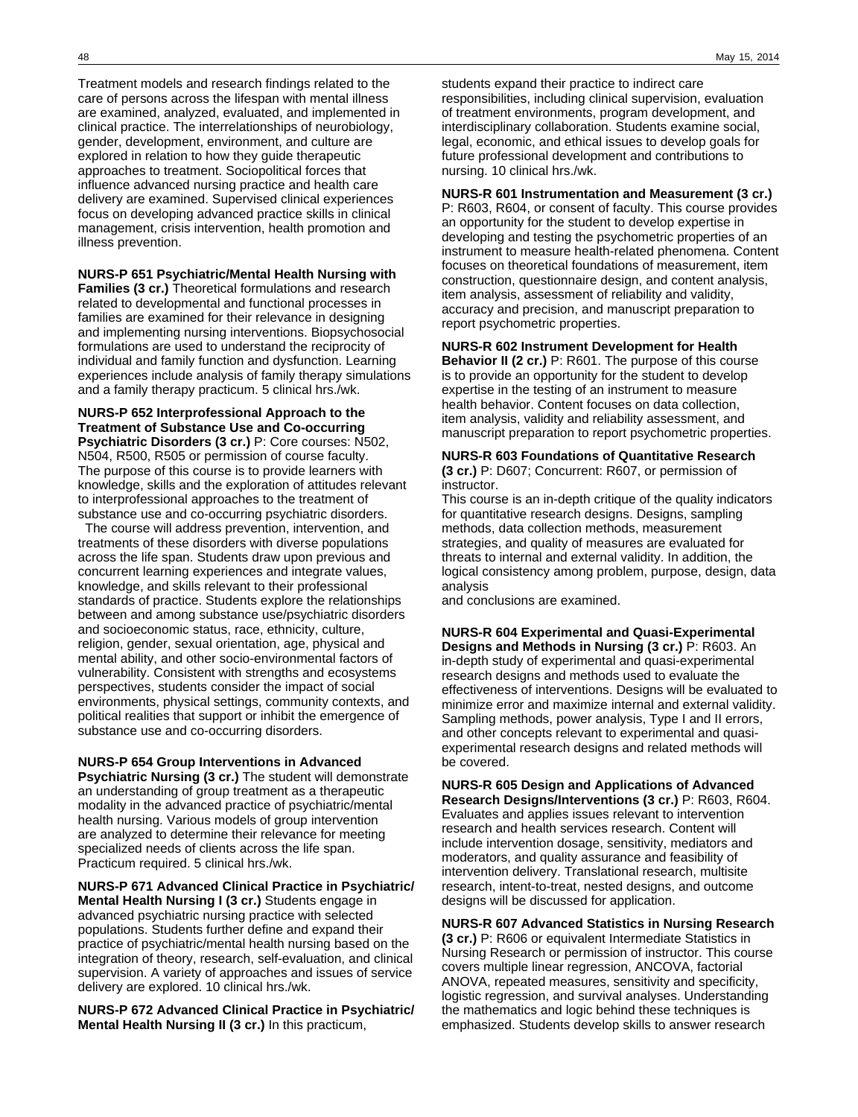Treatment models and research findings related to the care of persons across the lifespan with mental illness are examined, analyzed, evaluated, and implemented in clinical practice. The interrelationships of neurobiology, gender, development, environment, and culture are explored in relation to how they guide therapeutic approaches to treatment. Sociopolitical forces that influence advanced nursing practice and health care delivery are examined. Supervised clinical experiences focus on developing advanced practice skills in clinical management, crisis intervention, health promotion and illness prevention.

### **NURS-P 651 Psychiatric/Mental Health Nursing with**

**Families (3 cr.)** Theoretical formulations and research related to developmental and functional processes in families are examined for their relevance in designing and implementing nursing interventions. Biopsychosocial formulations are used to understand the reciprocity of individual and family function and dysfunction. Learning experiences include analysis of family therapy simulations and a family therapy practicum. 5 clinical hrs./wk.

### **NURS-P 652 Interprofessional Approach to the Treatment of Substance Use and Co-occurring Psychiatric Disorders (3 cr.)** P: Core courses: N502, N504, R500, R505 or permission of course faculty. The purpose of this course is to provide learners with knowledge, skills and the exploration of attitudes relevant to interprofessional approaches to the treatment of substance use and co-occurring psychiatric disorders.

 The course will address prevention, intervention, and treatments of these disorders with diverse populations across the life span. Students draw upon previous and concurrent learning experiences and integrate values, knowledge, and skills relevant to their professional standards of practice. Students explore the relationships between and among substance use/psychiatric disorders and socioeconomic status, race, ethnicity, culture, religion, gender, sexual orientation, age, physical and mental ability, and other socio-environmental factors of vulnerability. Consistent with strengths and ecosystems perspectives, students consider the impact of social environments, physical settings, community contexts, and political realities that support or inhibit the emergence of substance use and co-occurring disorders.

#### **NURS-P 654 Group Interventions in Advanced**

**Psychiatric Nursing (3 cr.)** The student will demonstrate an understanding of group treatment as a therapeutic modality in the advanced practice of psychiatric/mental health nursing. Various models of group intervention are analyzed to determine their relevance for meeting specialized needs of clients across the life span. Practicum required. 5 clinical hrs./wk.

### **NURS-P 671 Advanced Clinical Practice in Psychiatric/**

**Mental Health Nursing I (3 cr.)** Students engage in advanced psychiatric nursing practice with selected populations. Students further define and expand their practice of psychiatric/mental health nursing based on the integration of theory, research, self-evaluation, and clinical supervision. A variety of approaches and issues of service delivery are explored. 10 clinical hrs./wk.

**NURS-P 672 Advanced Clinical Practice in Psychiatric/ Mental Health Nursing II (3 cr.)** In this practicum,

students expand their practice to indirect care responsibilities, including clinical supervision, evaluation of treatment environments, program development, and interdisciplinary collaboration. Students examine social, legal, economic, and ethical issues to develop goals for future professional development and contributions to nursing. 10 clinical hrs./wk.

### **NURS-R 601 Instrumentation and Measurement (3 cr.)**

P: R603, R604, or consent of faculty. This course provides an opportunity for the student to develop expertise in developing and testing the psychometric properties of an instrument to measure health-related phenomena. Content focuses on theoretical foundations of measurement, item construction, questionnaire design, and content analysis, item analysis, assessment of reliability and validity, accuracy and precision, and manuscript preparation to report psychometric properties.

### **NURS-R 602 Instrument Development for Health**

**Behavior II (2 cr.)** P: R601. The purpose of this course is to provide an opportunity for the student to develop expertise in the testing of an instrument to measure health behavior. Content focuses on data collection, item analysis, validity and reliability assessment, and manuscript preparation to report psychometric properties.

#### **NURS-R 603 Foundations of Quantitative Research (3 cr.)** P: D607; Concurrent: R607, or permission of instructor.

This course is an in-depth critique of the quality indicators for quantitative research designs. Designs, sampling methods, data collection methods, measurement strategies, and quality of measures are evaluated for threats to internal and external validity. In addition, the logical consistency among problem, purpose, design, data analysis

and conclusions are examined.

### **NURS-R 604 Experimental and Quasi-Experimental**

**Designs and Methods in Nursing (3 cr.)** P: R603. An in-depth study of experimental and quasi-experimental research designs and methods used to evaluate the effectiveness of interventions. Designs will be evaluated to minimize error and maximize internal and external validity. Sampling methods, power analysis, Type I and II errors, and other concepts relevant to experimental and quasiexperimental research designs and related methods will be covered.

**NURS-R 605 Design and Applications of Advanced Research Designs/Interventions (3 cr.)** P: R603, R604. Evaluates and applies issues relevant to intervention research and health services research. Content will include intervention dosage, sensitivity, mediators and moderators, and quality assurance and feasibility of intervention delivery. Translational research, multisite research, intent-to-treat, nested designs, and outcome designs will be discussed for application.

### **NURS-R 607 Advanced Statistics in Nursing Research**

**(3 cr.)** P: R606 or equivalent Intermediate Statistics in Nursing Research or permission of instructor. This course covers multiple linear regression, ANCOVA, factorial ANOVA, repeated measures, sensitivity and specificity, logistic regression, and survival analyses. Understanding the mathematics and logic behind these techniques is emphasized. Students develop skills to answer research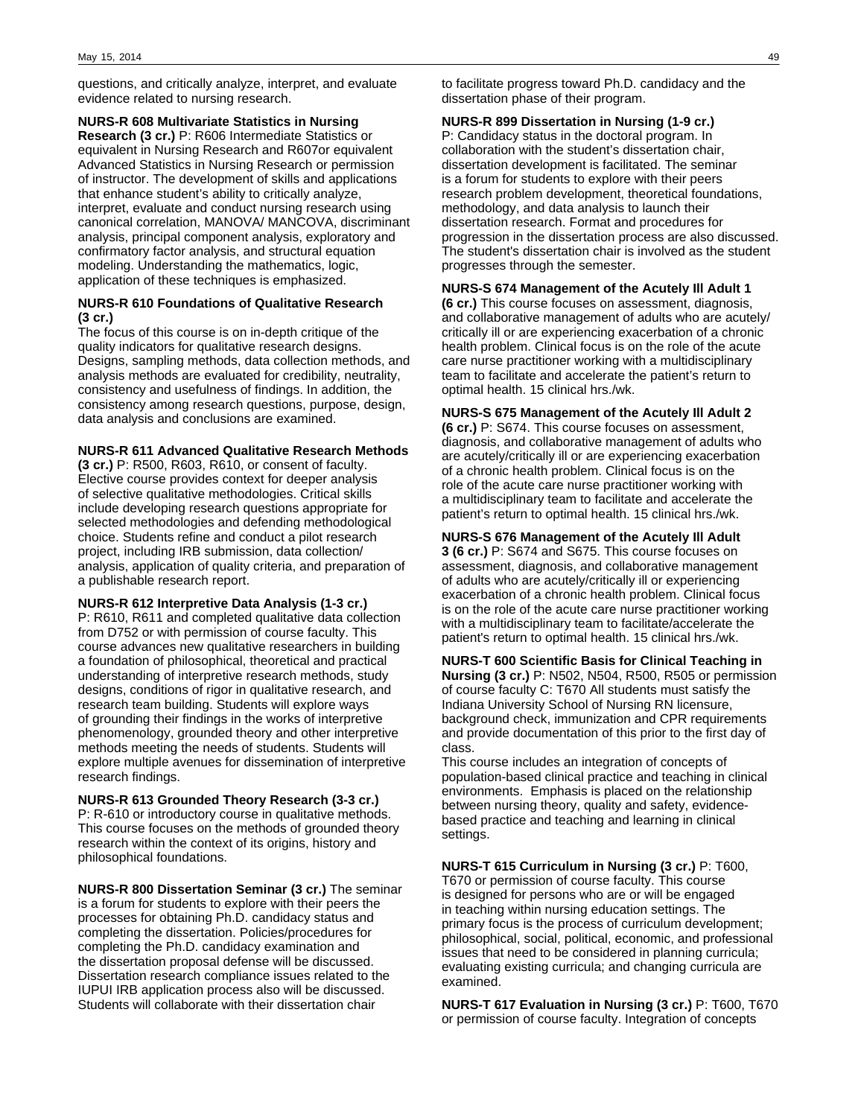questions, and critically analyze, interpret, and evaluate evidence related to nursing research.

### **NURS-R 608 Multivariate Statistics in Nursing**

**Research (3 cr.)** P: R606 Intermediate Statistics or equivalent in Nursing Research and R607or equivalent Advanced Statistics in Nursing Research or permission of instructor. The development of skills and applications that enhance student's ability to critically analyze, interpret, evaluate and conduct nursing research using canonical correlation, MANOVA/ MANCOVA, discriminant analysis, principal component analysis, exploratory and confirmatory factor analysis, and structural equation modeling. Understanding the mathematics, logic, application of these techniques is emphasized.

### **NURS-R 610 Foundations of Qualitative Research (3 cr.)**

The focus of this course is on in-depth critique of the quality indicators for qualitative research designs. Designs, sampling methods, data collection methods, and analysis methods are evaluated for credibility, neutrality, consistency and usefulness of findings. In addition, the consistency among research questions, purpose, design, data analysis and conclusions are examined.

### **NURS-R 611 Advanced Qualitative Research Methods**

**(3 cr.)** P: R500, R603, R610, or consent of faculty. Elective course provides context for deeper analysis of selective qualitative methodologies. Critical skills include developing research questions appropriate for selected methodologies and defending methodological choice. Students refine and conduct a pilot research project, including IRB submission, data collection/ analysis, application of quality criteria, and preparation of a publishable research report.

### **NURS-R 612 Interpretive Data Analysis (1-3 cr.)**

P: R610, R611 and completed qualitative data collection from D752 or with permission of course faculty. This course advances new qualitative researchers in building a foundation of philosophical, theoretical and practical understanding of interpretive research methods, study designs, conditions of rigor in qualitative research, and research team building. Students will explore ways of grounding their findings in the works of interpretive phenomenology, grounded theory and other interpretive methods meeting the needs of students. Students will explore multiple avenues for dissemination of interpretive research findings.

### **NURS-R 613 Grounded Theory Research (3-3 cr.)** P: R-610 or introductory course in qualitative methods. This course focuses on the methods of grounded theory research within the context of its origins, history and philosophical foundations.

**NURS-R 800 Dissertation Seminar (3 cr.)** The seminar is a forum for students to explore with their peers the processes for obtaining Ph.D. candidacy status and completing the dissertation. Policies/procedures for completing the Ph.D. candidacy examination and the dissertation proposal defense will be discussed. Dissertation research compliance issues related to the IUPUI IRB application process also will be discussed. Students will collaborate with their dissertation chair

to facilitate progress toward Ph.D. candidacy and the dissertation phase of their program.

### **NURS-R 899 Dissertation in Nursing (1-9 cr.)**

P: Candidacy status in the doctoral program. In collaboration with the student's dissertation chair, dissertation development is facilitated. The seminar is a forum for students to explore with their peers research problem development, theoretical foundations, methodology, and data analysis to launch their dissertation research. Format and procedures for progression in the dissertation process are also discussed. The student's dissertation chair is involved as the student progresses through the semester.

### **NURS-S 674 Management of the Acutely Ill Adult 1 (6 cr.)** This course focuses on assessment, diagnosis, and collaborative management of adults who are acutely/

critically ill or are experiencing exacerbation of a chronic health problem. Clinical focus is on the role of the acute care nurse practitioner working with a multidisciplinary team to facilitate and accelerate the patient's return to optimal health. 15 clinical hrs./wk.

### **NURS-S 675 Management of the Acutely Ill Adult 2**

**(6 cr.)** P: S674. This course focuses on assessment, diagnosis, and collaborative management of adults who are acutely/critically ill or are experiencing exacerbation of a chronic health problem. Clinical focus is on the role of the acute care nurse practitioner working with a multidisciplinary team to facilitate and accelerate the patient's return to optimal health. 15 clinical hrs./wk.

### **NURS-S 676 Management of the Acutely Ill Adult**

**3 (6 cr.)** P: S674 and S675. This course focuses on assessment, diagnosis, and collaborative management of adults who are acutely/critically ill or experiencing exacerbation of a chronic health problem. Clinical focus is on the role of the acute care nurse practitioner working with a multidisciplinary team to facilitate/accelerate the patient's return to optimal health. 15 clinical hrs./wk.

### **NURS-T 600 Scientific Basis for Clinical Teaching in Nursing (3 cr.)** P: N502, N504, R500, R505 or permission of course faculty C: T670 All students must satisfy the Indiana University School of Nursing RN licensure, background check, immunization and CPR requirements and provide documentation of this prior to the first day of class.

This course includes an integration of concepts of population-based clinical practice and teaching in clinical environments. Emphasis is placed on the relationship between nursing theory, quality and safety, evidencebased practice and teaching and learning in clinical settings.

### **NURS-T 615 Curriculum in Nursing (3 cr.)** P: T600, T670 or permission of course faculty. This course is designed for persons who are or will be engaged in teaching within nursing education settings. The primary focus is the process of curriculum development; philosophical, social, political, economic, and professional issues that need to be considered in planning curricula; evaluating existing curricula; and changing curricula are examined.

**NURS-T 617 Evaluation in Nursing (3 cr.)** P: T600, T670 or permission of course faculty. Integration of concepts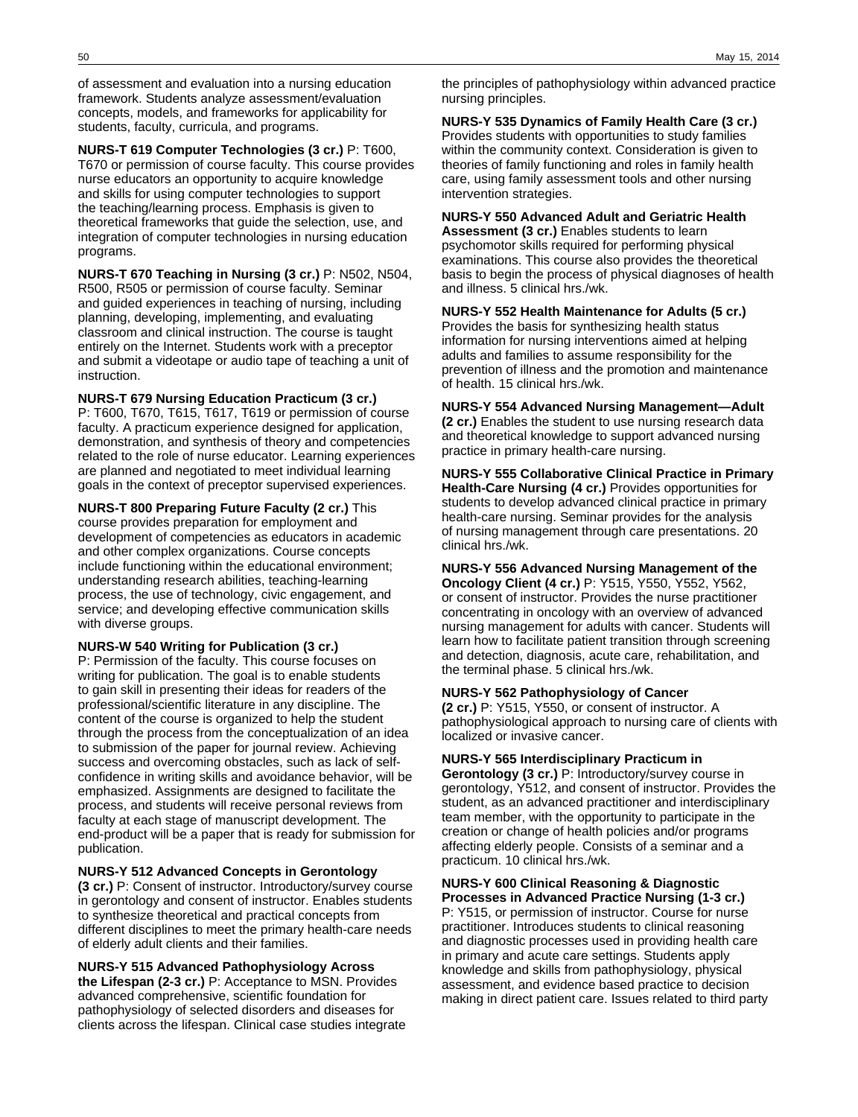of assessment and evaluation into a nursing education framework. Students analyze assessment/evaluation concepts, models, and frameworks for applicability for students, faculty, curricula, and programs.

**NURS-T 619 Computer Technologies (3 cr.)** P: T600, T670 or permission of course faculty. This course provides nurse educators an opportunity to acquire knowledge and skills for using computer technologies to support the teaching/learning process. Emphasis is given to theoretical frameworks that guide the selection, use, and integration of computer technologies in nursing education programs.

**NURS-T 670 Teaching in Nursing (3 cr.)** P: N502, N504, R500, R505 or permission of course faculty. Seminar and guided experiences in teaching of nursing, including planning, developing, implementing, and evaluating classroom and clinical instruction. The course is taught entirely on the Internet. Students work with a preceptor and submit a videotape or audio tape of teaching a unit of instruction.

**NURS-T 679 Nursing Education Practicum (3 cr.)** P: T600, T670, T615, T617, T619 or permission of course faculty. A practicum experience designed for application, demonstration, and synthesis of theory and competencies related to the role of nurse educator. Learning experiences are planned and negotiated to meet individual learning goals in the context of preceptor supervised experiences.

**NURS-T 800 Preparing Future Faculty (2 cr.)** This course provides preparation for employment and development of competencies as educators in academic and other complex organizations. Course concepts include functioning within the educational environment; understanding research abilities, teaching-learning process, the use of technology, civic engagement, and service; and developing effective communication skills with diverse groups.

### **NURS-W 540 Writing for Publication (3 cr.)**

P: Permission of the faculty. This course focuses on writing for publication. The goal is to enable students to gain skill in presenting their ideas for readers of the professional/scientific literature in any discipline. The content of the course is organized to help the student through the process from the conceptualization of an idea to submission of the paper for journal review. Achieving success and overcoming obstacles, such as lack of selfconfidence in writing skills and avoidance behavior, will be emphasized. Assignments are designed to facilitate the process, and students will receive personal reviews from faculty at each stage of manuscript development. The end-product will be a paper that is ready for submission for publication.

### **NURS-Y 512 Advanced Concepts in Gerontology**

**(3 cr.)** P: Consent of instructor. Introductory/survey course in gerontology and consent of instructor. Enables students to synthesize theoretical and practical concepts from different disciplines to meet the primary health-care needs of elderly adult clients and their families.

**NURS-Y 515 Advanced Pathophysiology Across the Lifespan (2-3 cr.)** P: Acceptance to MSN. Provides advanced comprehensive, scientific foundation for pathophysiology of selected disorders and diseases for clients across the lifespan. Clinical case studies integrate

the principles of pathophysiology within advanced practice nursing principles.

**NURS-Y 535 Dynamics of Family Health Care (3 cr.)**

Provides students with opportunities to study families within the community context. Consideration is given to theories of family functioning and roles in family health care, using family assessment tools and other nursing intervention strategies.

**NURS-Y 550 Advanced Adult and Geriatric Health Assessment (3 cr.)** Enables students to learn psychomotor skills required for performing physical examinations. This course also provides the theoretical basis to begin the process of physical diagnoses of health and illness. 5 clinical hrs./wk.

### **NURS-Y 552 Health Maintenance for Adults (5 cr.)** Provides the basis for synthesizing health status

information for nursing interventions aimed at helping adults and families to assume responsibility for the prevention of illness and the promotion and maintenance of health. 15 clinical hrs./wk.

**NURS-Y 554 Advanced Nursing Management—Adult (2 cr.)** Enables the student to use nursing research data and theoretical knowledge to support advanced nursing practice in primary health-care nursing.

**NURS-Y 555 Collaborative Clinical Practice in Primary Health-Care Nursing (4 cr.)** Provides opportunities for students to develop advanced clinical practice in primary health-care nursing. Seminar provides for the analysis of nursing management through care presentations. 20 clinical hrs./wk.

**NURS-Y 556 Advanced Nursing Management of the Oncology Client (4 cr.)** P: Y515, Y550, Y552, Y562, or consent of instructor. Provides the nurse practitioner concentrating in oncology with an overview of advanced nursing management for adults with cancer. Students will learn how to facilitate patient transition through screening and detection, diagnosis, acute care, rehabilitation, and the terminal phase. 5 clinical hrs./wk.

### **NURS-Y 562 Pathophysiology of Cancer**

**(2 cr.)** P: Y515, Y550, or consent of instructor. A pathophysiological approach to nursing care of clients with localized or invasive cancer.

### **NURS-Y 565 Interdisciplinary Practicum in**

**Gerontology (3 cr.)** P: Introductory/survey course in gerontology, Y512, and consent of instructor. Provides the student, as an advanced practitioner and interdisciplinary team member, with the opportunity to participate in the creation or change of health policies and/or programs affecting elderly people. Consists of a seminar and a practicum. 10 clinical hrs./wk.

**NURS-Y 600 Clinical Reasoning & Diagnostic Processes in Advanced Practice Nursing (1-3 cr.)** P: Y515, or permission of instructor. Course for nurse practitioner. Introduces students to clinical reasoning and diagnostic processes used in providing health care in primary and acute care settings. Students apply knowledge and skills from pathophysiology, physical assessment, and evidence based practice to decision making in direct patient care. Issues related to third party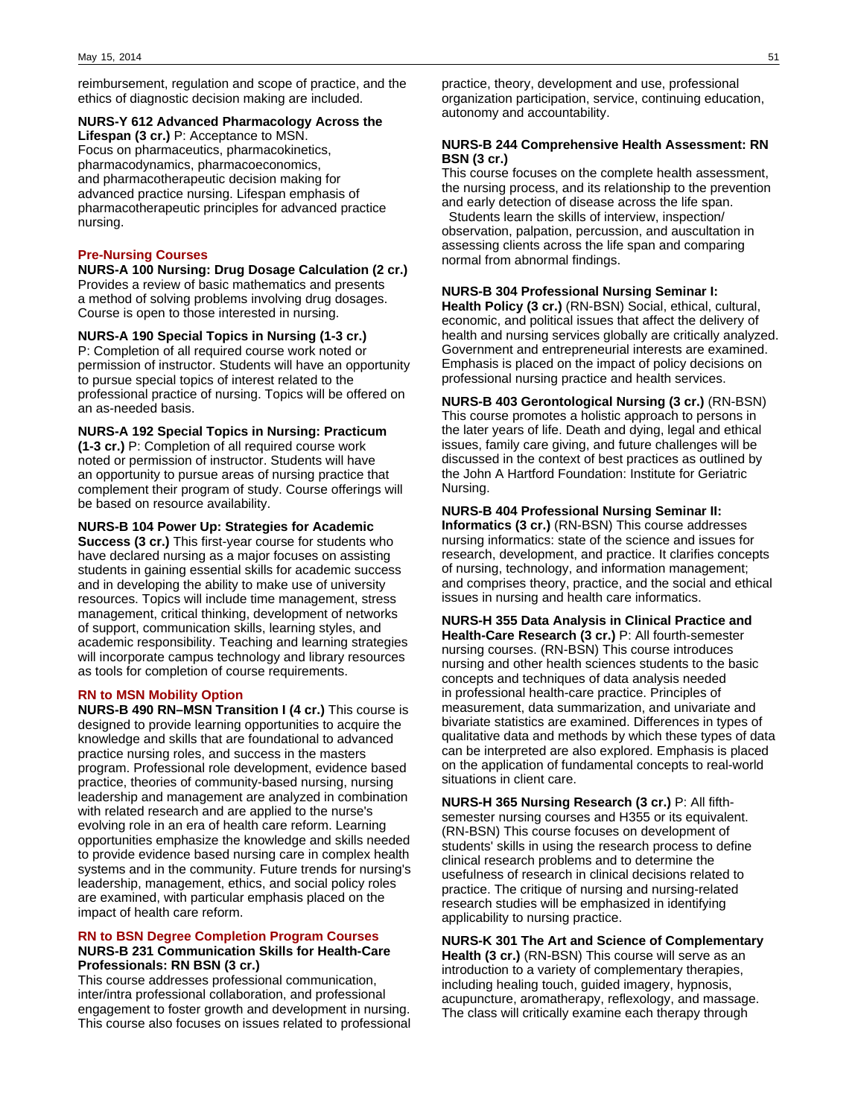reimbursement, regulation and scope of practice, and the ethics of diagnostic decision making are included.

### **NURS-Y 612 Advanced Pharmacology Across the**

**Lifespan (3 cr.)** P: Acceptance to MSN. Focus on pharmaceutics, pharmacokinetics, pharmacodynamics, pharmacoeconomics, and pharmacotherapeutic decision making for advanced practice nursing. Lifespan emphasis of pharmacotherapeutic principles for advanced practice nursing.

### **Pre-Nursing Courses**

**NURS-A 100 Nursing: Drug Dosage Calculation (2 cr.)** Provides a review of basic mathematics and presents a method of solving problems involving drug dosages. Course is open to those interested in nursing.

**NURS-A 190 Special Topics in Nursing (1-3 cr.)** P: Completion of all required course work noted or permission of instructor. Students will have an opportunity to pursue special topics of interest related to the professional practice of nursing. Topics will be offered on an as-needed basis.

### **NURS-A 192 Special Topics in Nursing: Practicum**

**(1-3 cr.)** P: Completion of all required course work noted or permission of instructor. Students will have an opportunity to pursue areas of nursing practice that complement their program of study. Course offerings will be based on resource availability.

### **NURS-B 104 Power Up: Strategies for Academic**

**Success (3 cr.)** This first-year course for students who have declared nursing as a major focuses on assisting students in gaining essential skills for academic success and in developing the ability to make use of university resources. Topics will include time management, stress management, critical thinking, development of networks of support, communication skills, learning styles, and academic responsibility. Teaching and learning strategies will incorporate campus technology and library resources as tools for completion of course requirements.

### **RN to MSN Mobility Option**

**NURS-B 490 RN–MSN Transition I (4 cr.)** This course is designed to provide learning opportunities to acquire the knowledge and skills that are foundational to advanced practice nursing roles, and success in the masters program. Professional role development, evidence based practice, theories of community-based nursing, nursing leadership and management are analyzed in combination with related research and are applied to the nurse's evolving role in an era of health care reform. Learning opportunities emphasize the knowledge and skills needed to provide evidence based nursing care in complex health systems and in the community. Future trends for nursing's leadership, management, ethics, and social policy roles are examined, with particular emphasis placed on the impact of health care reform.

### **RN to BSN Degree Completion Program Courses NURS-B 231 Communication Skills for Health-Care Professionals: RN BSN (3 cr.)**

This course addresses professional communication, inter/intra professional collaboration, and professional engagement to foster growth and development in nursing. This course also focuses on issues related to professional

practice, theory, development and use, professional organization participation, service, continuing education, autonomy and accountability.

### **NURS-B 244 Comprehensive Health Assessment: RN BSN (3 cr.)**

This course focuses on the complete health assessment, the nursing process, and its relationship to the prevention and early detection of disease across the life span.

 Students learn the skills of interview, inspection/ observation, palpation, percussion, and auscultation in assessing clients across the life span and comparing normal from abnormal findings.

### **NURS-B 304 Professional Nursing Seminar I:**

**Health Policy (3 cr.)** (RN-BSN) Social, ethical, cultural, economic, and political issues that affect the delivery of health and nursing services globally are critically analyzed. Government and entrepreneurial interests are examined. Emphasis is placed on the impact of policy decisions on professional nursing practice and health services.

**NURS-B 403 Gerontological Nursing (3 cr.)** (RN-BSN) This course promotes a holistic approach to persons in the later years of life. Death and dying, legal and ethical issues, family care giving, and future challenges will be discussed in the context of best practices as outlined by the John A Hartford Foundation: Institute for Geriatric Nursing.

### **NURS-B 404 Professional Nursing Seminar II:**

**Informatics (3 cr.)** (RN-BSN) This course addresses nursing informatics: state of the science and issues for research, development, and practice. It clarifies concepts of nursing, technology, and information management; and comprises theory, practice, and the social and ethical issues in nursing and health care informatics.

**NURS-H 355 Data Analysis in Clinical Practice and Health-Care Research (3 cr.)** P: All fourth-semester nursing courses. (RN-BSN) This course introduces nursing and other health sciences students to the basic concepts and techniques of data analysis needed in professional health-care practice. Principles of measurement, data summarization, and univariate and bivariate statistics are examined. Differences in types of qualitative data and methods by which these types of data can be interpreted are also explored. Emphasis is placed on the application of fundamental concepts to real-world situations in client care.

**NURS-H 365 Nursing Research (3 cr.)** P: All fifthsemester nursing courses and H355 or its equivalent. (RN-BSN) This course focuses on development of students' skills in using the research process to define clinical research problems and to determine the usefulness of research in clinical decisions related to practice. The critique of nursing and nursing-related research studies will be emphasized in identifying applicability to nursing practice.

**NURS-K 301 The Art and Science of Complementary Health (3 cr.)** (RN-BSN) This course will serve as an introduction to a variety of complementary therapies, including healing touch, guided imagery, hypnosis, acupuncture, aromatherapy, reflexology, and massage. The class will critically examine each therapy through